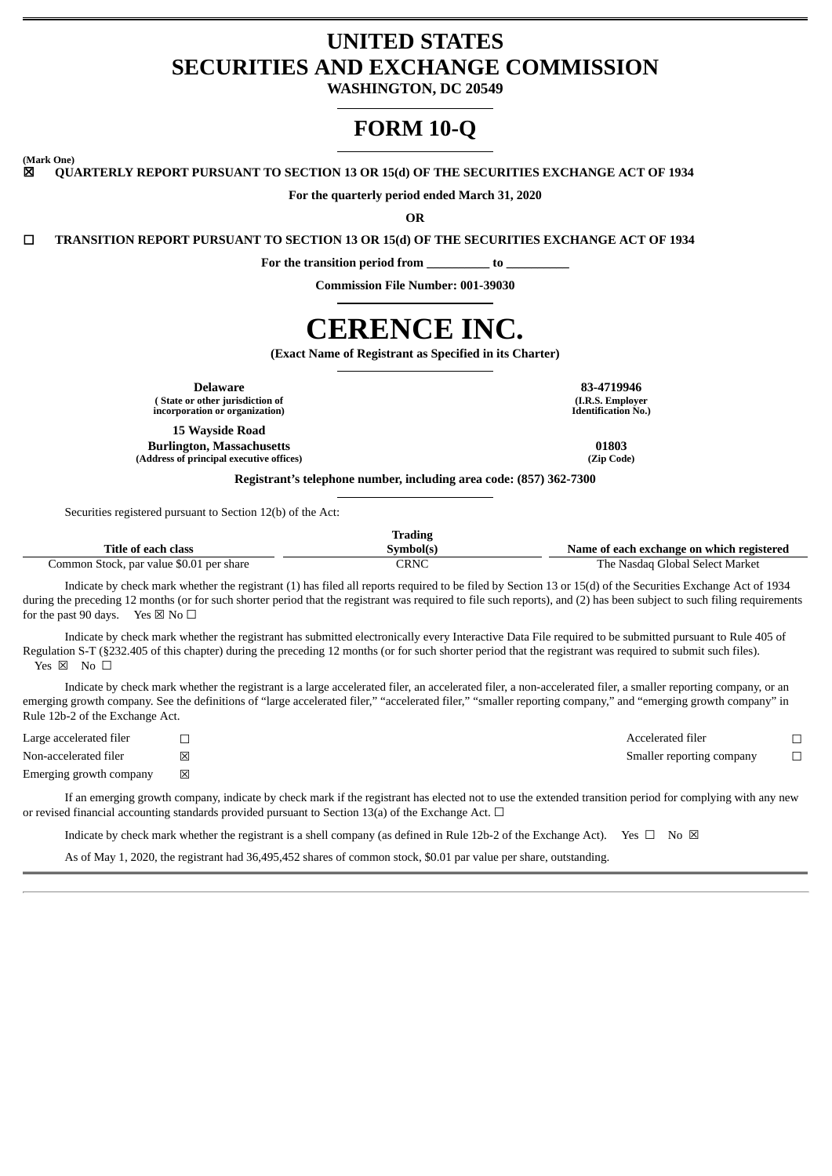## **UNITED STATES SECURITIES AND EXCHANGE COMMISSION**

**WASHINGTON, DC 20549**

# **FORM 10-Q**

**(Mark One)**

☒ **QUARTERLY REPORT PURSUANT TO SECTION 13 OR 15(d) OF THE SECURITIES EXCHANGE ACT OF 1934**

**For the quarterly period ended March 31, 2020**

**OR**

☐ **TRANSITION REPORT PURSUANT TO SECTION 13 OR 15(d) OF THE SECURITIES EXCHANGE ACT OF 1934**

**For the transition period from \_\_\_\_\_\_\_\_\_\_ to \_\_\_\_\_\_\_\_\_\_**

**Commission File Number: 001-39030**

# **CERENCE INC.**

**(Exact Name of Registrant as Specified in its Charter)**

**( State or other jurisdiction of incorporation or organization)**

**15 Wayside Road Burlington, Massachusetts 01803**

**(Address of principal executive offices) (Zip Code)**

**Delaware 83-4719946 (I.R.S. Employer Identification No.)**

**Registrant's telephone number, including area code: (857) 362-7300**

Securities registered pursuant to Section 12(b) of the Act:

|                                          | Trading   |                                           |
|------------------------------------------|-----------|-------------------------------------------|
| Title of each class                      | Svmbol(s) | Name of each exchange on which registered |
| Common Stock, par value \$0.01 per share | CRNC      | The Nasdag Global Select Market           |

Indicate by check mark whether the registrant (1) has filed all reports required to be filed by Section 13 or 15(d) of the Securities Exchange Act of 1934 during the preceding 12 months (or for such shorter period that the registrant was required to file such reports), and (2) has been subject to such filing requirements for the past 90 days. Yes  $\boxtimes$  No  $\Box$ 

Indicate by check mark whether the registrant has submitted electronically every Interactive Data File required to be submitted pursuant to Rule 405 of Regulation S-T (§232.405 of this chapter) during the preceding 12 months (or for such shorter period that the registrant was required to submit such files). Yes ⊠ No □

Indicate by check mark whether the registrant is a large accelerated filer, an accelerated filer, a non-accelerated filer, a smaller reporting company, or an emerging growth company. See the definitions of "large accelerated filer," "accelerated filer," "smaller reporting company," and "emerging growth company" in Rule 12b-2 of the Exchange Act.

Large accelerated filer ☐ Accelerated filer ☐ Non-accelerated filer <br>
□ Smaller reporting company □ Emerging growth company  $\boxtimes$ 

If an emerging growth company, indicate by check mark if the registrant has elected not to use the extended transition period for complying with any new or revised financial accounting standards provided pursuant to Section 13(a) of the Exchange Act.  $\Box$ 

Indicate by check mark whether the registrant is a shell company (as defined in Rule 12b-2 of the Exchange Act). Yes  $\Box$  No  $\boxtimes$ 

As of May 1, 2020, the registrant had 36,495,452 shares of common stock, \$0.01 par value per share, outstanding.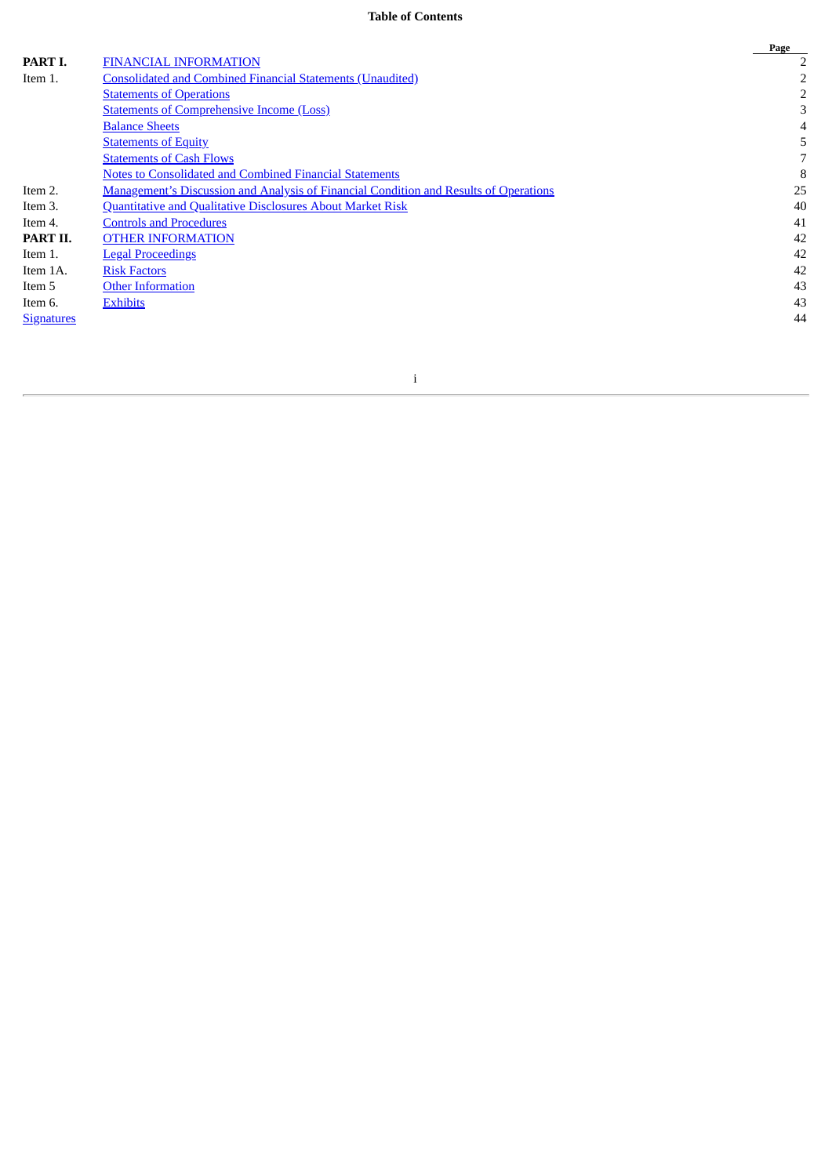## **Table of Contents**

|                   |                                                                                       | Page |
|-------------------|---------------------------------------------------------------------------------------|------|
| PART I.           | <b>FINANCIAL INFORMATION</b>                                                          |      |
| Item 1.           | <b>Consolidated and Combined Financial Statements (Unaudited)</b>                     |      |
|                   | <b>Statements of Operations</b>                                                       |      |
|                   | <b>Statements of Comprehensive Income (Loss)</b>                                      | 3    |
|                   | <b>Balance Sheets</b>                                                                 |      |
|                   | <b>Statements of Equity</b>                                                           | 5    |
|                   | <b>Statements of Cash Flows</b>                                                       |      |
|                   | <b>Notes to Consolidated and Combined Financial Statements</b>                        | 8    |
| Item 2.           | Management's Discussion and Analysis of Financial Condition and Results of Operations | 25   |
| Item 3.           | Quantitative and Qualitative Disclosures About Market Risk                            | 40   |
| Item 4.           | <b>Controls and Procedures</b>                                                        | 41   |
| PART II.          | <b>OTHER INFORMATION</b>                                                              | 42   |
| Item 1.           | <b>Legal Proceedings</b>                                                              | 42   |
| Item 1A.          | <b>Risk Factors</b>                                                                   | 42   |
| Item 5            | <b>Other Information</b>                                                              | 43   |
| Item 6.           | <b>Exhibits</b>                                                                       | 43   |
| <b>Signatures</b> |                                                                                       | 44   |
|                   |                                                                                       |      |

i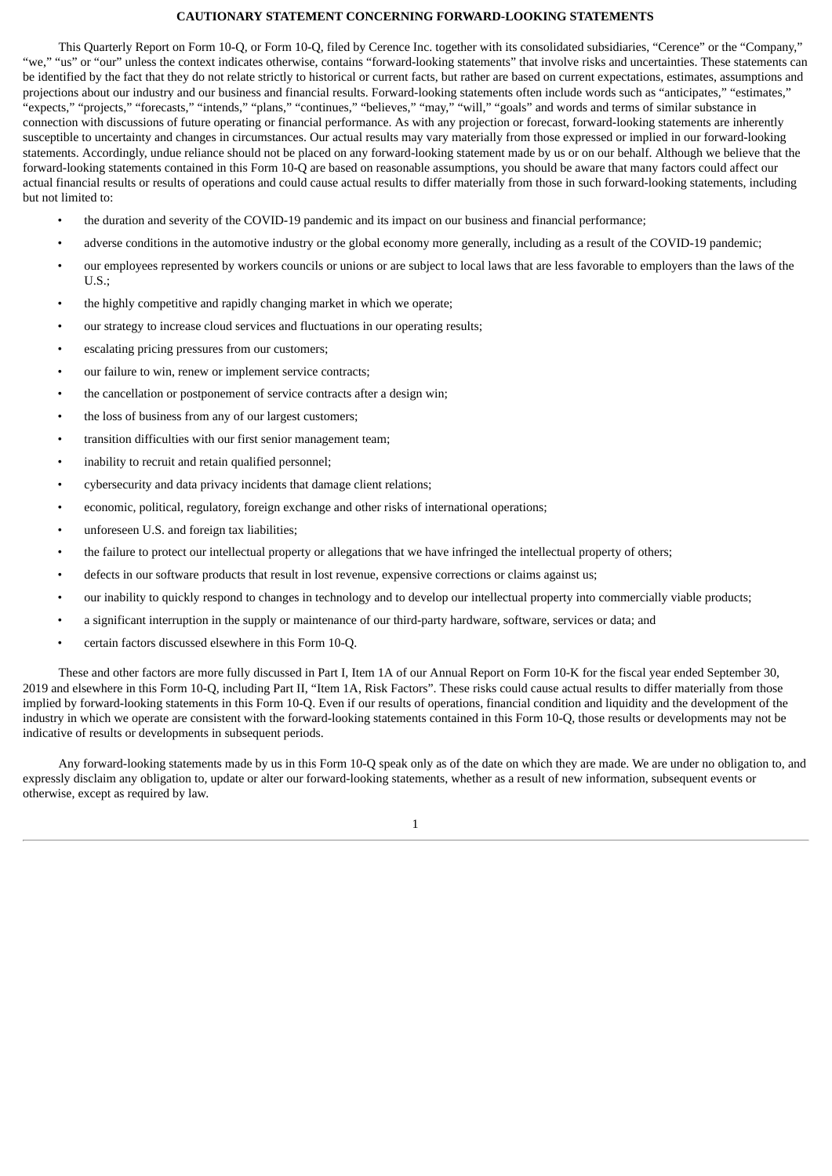## **CAUTIONARY STATEMENT CONCERNING FORWARD-LOOKING STATEMENTS**

This Quarterly Report on Form 10-Q, or Form 10-Q, filed by Cerence Inc. together with its consolidated subsidiaries, "Cerence" or the "Company," "we," "us" or "our" unless the context indicates otherwise, contains "forward-looking statements" that involve risks and uncertainties. These statements can be identified by the fact that they do not relate strictly to historical or current facts, but rather are based on current expectations, estimates, assumptions and projections about our industry and our business and financial results. Forward-looking statements often include words such as "anticipates," "estimates," "expects," "projects," "forecasts," "intends," "plans," "continues," "believes," "may," "will," "goals" and words and terms of similar substance in connection with discussions of future operating or financial performance. As with any projection or forecast, forward-looking statements are inherently susceptible to uncertainty and changes in circumstances. Our actual results may vary materially from those expressed or implied in our forward-looking statements. Accordingly, undue reliance should not be placed on any forward-looking statement made by us or on our behalf. Although we believe that the forward-looking statements contained in this Form 10-Q are based on reasonable assumptions, you should be aware that many factors could affect our actual financial results or results of operations and could cause actual results to differ materially from those in such forward-looking statements, including but not limited to:

- the duration and severity of the COVID-19 pandemic and its impact on our business and financial performance;
- adverse conditions in the automotive industry or the global economy more generally, including as a result of the COVID-19 pandemic;
- our employees represented by workers councils or unions or are subject to local laws that are less favorable to employers than the laws of the U.S.;
- the highly competitive and rapidly changing market in which we operate;
- our strategy to increase cloud services and fluctuations in our operating results;
- escalating pricing pressures from our customers;
- our failure to win, renew or implement service contracts;
- the cancellation or postponement of service contracts after a design win;
- the loss of business from any of our largest customers;
- transition difficulties with our first senior management team:
- inability to recruit and retain qualified personnel;
- cybersecurity and data privacy incidents that damage client relations;
- economic, political, regulatory, foreign exchange and other risks of international operations;
- unforeseen U.S. and foreign tax liabilities;
- the failure to protect our intellectual property or allegations that we have infringed the intellectual property of others;
- defects in our software products that result in lost revenue, expensive corrections or claims against us;
- our inability to quickly respond to changes in technology and to develop our intellectual property into commercially viable products;
- a significant interruption in the supply or maintenance of our third-party hardware, software, services or data; and
- certain factors discussed elsewhere in this Form 10-Q.

These and other factors are more fully discussed in Part I, Item 1A of our Annual Report on Form 10-K for the fiscal year ended September 30, 2019 and elsewhere in this Form 10-Q, including Part II, "Item 1A, Risk Factors". These risks could cause actual results to differ materially from those implied by forward-looking statements in this Form 10-Q. Even if our results of operations, financial condition and liquidity and the development of the industry in which we operate are consistent with the forward-looking statements contained in this Form 10-Q, those results or developments may not be indicative of results or developments in subsequent periods.

Any forward-looking statements made by us in this Form 10-Q speak only as of the date on which they are made. We are under no obligation to, and expressly disclaim any obligation to, update or alter our forward-looking statements, whether as a result of new information, subsequent events or otherwise, except as required by law.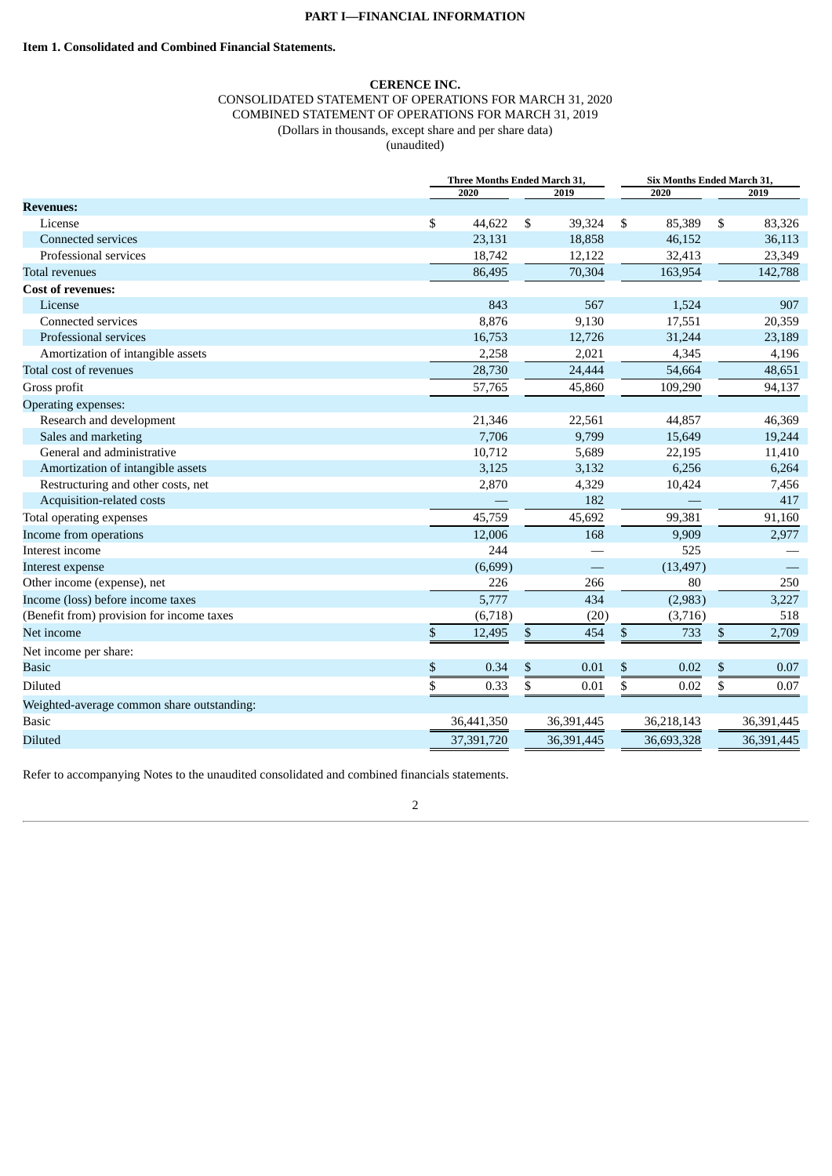## **PART I—FINANCIAL INFORMATION**

## <span id="page-3-1"></span><span id="page-3-0"></span>**Item 1. Consolidated and Combined Financial Statements.**

## **CERENCE INC.** CONSOLIDATED STATEMENT OF OPERATIONS FOR MARCH 31, 2020 COMBINED STATEMENT OF OPERATIONS FOR MARCH 31, 2019 (Dollars in thousands, except share and per share data) (unaudited)

<span id="page-3-2"></span>

|                                            |              | Three Months Ended March 31, |              |            | <b>Six Months Ended March 31,</b> |            |      |            |
|--------------------------------------------|--------------|------------------------------|--------------|------------|-----------------------------------|------------|------|------------|
|                                            |              | 2020                         |              | 2019       |                                   | 2020       |      | 2019       |
| <b>Revenues:</b>                           |              |                              |              |            |                                   |            |      |            |
| License                                    | \$           | 44,622                       | \$           | 39,324     | \$                                | 85,389     | \$   | 83,326     |
| Connected services                         |              | 23,131                       |              | 18,858     |                                   | 46,152     |      | 36,113     |
| Professional services                      |              | 18,742                       |              | 12,122     |                                   | 32,413     |      | 23,349     |
| <b>Total revenues</b>                      |              | 86,495                       |              | 70,304     |                                   | 163,954    |      | 142,788    |
| <b>Cost of revenues:</b>                   |              |                              |              |            |                                   |            |      |            |
| License                                    |              | 843                          |              | 567        |                                   | 1,524      |      | 907        |
| Connected services                         |              | 8,876                        |              | 9,130      |                                   | 17,551     |      | 20,359     |
| Professional services                      |              | 16,753                       |              | 12,726     |                                   | 31,244     |      | 23,189     |
| Amortization of intangible assets          |              | 2,258                        |              | 2,021      |                                   | 4,345      |      | 4,196      |
| Total cost of revenues                     |              | 28,730                       |              | 24,444     |                                   | 54,664     |      | 48,651     |
| Gross profit                               |              | 57,765                       |              | 45,860     |                                   | 109,290    |      | 94,137     |
| Operating expenses:                        |              |                              |              |            |                                   |            |      |            |
| Research and development                   |              | 21,346                       |              | 22,561     |                                   | 44,857     |      | 46,369     |
| Sales and marketing                        |              | 7,706                        |              | 9,799      |                                   | 15,649     |      | 19,244     |
| General and administrative                 |              | 10,712                       |              | 5,689      |                                   | 22,195     |      | 11,410     |
| Amortization of intangible assets          |              | 3,125                        |              | 3,132      |                                   | 6,256      |      | 6,264      |
| Restructuring and other costs, net         |              | 2,870                        |              | 4,329      |                                   | 10,424     |      | 7,456      |
| Acquisition-related costs                  |              |                              |              | 182        |                                   |            |      | 417        |
| Total operating expenses                   |              | 45,759                       |              | 45,692     |                                   | 99,381     |      | 91,160     |
| Income from operations                     |              | 12,006                       |              | 168        |                                   | 9,909      |      | 2,977      |
| Interest income                            |              | 244                          |              |            |                                   | 525        |      |            |
| Interest expense                           |              | (6,699)                      |              |            |                                   | (13, 497)  |      |            |
| Other income (expense), net                |              | 226                          |              | 266        |                                   | 80         |      | 250        |
| Income (loss) before income taxes          |              | 5,777                        |              | 434        |                                   | (2,983)    |      | 3,227      |
| (Benefit from) provision for income taxes  |              | (6,718)                      |              | (20)       |                                   | (3,716)    |      | 518        |
| Net income                                 | \$           | 12,495                       | \$           | 454        | \$                                | 733        | \$   | 2,709      |
| Net income per share:                      |              |                              |              |            |                                   |            |      |            |
| <b>Basic</b>                               | $\mathbb{S}$ | 0.34                         | $\mathbb{S}$ | 0.01       | \$                                | 0.02       | $\,$ | 0.07       |
| <b>Diluted</b>                             | \$           | 0.33                         | \$           | 0.01       | \$                                | 0.02       | \$   | 0.07       |
| Weighted-average common share outstanding: |              |                              |              |            |                                   |            |      |            |
| <b>Basic</b>                               |              | 36,441,350                   |              | 36,391,445 |                                   | 36,218,143 |      | 36,391,445 |
| <b>Diluted</b>                             |              | 37,391,720                   |              | 36,391,445 |                                   | 36,693,328 |      | 36,391,445 |

Refer to accompanying Notes to the unaudited consolidated and combined financials statements.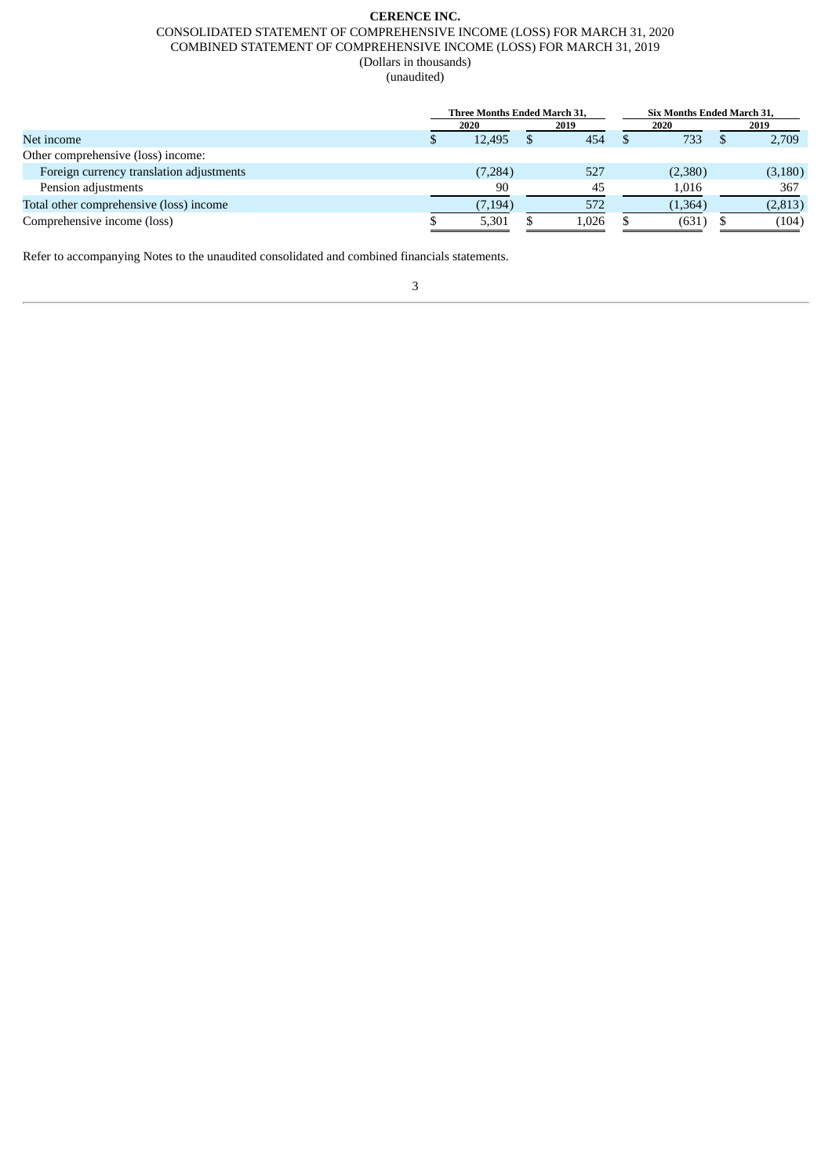## **CERENCE INC.** CONSOLIDATED STATEMENT OF COMPREHENSIVE INCOME (LOSS) FOR MARCH 31, 2020 COMBINED STATEMENT OF COMPREHENSIVE INCOME (LOSS) FOR MARCH 31, 2019 (Dollars in thousands) (unaudited)

<span id="page-4-0"></span>

|                                          | Three Months Ended March 31, |          |  |       |  | Six Months Ended March 31, |  |          |  |  |  |
|------------------------------------------|------------------------------|----------|--|-------|--|----------------------------|--|----------|--|--|--|
|                                          |                              | 2020     |  | 2019  |  | 2020                       |  | 2019     |  |  |  |
| Net income                               |                              | 12.495   |  | 454   |  | 733                        |  | 2,709    |  |  |  |
| Other comprehensive (loss) income:       |                              |          |  |       |  |                            |  |          |  |  |  |
| Foreign currency translation adjustments |                              | (7, 284) |  | 527   |  | (2,380)                    |  | (3, 180) |  |  |  |
| Pension adjustments                      |                              | 90       |  | 45    |  | 1,016                      |  | 367      |  |  |  |
| Total other comprehensive (loss) income  |                              | (7, 194) |  | 572   |  | (1, 364)                   |  | (2, 813) |  |  |  |
| Comprehensive income (loss)              |                              | 5,301    |  | 1,026 |  | (631)                      |  | (104)    |  |  |  |

Refer to accompanying Notes to the unaudited consolidated and combined financials statements.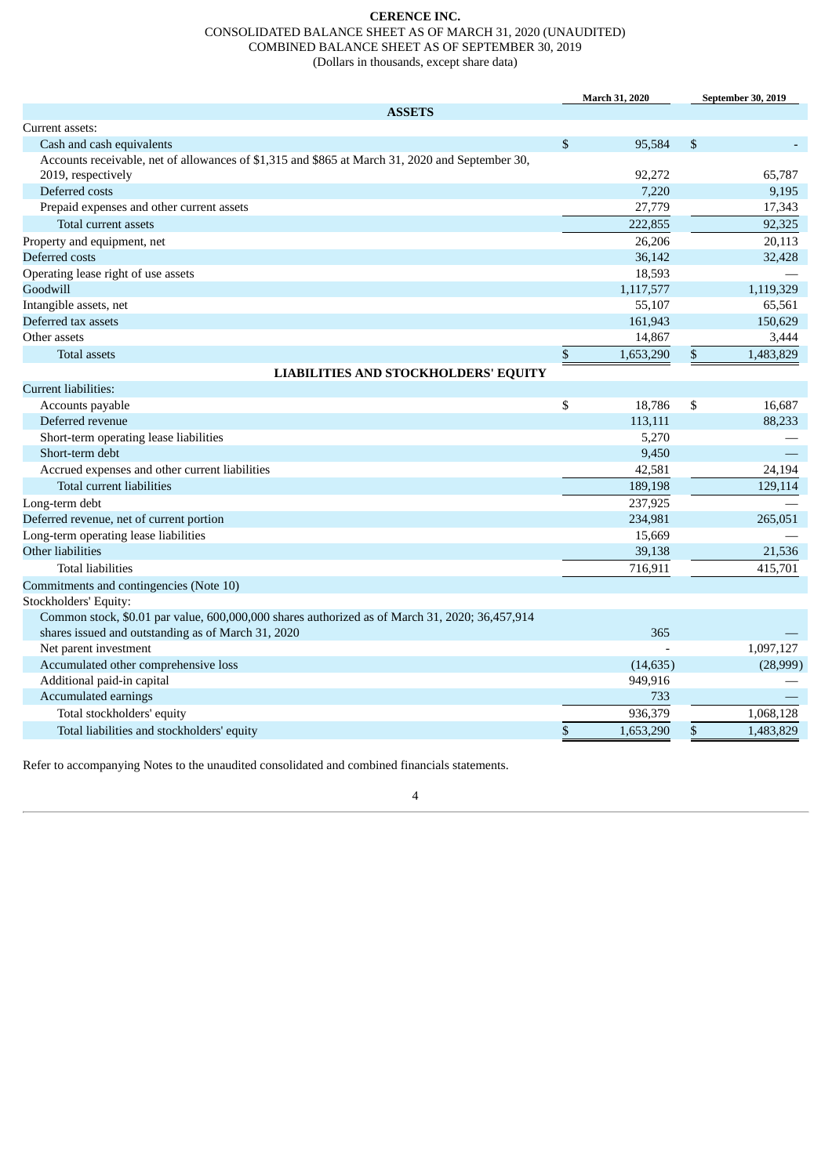## **CERENCE INC.**

## CONSOLIDATED BALANCE SHEET AS OF MARCH 31, 2020 (UNAUDITED)

COMBINED BALANCE SHEET AS OF SEPTEMBER 30, 2019

(Dollars in thousands, except share data)

<span id="page-5-0"></span>

|                                                                                                 |                | March 31, 2020 | <b>September 30, 2019</b> |
|-------------------------------------------------------------------------------------------------|----------------|----------------|---------------------------|
| <b>ASSETS</b>                                                                                   |                |                |                           |
| Current assets:                                                                                 |                |                |                           |
| Cash and cash equivalents                                                                       | $\mathfrak{S}$ | 95,584         | \$                        |
| Accounts receivable, net of allowances of \$1,315 and \$865 at March 31, 2020 and September 30, |                |                |                           |
| 2019, respectively                                                                              |                | 92,272         | 65,787                    |
| Deferred costs                                                                                  |                | 7,220          | 9,195                     |
| Prepaid expenses and other current assets                                                       |                | 27,779         | 17,343                    |
| Total current assets                                                                            |                | 222,855        | 92,325                    |
| Property and equipment, net                                                                     |                | 26,206         | 20,113                    |
| Deferred costs                                                                                  |                | 36,142         | 32,428                    |
| Operating lease right of use assets                                                             |                | 18,593         |                           |
| Goodwill                                                                                        |                | 1,117,577      | 1,119,329                 |
| Intangible assets, net                                                                          |                | 55,107         | 65,561                    |
| Deferred tax assets                                                                             |                | 161,943        | 150,629                   |
| Other assets                                                                                    |                | 14,867         | 3,444                     |
| <b>Total assets</b>                                                                             | $\mathbb{S}$   | 1,653,290      | \$<br>1,483,829           |
| <b>LIABILITIES AND STOCKHOLDERS' EQUITY</b>                                                     |                |                |                           |
| Current liabilities:                                                                            |                |                |                           |
| Accounts payable                                                                                | \$             | 18,786         | \$<br>16,687              |
| Deferred revenue                                                                                |                | 113,111        | 88,233                    |
| Short-term operating lease liabilities                                                          |                | 5,270          |                           |
| Short-term debt                                                                                 |                | 9,450          |                           |
| Accrued expenses and other current liabilities                                                  |                | 42,581         | 24,194                    |
| Total current liabilities                                                                       |                | 189,198        | 129,114                   |
| Long-term debt                                                                                  |                | 237,925        |                           |
| Deferred revenue, net of current portion                                                        |                | 234,981        | 265,051                   |
| Long-term operating lease liabilities                                                           |                | 15,669         |                           |
| Other liabilities                                                                               |                | 39,138         | 21,536                    |
| <b>Total liabilities</b>                                                                        |                | 716,911        | 415,701                   |
| Commitments and contingencies (Note 10)                                                         |                |                |                           |
| Stockholders' Equity:                                                                           |                |                |                           |
| Common stock, \$0.01 par value, 600,000,000 shares authorized as of March 31, 2020; 36,457,914  |                |                |                           |
| shares issued and outstanding as of March 31, 2020                                              |                | 365            |                           |
| Net parent investment                                                                           |                |                | 1,097,127                 |
| Accumulated other comprehensive loss                                                            |                | (14, 635)      | (28,999)                  |
| Additional paid-in capital                                                                      |                | 949,916        |                           |
| Accumulated earnings                                                                            |                | 733            |                           |
| Total stockholders' equity                                                                      |                | 936,379        | 1,068,128                 |
| Total liabilities and stockholders' equity                                                      | \$             | 1,653,290      | \$<br>1,483,829           |

Refer to accompanying Notes to the unaudited consolidated and combined financials statements.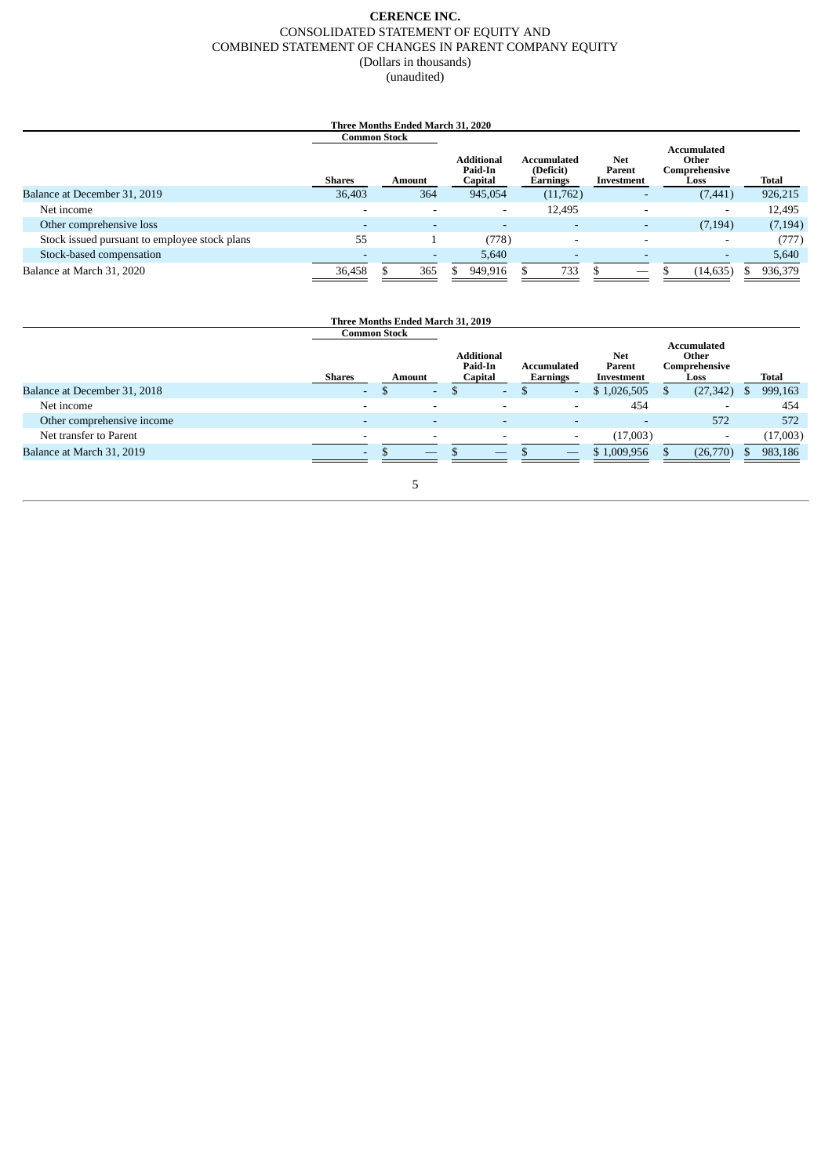## **CERENCE INC.** CONSOLIDATED STATEMENT OF EQUITY AND COMBINED STATEMENT OF CHANGES IN PARENT COMPANY EQUITY (Dollars in thousands) (unaudited)

#### <span id="page-6-0"></span>**Three Months Ended March 31, 2020 Common Stock Shares Amount**<br>36.403 **Amount Additional Paid-In Capital Accumulated (Deficit) Earnings Net Parent Investment Accumulated Other Comprehensive**  $\frac{Loss}{(7,441)}$   $\frac{Total}{926,215}$ Balance at December 31, 2019 36,403 364 945,054 (11,762) Net income 22,495 - 22,495 - 22,495 - 22,495 - 22,495 - 22,495 - 22,495 - 22,495 - 22,495 - 22,495 - 22,495 - 22,495 Other comprehensive loss (7,194) (7,194) (7,194) Stock issued pursuant to employee stock plans 55 1 (778) - - - - - (777) Stock-based compensation 6.640  $\sim$  5,640  $\sim$  5,640  $\sim$  - 5,640  $\sim$  5,640 Balance at March 31, 2020 36,458 **365 \$ 365 \$ 949,916** \$ 733 \$ <del>3 (14,635)</del> \$ 936,379

## **Three Months Ended March 31, 2019**

|                              | Common Stock  |                          |                                         |                                |                                    |    |                                               |    |          |
|------------------------------|---------------|--------------------------|-----------------------------------------|--------------------------------|------------------------------------|----|-----------------------------------------------|----|----------|
|                              | <b>Shares</b> | Amount                   | <b>Additional</b><br>Paid-In<br>Capital | Accumulated<br><b>Earnings</b> | <b>Net</b><br>Parent<br>Investment |    | Accumulated<br>Other<br>Comprehensive<br>Loss |    | Total    |
| Balance at December 31, 2018 | ۰.            | $\sim$                   | $\overline{\phantom{a}}$                | ۰.                             | \$1,026,505                        | S. | (27, 342)                                     | S. | 999,163  |
| Net income                   |               | $\overline{\phantom{a}}$ | -                                       |                                | 454                                |    | -                                             |    | 454      |
| Other comprehensive income   |               | $\overline{\phantom{0}}$ | -                                       |                                | $\overline{\phantom{a}}$           |    | 572                                           |    | 572      |
| Net transfer to Parent       |               |                          |                                         |                                | (17,003)                           |    | $\overline{\phantom{a}}$                      |    | (17,003) |
| Balance at March 31, 2019    | н.            | $\overline{\phantom{0}}$ |                                         |                                | \$1,009,956                        |    | (26,770)                                      | S. | 983,186  |

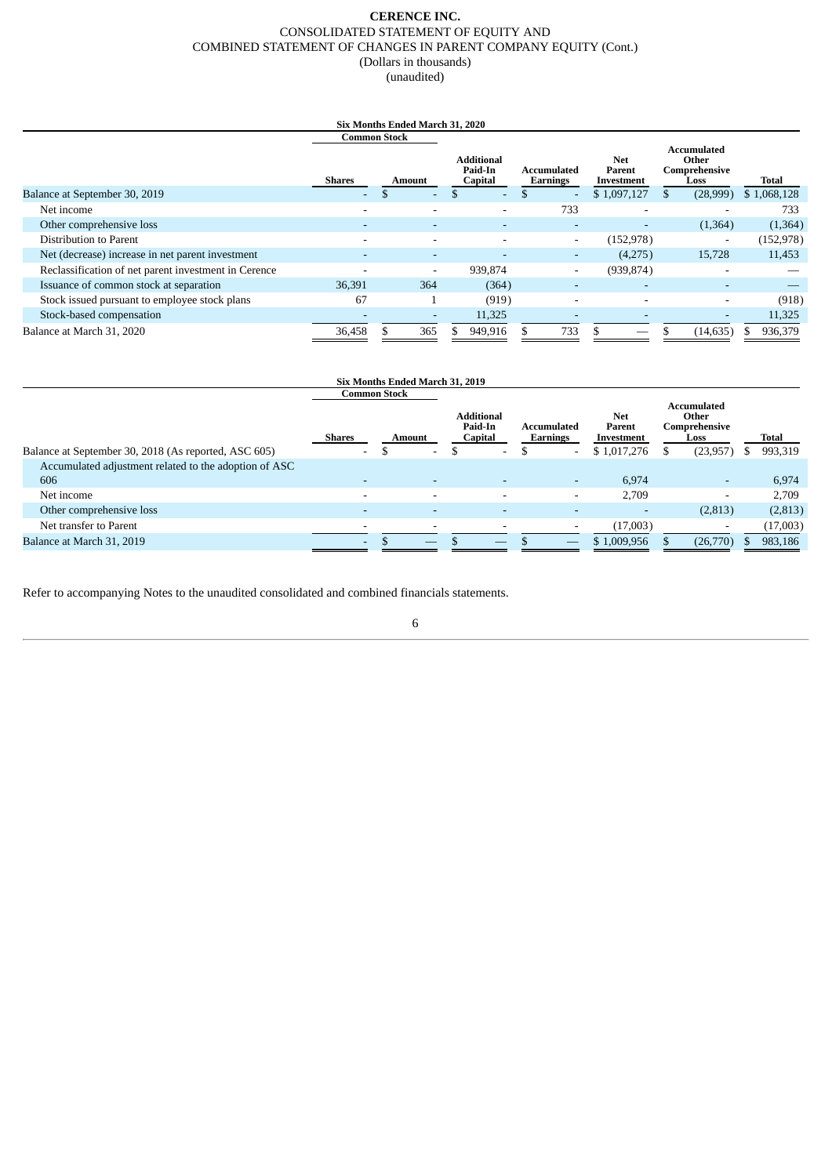## **CERENCE INC.** CONSOLIDATED STATEMENT OF EQUITY AND COMBINED STATEMENT OF CHANGES IN PARENT COMPANY EQUITY (Cont.) (Dollars in thousands) (unaudited)

|                                                      |                               | Six Months Ended March 31, 2020 |    |                                         |                          |                                    |    |                                               |    |             |
|------------------------------------------------------|-------------------------------|---------------------------------|----|-----------------------------------------|--------------------------|------------------------------------|----|-----------------------------------------------|----|-------------|
|                                                      | Common Stock<br><b>Shares</b> | Amount                          |    | <b>Additional</b><br>Paid-In<br>Capital | Accumulated<br>Earnings  | <b>Net</b><br>Parent<br>Investment |    | Accumulated<br>Other<br>Comprehensive<br>Loss |    | Total       |
| Balance at September 30, 2019                        | $\sim$                        | $\overline{\phantom{a}}$        |    | $\sim$                                  | $\blacksquare$           | \$1,097,127                        | S. | (28,999)                                      |    | \$1,068,128 |
| Net income                                           |                               | $\overline{\phantom{a}}$        |    | ۰                                       | 733                      |                                    |    |                                               |    | 733         |
| Other comprehensive loss                             |                               |                                 |    |                                         | $\overline{\phantom{0}}$ |                                    |    | (1,364)                                       |    | (1,364)     |
| Distribution to Parent                               | -                             | $\overline{\phantom{a}}$        |    | ۰                                       |                          | (152, 978)                         |    | $\overline{\phantom{a}}$                      |    | (152, 978)  |
| Net (decrease) increase in net parent investment     |                               | $\overline{\phantom{a}}$        |    |                                         |                          | (4,275)                            |    | 15,728                                        |    | 11,453      |
| Reclassification of net parent investment in Cerence |                               | $\overline{\phantom{a}}$        |    | 939,874                                 |                          | (939, 874)                         |    | -                                             |    |             |
| Issuance of common stock at separation               | 36,391                        | 364                             |    | (364)                                   |                          |                                    |    | $\overline{\phantom{a}}$                      |    |             |
| Stock issued pursuant to employee stock plans        | 67                            |                                 |    | (919)                                   | $\overline{\phantom{a}}$ | $\overline{\phantom{a}}$           |    | $\overline{\phantom{0}}$                      |    | (918)       |
| Stock-based compensation                             |                               | $\overline{\phantom{0}}$        |    | 11,325                                  |                          |                                    |    | $\overline{\phantom{a}}$                      |    | 11,325      |
| Balance at March 31, 2020                            | 36,458                        | 365                             | S. | 949,916                                 | 733                      |                                    |    | (14, 635)                                     | S. | 936,379     |

|                                                              |                          |                     |                          | Six Months Ended March 31, 2019         |                          |                          |                             |                                               |                          |    |          |
|--------------------------------------------------------------|--------------------------|---------------------|--------------------------|-----------------------------------------|--------------------------|--------------------------|-----------------------------|-----------------------------------------------|--------------------------|----|----------|
|                                                              | <b>Shares</b>            | <b>Common Stock</b> | Amount                   | <b>Additional</b><br>Paid-In<br>Capital |                          | Accumulated<br>Earnings  | Net<br>Parent<br>Investment | Accumulated<br>Other<br>Comprehensive<br>Loss |                          |    | Total    |
| Balance at September 30, 2018 (As reported, ASC 605)         | $\sim$                   | D                   | $\overline{\phantom{a}}$ |                                         | $\overline{\phantom{a}}$ | -                        | \$1,017,276                 |                                               | (23, 957)                |    | 993,319  |
| Accumulated adjustment related to the adoption of ASC<br>606 |                          |                     | -                        |                                         |                          | ٠                        | 6,974                       |                                               | $\sim$                   |    | 6,974    |
| Net income                                                   |                          |                     | $\overline{\phantom{a}}$ |                                         | $\overline{\phantom{a}}$ | -                        | 2,709                       |                                               | $\overline{\phantom{a}}$ |    | 2,709    |
| Other comprehensive loss                                     | $\overline{\phantom{a}}$ |                     | $\sim$                   |                                         | $\blacksquare$           | $\overline{\phantom{a}}$ | $\overline{\phantom{a}}$    |                                               | (2,813)                  |    | (2,813)  |
| Net transfer to Parent                                       | $\overline{\phantom{a}}$ |                     | $\blacksquare$           |                                         | $\overline{\phantom{a}}$ |                          | (17,003)                    |                                               | $\overline{\phantom{a}}$ |    | (17,003) |
| Balance at March 31, 2019                                    | - 1                      |                     | $\overline{\phantom{0}}$ |                                         |                          |                          | \$1,009,956                 |                                               | (26,770)                 | S. | 983,186  |

Refer to accompanying Notes to the unaudited consolidated and combined financials statements.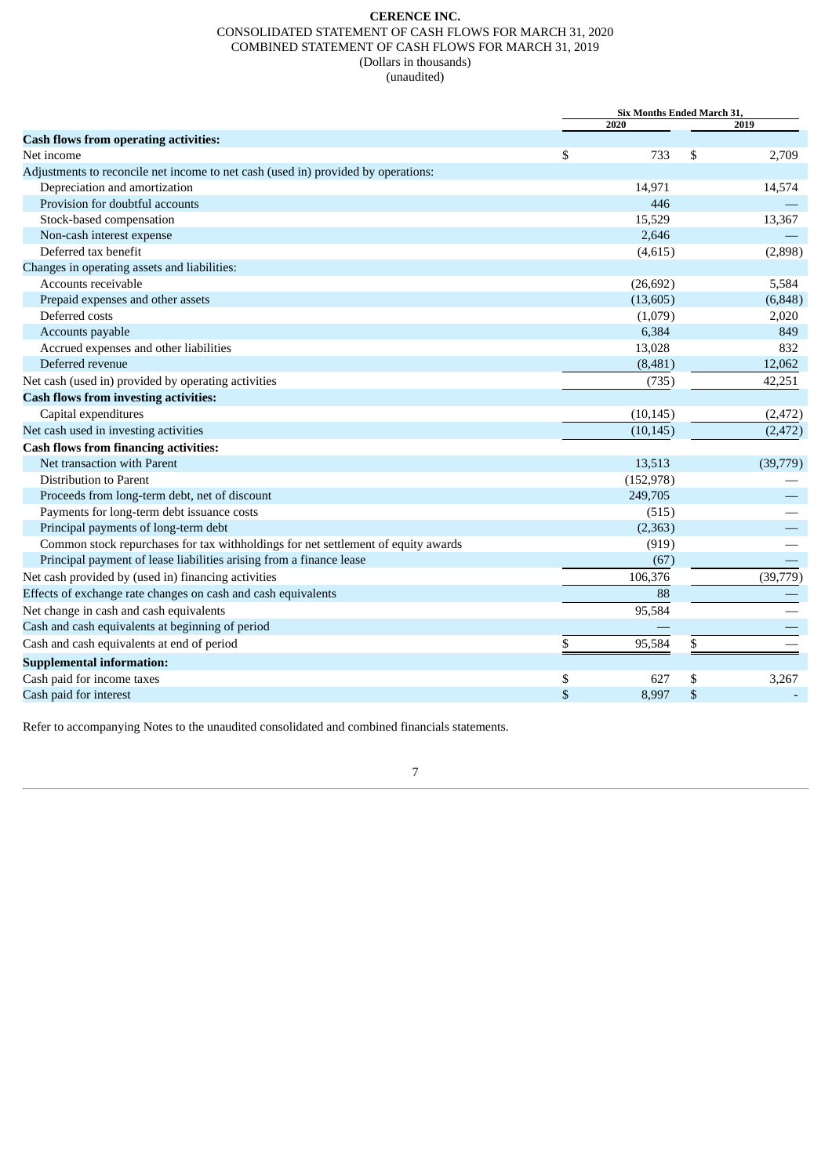## **CERENCE INC.** CONSOLIDATED STATEMENT OF CASH FLOWS FOR MARCH 31, 2020 COMBINED STATEMENT OF CASH FLOWS FOR MARCH 31, 2019 (Dollars in thousands) (unaudited)

<span id="page-8-0"></span>

|                                                                                   | <b>Six Months Ended March 31,</b> |            |    |          |  |
|-----------------------------------------------------------------------------------|-----------------------------------|------------|----|----------|--|
|                                                                                   |                                   | 2020       |    | 2019     |  |
| <b>Cash flows from operating activities:</b>                                      |                                   |            |    |          |  |
| Net income                                                                        | \$                                | 733        | \$ | 2,709    |  |
| Adjustments to reconcile net income to net cash (used in) provided by operations: |                                   |            |    |          |  |
| Depreciation and amortization                                                     |                                   | 14,971     |    | 14,574   |  |
| Provision for doubtful accounts                                                   |                                   | 446        |    |          |  |
| Stock-based compensation                                                          |                                   | 15,529     |    | 13,367   |  |
| Non-cash interest expense                                                         |                                   | 2,646      |    |          |  |
| Deferred tax benefit                                                              |                                   | (4,615)    |    | (2,898)  |  |
| Changes in operating assets and liabilities:                                      |                                   |            |    |          |  |
| Accounts receivable                                                               |                                   | (26, 692)  |    | 5,584    |  |
| Prepaid expenses and other assets                                                 |                                   | (13,605)   |    | (6, 848) |  |
| Deferred costs                                                                    |                                   | (1,079)    |    | 2,020    |  |
| Accounts payable                                                                  |                                   | 6,384      |    | 849      |  |
| Accrued expenses and other liabilities                                            |                                   | 13,028     |    | 832      |  |
| Deferred revenue                                                                  |                                   | (8,481)    |    | 12,062   |  |
| Net cash (used in) provided by operating activities                               |                                   | (735)      |    | 42,251   |  |
| <b>Cash flows from investing activities:</b>                                      |                                   |            |    |          |  |
| Capital expenditures                                                              |                                   | (10, 145)  |    | (2, 472) |  |
| Net cash used in investing activities                                             |                                   | (10, 145)  |    | (2, 472) |  |
| <b>Cash flows from financing activities:</b>                                      |                                   |            |    |          |  |
| Net transaction with Parent                                                       |                                   | 13,513     |    | (39,779) |  |
| <b>Distribution to Parent</b>                                                     |                                   | (152, 978) |    |          |  |
| Proceeds from long-term debt, net of discount                                     |                                   | 249,705    |    |          |  |
| Payments for long-term debt issuance costs                                        |                                   | (515)      |    |          |  |
| Principal payments of long-term debt                                              |                                   | (2,363)    |    |          |  |
| Common stock repurchases for tax withholdings for net settlement of equity awards |                                   | (919)      |    |          |  |
| Principal payment of lease liabilities arising from a finance lease               |                                   | (67)       |    |          |  |
| Net cash provided by (used in) financing activities                               |                                   | 106,376    |    | (39,779) |  |
| Effects of exchange rate changes on cash and cash equivalents                     |                                   | 88         |    |          |  |
| Net change in cash and cash equivalents                                           |                                   | 95,584     |    |          |  |
| Cash and cash equivalents at beginning of period                                  |                                   |            |    |          |  |
| Cash and cash equivalents at end of period                                        | \$                                | 95,584     | \$ |          |  |
| <b>Supplemental information:</b>                                                  |                                   |            |    |          |  |
| Cash paid for income taxes                                                        | \$                                | 627        | \$ | 3,267    |  |
| Cash paid for interest                                                            | \$                                | 8,997      | \$ |          |  |

Refer to accompanying Notes to the unaudited consolidated and combined financials statements.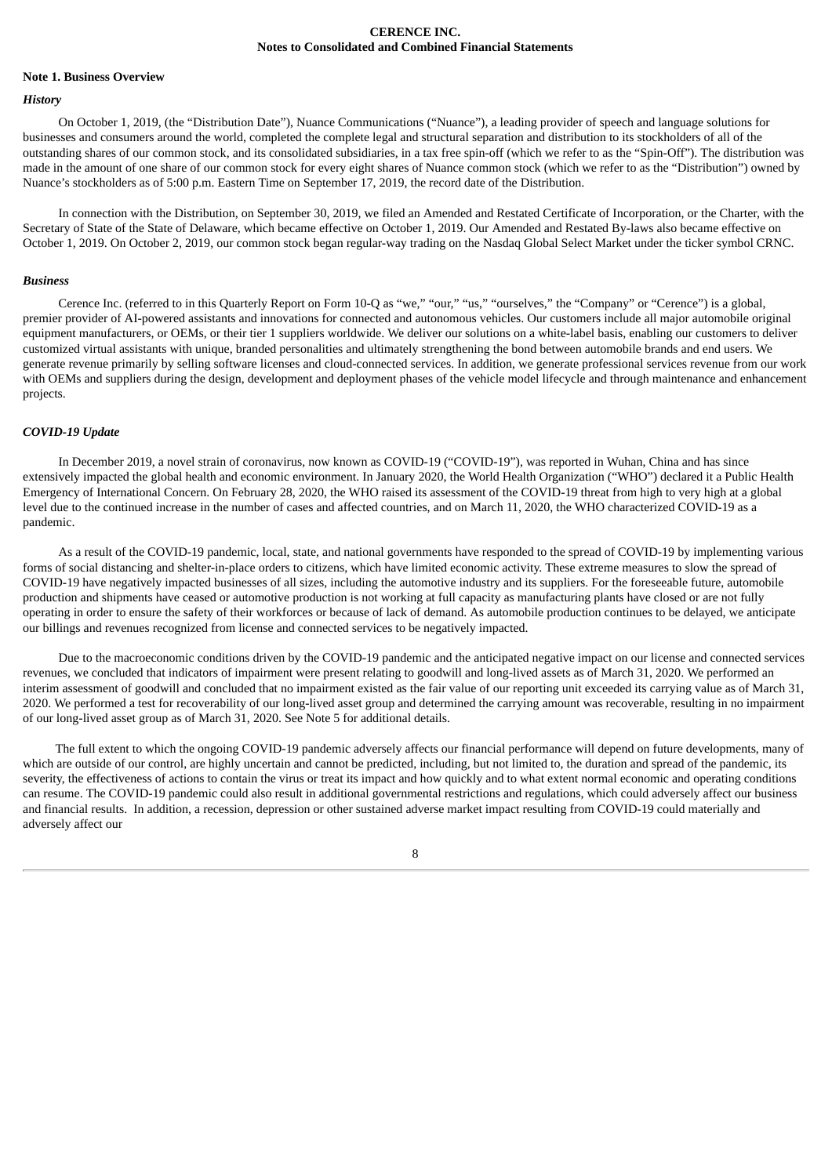#### **CERENCE INC. Notes to Consolidated and Combined Financial Statements**

#### <span id="page-9-0"></span>**Note 1. Business Overview**

#### *History*

On October 1, 2019, (the "Distribution Date"), Nuance Communications ("Nuance"), a leading provider of speech and language solutions for businesses and consumers around the world, completed the complete legal and structural separation and distribution to its stockholders of all of the outstanding shares of our common stock, and its consolidated subsidiaries, in a tax free spin-off (which we refer to as the "Spin-Off"). The distribution was made in the amount of one share of our common stock for every eight shares of Nuance common stock (which we refer to as the "Distribution") owned by Nuance's stockholders as of 5:00 p.m. Eastern Time on September 17, 2019, the record date of the Distribution.

In connection with the Distribution, on September 30, 2019, we filed an Amended and Restated Certificate of Incorporation, or the Charter, with the Secretary of State of the State of Delaware, which became effective on October 1, 2019. Our Amended and Restated By-laws also became effective on October 1, 2019. On October 2, 2019, our common stock began regular-way trading on the Nasdaq Global Select Market under the ticker symbol CRNC.

#### *Business*

Cerence Inc. (referred to in this Quarterly Report on Form 10-Q as "we," "our," "us," "ourselves," the "Company" or "Cerence") is a global, premier provider of AI-powered assistants and innovations for connected and autonomous vehicles. Our customers include all major automobile original equipment manufacturers, or OEMs, or their tier 1 suppliers worldwide. We deliver our solutions on a white-label basis, enabling our customers to deliver customized virtual assistants with unique, branded personalities and ultimately strengthening the bond between automobile brands and end users. We generate revenue primarily by selling software licenses and cloud-connected services. In addition, we generate professional services revenue from our work with OEMs and suppliers during the design, development and deployment phases of the vehicle model lifecycle and through maintenance and enhancement projects.

#### *COVID-19 Update*

In December 2019, a novel strain of coronavirus, now known as COVID-19 ("COVID-19"), was reported in Wuhan, China and has since extensively impacted the global health and economic environment. In January 2020, the World Health Organization ("WHO") declared it a Public Health Emergency of International Concern. On February 28, 2020, the WHO raised its assessment of the COVID-19 threat from high to very high at a global level due to the continued increase in the number of cases and affected countries, and on March 11, 2020, the WHO characterized COVID-19 as a pandemic.

As a result of the COVID-19 pandemic, local, state, and national governments have responded to the spread of COVID-19 by implementing various forms of social distancing and shelter-in-place orders to citizens, which have limited economic activity. These extreme measures to slow the spread of COVID-19 have negatively impacted businesses of all sizes, including the automotive industry and its suppliers. For the foreseeable future, automobile production and shipments have ceased or automotive production is not working at full capacity as manufacturing plants have closed or are not fully operating in order to ensure the safety of their workforces or because of lack of demand. As automobile production continues to be delayed, we anticipate our billings and revenues recognized from license and connected services to be negatively impacted.

Due to the macroeconomic conditions driven by the COVID-19 pandemic and the anticipated negative impact on our license and connected services revenues, we concluded that indicators of impairment were present relating to goodwill and long-lived assets as of March 31, 2020. We performed an interim assessment of goodwill and concluded that no impairment existed as the fair value of our reporting unit exceeded its carrying value as of March 31, 2020. We performed a test for recoverability of our long-lived asset group and determined the carrying amount was recoverable, resulting in no impairment of our long-lived asset group as of March 31, 2020. See Note 5 for additional details.

The full extent to which the ongoing COVID-19 pandemic adversely affects our financial performance will depend on future developments, many of which are outside of our control, are highly uncertain and cannot be predicted, including, but not limited to, the duration and spread of the pandemic, its severity, the effectiveness of actions to contain the virus or treat its impact and how quickly and to what extent normal economic and operating conditions can resume. The COVID-19 pandemic could also result in additional governmental restrictions and regulations, which could adversely affect our business and financial results. In addition, a recession, depression or other sustained adverse market impact resulting from COVID-19 could materially and adversely affect our

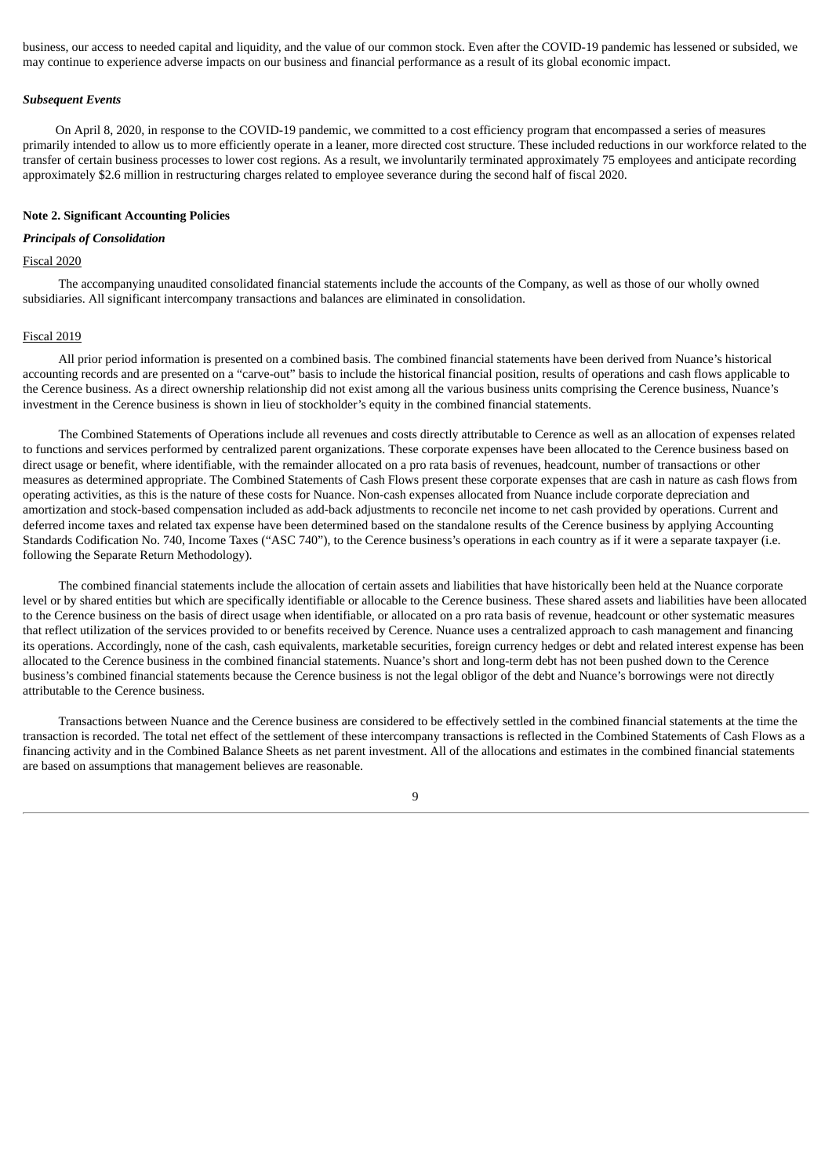business, our access to needed capital and liquidity, and the value of our common stock. Even after the COVID-19 pandemic has lessened or subsided, we may continue to experience adverse impacts on our business and financial performance as a result of its global economic impact.

#### *Subsequent Events*

On April 8, 2020, in response to the COVID-19 pandemic, we committed to a cost efficiency program that encompassed a series of measures primarily intended to allow us to more efficiently operate in a leaner, more directed cost structure. These included reductions in our workforce related to the transfer of certain business processes to lower cost regions. As a result, we involuntarily terminated approximately 75 employees and anticipate recording approximately \$2.6 million in restructuring charges related to employee severance during the second half of fiscal 2020.

#### **Note 2. Significant Accounting Policies**

## *Principals of Consolidation*

#### Fiscal 2020

The accompanying unaudited consolidated financial statements include the accounts of the Company, as well as those of our wholly owned subsidiaries. All significant intercompany transactions and balances are eliminated in consolidation.

#### Fiscal 2019

All prior period information is presented on a combined basis. The combined financial statements have been derived from Nuance's historical accounting records and are presented on a "carve-out" basis to include the historical financial position, results of operations and cash flows applicable to the Cerence business. As a direct ownership relationship did not exist among all the various business units comprising the Cerence business, Nuance's investment in the Cerence business is shown in lieu of stockholder's equity in the combined financial statements.

The Combined Statements of Operations include all revenues and costs directly attributable to Cerence as well as an allocation of expenses related to functions and services performed by centralized parent organizations. These corporate expenses have been allocated to the Cerence business based on direct usage or benefit, where identifiable, with the remainder allocated on a pro rata basis of revenues, headcount, number of transactions or other measures as determined appropriate. The Combined Statements of Cash Flows present these corporate expenses that are cash in nature as cash flows from operating activities, as this is the nature of these costs for Nuance. Non-cash expenses allocated from Nuance include corporate depreciation and amortization and stock-based compensation included as add-back adjustments to reconcile net income to net cash provided by operations. Current and deferred income taxes and related tax expense have been determined based on the standalone results of the Cerence business by applying Accounting Standards Codification No. 740, Income Taxes ("ASC 740"), to the Cerence business's operations in each country as if it were a separate taxpayer (i.e. following the Separate Return Methodology).

The combined financial statements include the allocation of certain assets and liabilities that have historically been held at the Nuance corporate level or by shared entities but which are specifically identifiable or allocable to the Cerence business. These shared assets and liabilities have been allocated to the Cerence business on the basis of direct usage when identifiable, or allocated on a pro rata basis of revenue, headcount or other systematic measures that reflect utilization of the services provided to or benefits received by Cerence. Nuance uses a centralized approach to cash management and financing its operations. Accordingly, none of the cash, cash equivalents, marketable securities, foreign currency hedges or debt and related interest expense has been allocated to the Cerence business in the combined financial statements. Nuance's short and long-term debt has not been pushed down to the Cerence business's combined financial statements because the Cerence business is not the legal obligor of the debt and Nuance's borrowings were not directly attributable to the Cerence business.

Transactions between Nuance and the Cerence business are considered to be effectively settled in the combined financial statements at the time the transaction is recorded. The total net effect of the settlement of these intercompany transactions is reflected in the Combined Statements of Cash Flows as a financing activity and in the Combined Balance Sheets as net parent investment. All of the allocations and estimates in the combined financial statements are based on assumptions that management believes are reasonable.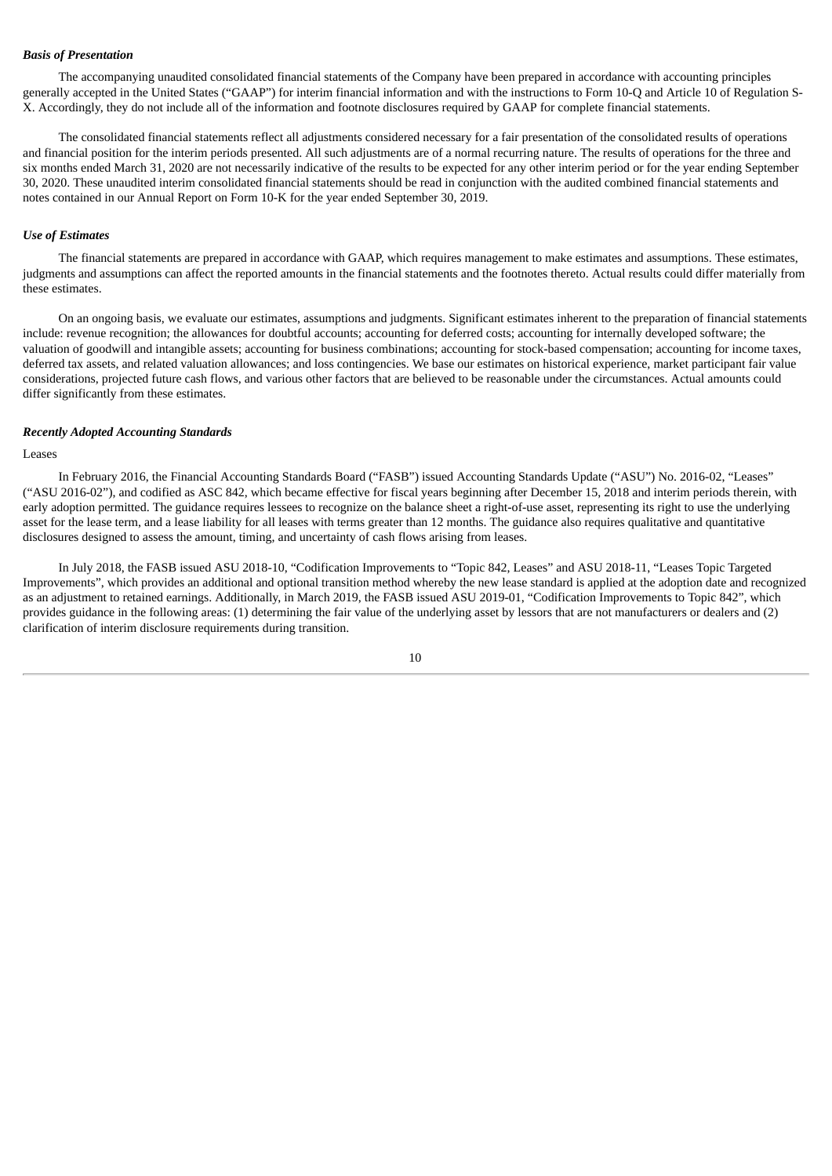#### *Basis of Presentation*

The accompanying unaudited consolidated financial statements of the Company have been prepared in accordance with accounting principles generally accepted in the United States ("GAAP") for interim financial information and with the instructions to Form 10-Q and Article 10 of Regulation S-X. Accordingly, they do not include all of the information and footnote disclosures required by GAAP for complete financial statements.

The consolidated financial statements reflect all adjustments considered necessary for a fair presentation of the consolidated results of operations and financial position for the interim periods presented. All such adjustments are of a normal recurring nature. The results of operations for the three and six months ended March 31, 2020 are not necessarily indicative of the results to be expected for any other interim period or for the year ending September 30, 2020. These unaudited interim consolidated financial statements should be read in conjunction with the audited combined financial statements and notes contained in our Annual Report on Form 10-K for the year ended September 30, 2019.

#### *Use of Estimates*

The financial statements are prepared in accordance with GAAP, which requires management to make estimates and assumptions. These estimates, judgments and assumptions can affect the reported amounts in the financial statements and the footnotes thereto. Actual results could differ materially from these estimates.

On an ongoing basis, we evaluate our estimates, assumptions and judgments. Significant estimates inherent to the preparation of financial statements include: revenue recognition; the allowances for doubtful accounts; accounting for deferred costs; accounting for internally developed software; the valuation of goodwill and intangible assets; accounting for business combinations; accounting for stock-based compensation; accounting for income taxes, deferred tax assets, and related valuation allowances; and loss contingencies. We base our estimates on historical experience, market participant fair value considerations, projected future cash flows, and various other factors that are believed to be reasonable under the circumstances. Actual amounts could differ significantly from these estimates.

#### *Recently Adopted Accounting Standards*

#### Leases

In February 2016, the Financial Accounting Standards Board ("FASB") issued Accounting Standards Update ("ASU") No. 2016-02, "Leases" ("ASU 2016-02"), and codified as ASC 842, which became effective for fiscal years beginning after December 15, 2018 and interim periods therein, with early adoption permitted. The guidance requires lessees to recognize on the balance sheet a right-of-use asset, representing its right to use the underlying asset for the lease term, and a lease liability for all leases with terms greater than 12 months. The guidance also requires qualitative and quantitative disclosures designed to assess the amount, timing, and uncertainty of cash flows arising from leases.

In July 2018, the FASB issued ASU 2018-10, "Codification Improvements to "Topic 842, Leases" and ASU 2018-11, "Leases Topic Targeted Improvements", which provides an additional and optional transition method whereby the new lease standard is applied at the adoption date and recognized as an adjustment to retained earnings. Additionally, in March 2019, the FASB issued ASU 2019-01, "Codification Improvements to Topic 842", which provides guidance in the following areas: (1) determining the fair value of the underlying asset by lessors that are not manufacturers or dealers and (2) clarification of interim disclosure requirements during transition.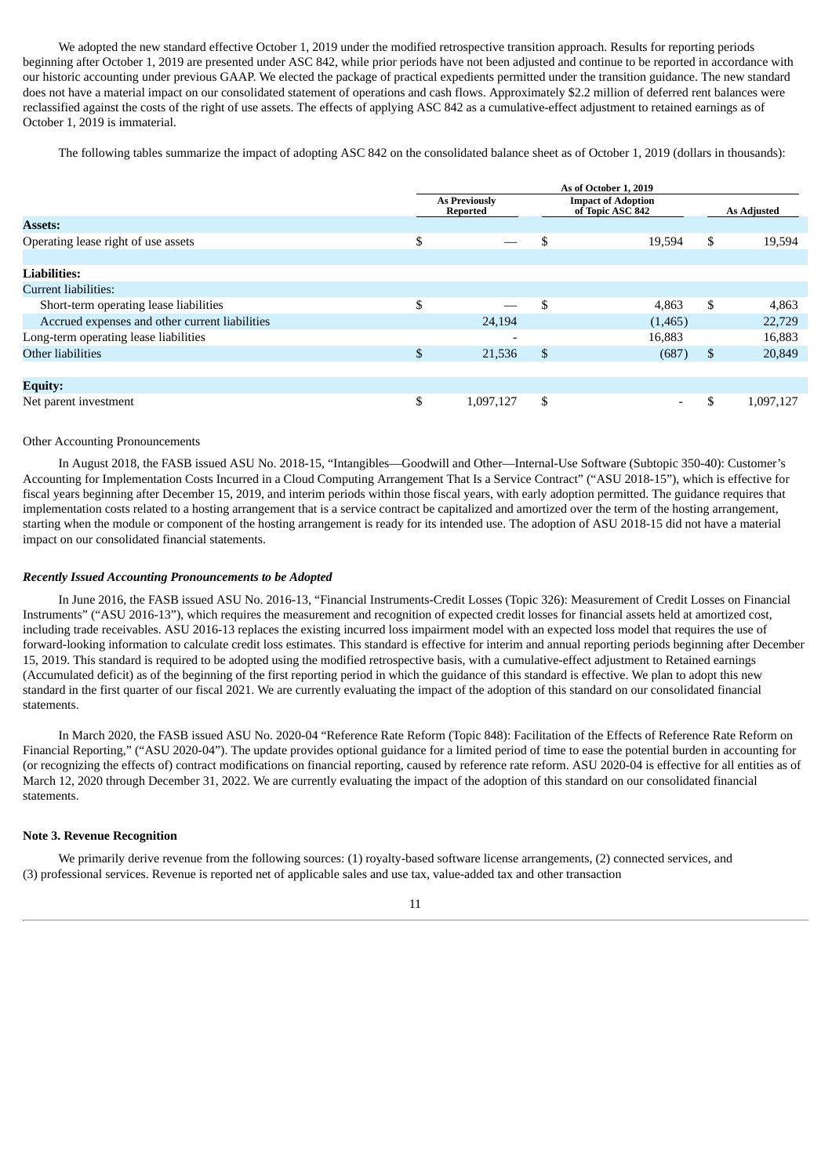We adopted the new standard effective October 1, 2019 under the modified retrospective transition approach. Results for reporting periods beginning after October 1, 2019 are presented under ASC 842, while prior periods have not been adjusted and continue to be reported in accordance with our historic accounting under previous GAAP. We elected the package of practical expedients permitted under the transition guidance. The new standard does not have a material impact on our consolidated statement of operations and cash flows. Approximately \$2.2 million of deferred rent balances were reclassified against the costs of the right of use assets. The effects of applying ASC 842 as a cumulative-effect adjustment to retained earnings as of October 1, 2019 is immaterial.

The following tables summarize the impact of adopting ASC 842 on the consolidated balance sheet as of October 1, 2019 (dollars in thousands):

|                                                | As of October 1, 2019 |                                         |                                               |                          |     |                    |  |  |  |  |
|------------------------------------------------|-----------------------|-----------------------------------------|-----------------------------------------------|--------------------------|-----|--------------------|--|--|--|--|
|                                                |                       | <b>As Previously</b><br><b>Reported</b> | <b>Impact of Adoption</b><br>of Topic ASC 842 |                          |     | <b>As Adjusted</b> |  |  |  |  |
| <b>Assets:</b>                                 |                       |                                         |                                               |                          |     |                    |  |  |  |  |
| Operating lease right of use assets            | \$                    |                                         | \$                                            | 19,594                   | \$  | 19,594             |  |  |  |  |
|                                                |                       |                                         |                                               |                          |     |                    |  |  |  |  |
| <b>Liabilities:</b>                            |                       |                                         |                                               |                          |     |                    |  |  |  |  |
| Current liabilities:                           |                       |                                         |                                               |                          |     |                    |  |  |  |  |
| Short-term operating lease liabilities         | \$                    |                                         | \$                                            | 4.863                    | \$  | 4,863              |  |  |  |  |
| Accrued expenses and other current liabilities |                       | 24,194                                  |                                               | (1,465)                  |     | 22,729             |  |  |  |  |
| Long-term operating lease liabilities          |                       |                                         |                                               | 16,883                   |     | 16,883             |  |  |  |  |
| Other liabilities                              | \$                    | 21,536                                  | \$                                            | (687)                    | -\$ | 20,849             |  |  |  |  |
|                                                |                       |                                         |                                               |                          |     |                    |  |  |  |  |
| <b>Equity:</b>                                 |                       |                                         |                                               |                          |     |                    |  |  |  |  |
| Net parent investment                          | \$                    | 1,097,127                               | \$                                            | $\overline{\phantom{0}}$ | \$  | 1,097,127          |  |  |  |  |

#### Other Accounting Pronouncements

In August 2018, the FASB issued ASU No. 2018-15, "Intangibles—Goodwill and Other—Internal-Use Software (Subtopic 350-40): Customer's Accounting for Implementation Costs Incurred in a Cloud Computing Arrangement That Is a Service Contract" ("ASU 2018-15"), which is effective for fiscal years beginning after December 15, 2019, and interim periods within those fiscal years, with early adoption permitted. The guidance requires that implementation costs related to a hosting arrangement that is a service contract be capitalized and amortized over the term of the hosting arrangement, starting when the module or component of the hosting arrangement is ready for its intended use. The adoption of ASU 2018-15 did not have a material impact on our consolidated financial statements.

#### *Recently Issued Accounting Pronouncements to be Adopted*

In June 2016, the FASB issued ASU No. 2016-13, "Financial Instruments-Credit Losses (Topic 326): Measurement of Credit Losses on Financial Instruments" ("ASU 2016-13"), which requires the measurement and recognition of expected credit losses for financial assets held at amortized cost, including trade receivables. ASU 2016-13 replaces the existing incurred loss impairment model with an expected loss model that requires the use of forward-looking information to calculate credit loss estimates. This standard is effective for interim and annual reporting periods beginning after December 15, 2019. This standard is required to be adopted using the modified retrospective basis, with a cumulative-effect adjustment to Retained earnings (Accumulated deficit) as of the beginning of the first reporting period in which the guidance of this standard is effective. We plan to adopt this new standard in the first quarter of our fiscal 2021. We are currently evaluating the impact of the adoption of this standard on our consolidated financial statements.

In March 2020, the FASB issued ASU No. 2020-04 "Reference Rate Reform (Topic 848): Facilitation of the Effects of Reference Rate Reform on Financial Reporting," ("ASU 2020-04"). The update provides optional guidance for a limited period of time to ease the potential burden in accounting for (or recognizing the effects of) contract modifications on financial reporting, caused by reference rate reform. ASU 2020-04 is effective for all entities as of March 12, 2020 through December 31, 2022. We are currently evaluating the impact of the adoption of this standard on our consolidated financial statements.

#### **Note 3. Revenue Recognition**

We primarily derive revenue from the following sources: (1) royalty-based software license arrangements, (2) connected services, and (3) professional services. Revenue is reported net of applicable sales and use tax, value-added tax and other transaction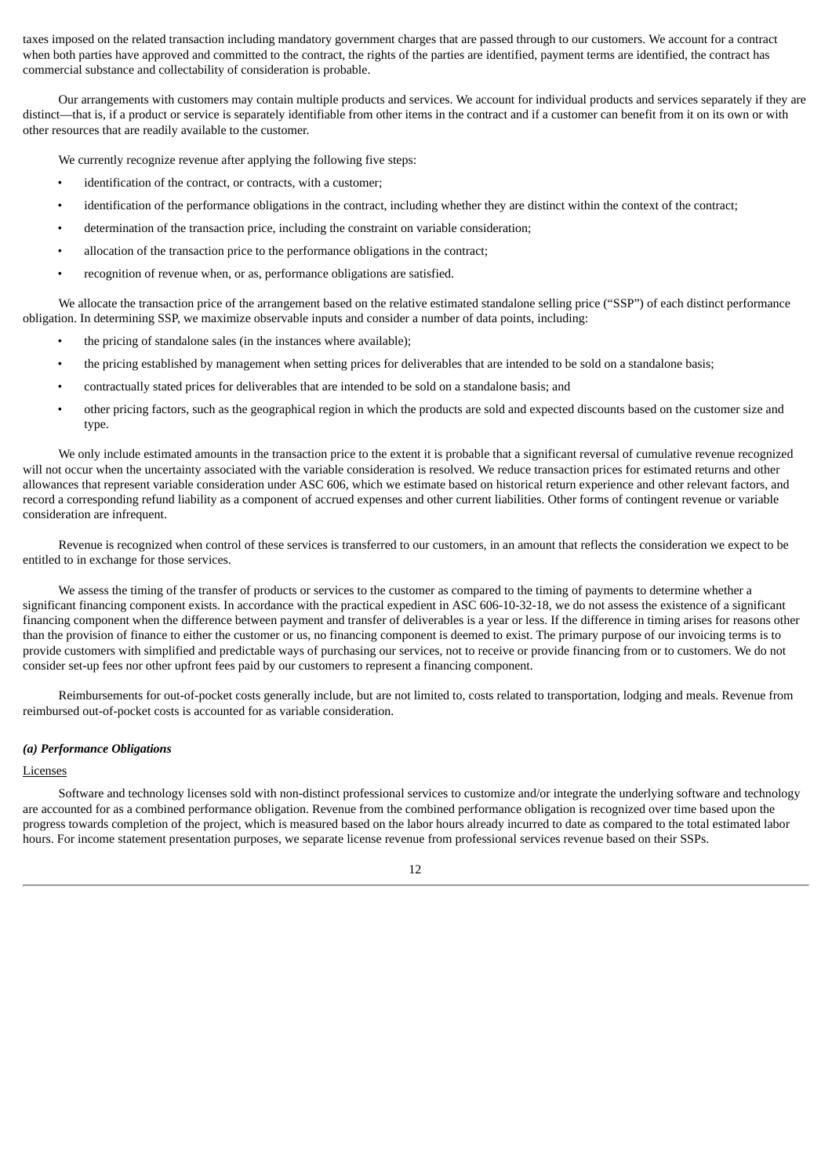taxes imposed on the related transaction including mandatory government charges that are passed through to our customers. We account for a contract when both parties have approved and committed to the contract, the rights of the parties are identified, payment terms are identified, the contract has commercial substance and collectability of consideration is probable.

Our arrangements with customers may contain multiple products and services. We account for individual products and services separately if they are distinct—that is, if a product or service is separately identifiable from other items in the contract and if a customer can benefit from it on its own or with other resources that are readily available to the customer.

We currently recognize revenue after applying the following five steps:

- identification of the contract, or contracts, with a customer;
- identification of the performance obligations in the contract, including whether they are distinct within the context of the contract;
- determination of the transaction price, including the constraint on variable consideration;
- allocation of the transaction price to the performance obligations in the contract;
- recognition of revenue when, or as, performance obligations are satisfied.

We allocate the transaction price of the arrangement based on the relative estimated standalone selling price ("SSP") of each distinct performance obligation. In determining SSP, we maximize observable inputs and consider a number of data points, including:

- the pricing of standalone sales (in the instances where available);
- the pricing established by management when setting prices for deliverables that are intended to be sold on a standalone basis;
- contractually stated prices for deliverables that are intended to be sold on a standalone basis; and
- other pricing factors, such as the geographical region in which the products are sold and expected discounts based on the customer size and type.

We only include estimated amounts in the transaction price to the extent it is probable that a significant reversal of cumulative revenue recognized will not occur when the uncertainty associated with the variable consideration is resolved. We reduce transaction prices for estimated returns and other allowances that represent variable consideration under ASC 606, which we estimate based on historical return experience and other relevant factors, and record a corresponding refund liability as a component of accrued expenses and other current liabilities. Other forms of contingent revenue or variable consideration are infrequent.

Revenue is recognized when control of these services is transferred to our customers, in an amount that reflects the consideration we expect to be entitled to in exchange for those services.

We assess the timing of the transfer of products or services to the customer as compared to the timing of payments to determine whether a significant financing component exists. In accordance with the practical expedient in ASC 606-10-32-18, we do not assess the existence of a significant financing component when the difference between payment and transfer of deliverables is a year or less. If the difference in timing arises for reasons other than the provision of finance to either the customer or us, no financing component is deemed to exist. The primary purpose of our invoicing terms is to provide customers with simplified and predictable ways of purchasing our services, not to receive or provide financing from or to customers. We do not consider set-up fees nor other upfront fees paid by our customers to represent a financing component.

Reimbursements for out-of-pocket costs generally include, but are not limited to, costs related to transportation, lodging and meals. Revenue from reimbursed out-of-pocket costs is accounted for as variable consideration.

#### *(a) Performance Obligations*

#### **Licenses**

Software and technology licenses sold with non-distinct professional services to customize and/or integrate the underlying software and technology are accounted for as a combined performance obligation. Revenue from the combined performance obligation is recognized over time based upon the progress towards completion of the project, which is measured based on the labor hours already incurred to date as compared to the total estimated labor hours. For income statement presentation purposes, we separate license revenue from professional services revenue based on their SSPs.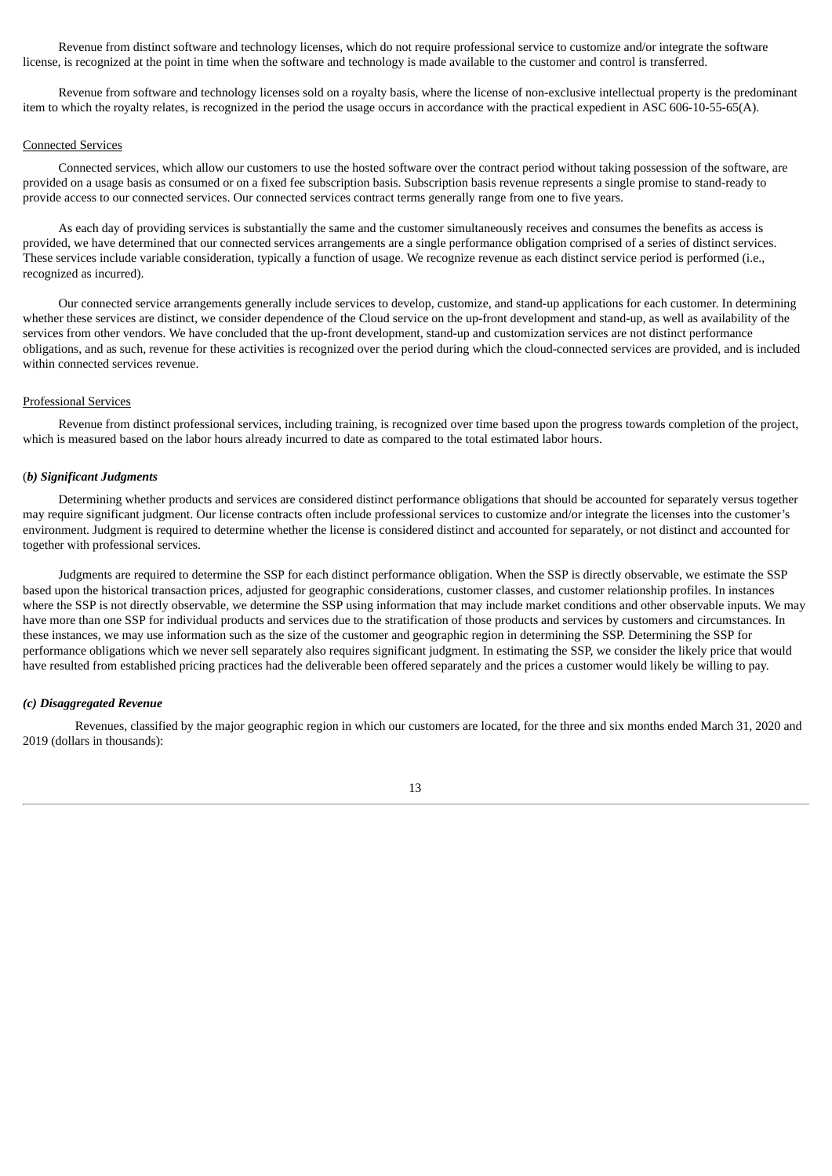Revenue from distinct software and technology licenses, which do not require professional service to customize and/or integrate the software license, is recognized at the point in time when the software and technology is made available to the customer and control is transferred.

Revenue from software and technology licenses sold on a royalty basis, where the license of non-exclusive intellectual property is the predominant item to which the royalty relates, is recognized in the period the usage occurs in accordance with the practical expedient in ASC 606-10-55-65(A).

#### Connected Services

Connected services, which allow our customers to use the hosted software over the contract period without taking possession of the software, are provided on a usage basis as consumed or on a fixed fee subscription basis. Subscription basis revenue represents a single promise to stand-ready to provide access to our connected services. Our connected services contract terms generally range from one to five years.

As each day of providing services is substantially the same and the customer simultaneously receives and consumes the benefits as access is provided, we have determined that our connected services arrangements are a single performance obligation comprised of a series of distinct services. These services include variable consideration, typically a function of usage. We recognize revenue as each distinct service period is performed (i.e., recognized as incurred).

Our connected service arrangements generally include services to develop, customize, and stand-up applications for each customer. In determining whether these services are distinct, we consider dependence of the Cloud service on the up-front development and stand-up, as well as availability of the services from other vendors. We have concluded that the up-front development, stand-up and customization services are not distinct performance obligations, and as such, revenue for these activities is recognized over the period during which the cloud-connected services are provided, and is included within connected services revenue.

#### Professional Services

Revenue from distinct professional services, including training, is recognized over time based upon the progress towards completion of the project, which is measured based on the labor hours already incurred to date as compared to the total estimated labor hours.

#### (*b) Significant Judgments*

Determining whether products and services are considered distinct performance obligations that should be accounted for separately versus together may require significant judgment. Our license contracts often include professional services to customize and/or integrate the licenses into the customer's environment. Judgment is required to determine whether the license is considered distinct and accounted for separately, or not distinct and accounted for together with professional services.

Judgments are required to determine the SSP for each distinct performance obligation. When the SSP is directly observable, we estimate the SSP based upon the historical transaction prices, adjusted for geographic considerations, customer classes, and customer relationship profiles. In instances where the SSP is not directly observable, we determine the SSP using information that may include market conditions and other observable inputs. We may have more than one SSP for individual products and services due to the stratification of those products and services by customers and circumstances. In these instances, we may use information such as the size of the customer and geographic region in determining the SSP. Determining the SSP for performance obligations which we never sell separately also requires significant judgment. In estimating the SSP, we consider the likely price that would have resulted from established pricing practices had the deliverable been offered separately and the prices a customer would likely be willing to pay.

#### *(c) Disaggregated Revenue*

Revenues, classified by the major geographic region in which our customers are located, for the three and six months ended March 31, 2020 and 2019 (dollars in thousands):

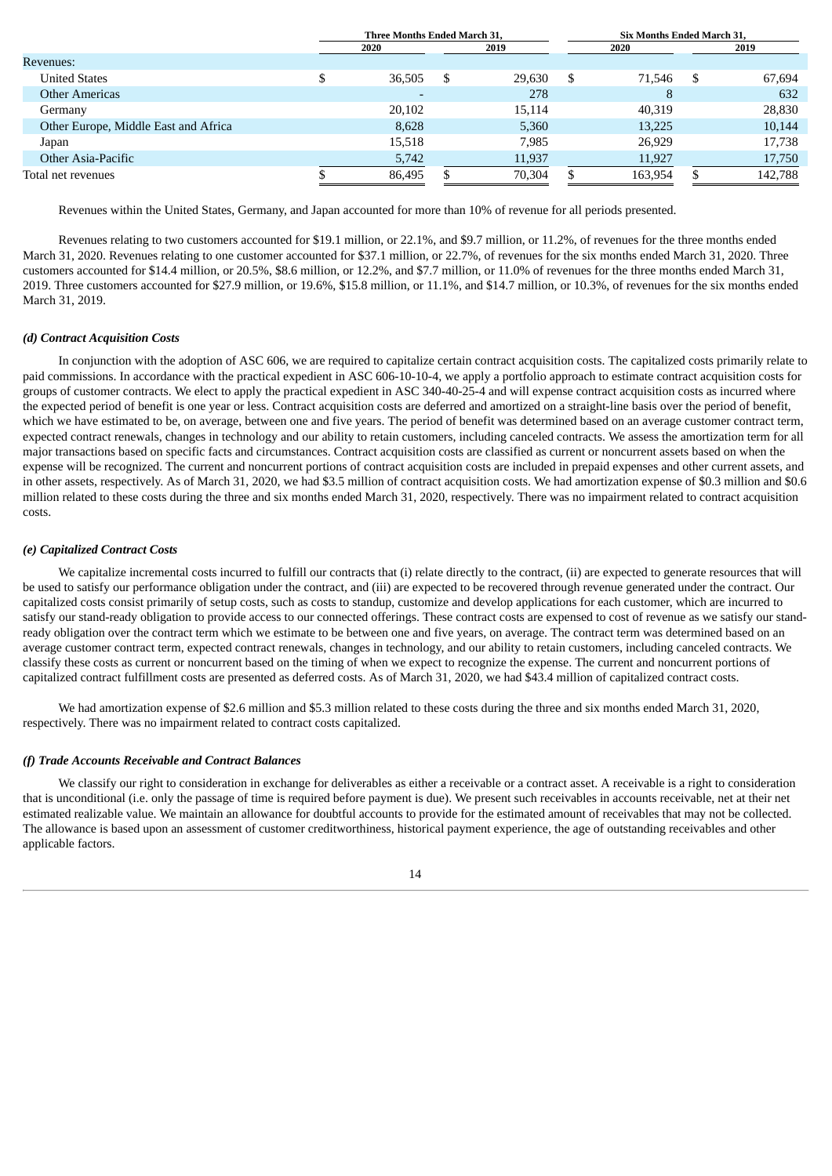|                                      | <b>Three Months Ended March 31.</b> |                          |   |        |   | <b>Six Months Ended March 31.</b> |    |         |  |  |  |
|--------------------------------------|-------------------------------------|--------------------------|---|--------|---|-----------------------------------|----|---------|--|--|--|
|                                      |                                     | 2020                     |   | 2019   |   | 2020                              |    | 2019    |  |  |  |
| Revenues:                            |                                     |                          |   |        |   |                                   |    |         |  |  |  |
| <b>United States</b>                 | S                                   | 36,505                   | S | 29.630 | S | 71,546                            | S. | 67,694  |  |  |  |
| <b>Other Americas</b>                |                                     | $\overline{\phantom{0}}$ |   | 278    |   | 8                                 |    | 632     |  |  |  |
| Germany                              |                                     | 20,102                   |   | 15,114 |   | 40,319                            |    | 28,830  |  |  |  |
| Other Europe, Middle East and Africa |                                     | 8,628                    |   | 5,360  |   | 13,225                            |    | 10,144  |  |  |  |
| Japan                                |                                     | 15,518                   |   | 7,985  |   | 26,929                            |    | 17.738  |  |  |  |
| Other Asia-Pacific                   |                                     | 5,742                    |   | 11,937 |   | 11,927                            |    | 17,750  |  |  |  |
| Total net revenues                   |                                     | 86,495                   |   | 70,304 |   | 163,954                           |    | 142,788 |  |  |  |

Revenues within the United States, Germany, and Japan accounted for more than 10% of revenue for all periods presented.

Revenues relating to two customers accounted for \$19.1 million, or 22.1%, and \$9.7 million, or 11.2%, of revenues for the three months ended March 31, 2020. Revenues relating to one customer accounted for \$37.1 million, or 22.7%, of revenues for the six months ended March 31, 2020. Three customers accounted for \$14.4 million, or 20.5%, \$8.6 million, or 12.2%, and \$7.7 million, or 11.0% of revenues for the three months ended March 31, 2019. Three customers accounted for \$27.9 million, or 19.6%, \$15.8 million, or 11.1%, and \$14.7 million, or 10.3%, of revenues for the six months ended March 31, 2019.

#### *(d) Contract Acquisition Costs*

In conjunction with the adoption of ASC 606, we are required to capitalize certain contract acquisition costs. The capitalized costs primarily relate to paid commissions. In accordance with the practical expedient in ASC 606-10-10-4, we apply a portfolio approach to estimate contract acquisition costs for groups of customer contracts. We elect to apply the practical expedient in ASC 340-40-25-4 and will expense contract acquisition costs as incurred where the expected period of benefit is one year or less. Contract acquisition costs are deferred and amortized on a straight-line basis over the period of benefit, which we have estimated to be, on average, between one and five years. The period of benefit was determined based on an average customer contract term, expected contract renewals, changes in technology and our ability to retain customers, including canceled contracts. We assess the amortization term for all major transactions based on specific facts and circumstances. Contract acquisition costs are classified as current or noncurrent assets based on when the expense will be recognized. The current and noncurrent portions of contract acquisition costs are included in prepaid expenses and other current assets, and in other assets, respectively. As of March 31, 2020, we had \$3.5 million of contract acquisition costs. We had amortization expense of \$0.3 million and \$0.6 million related to these costs during the three and six months ended March 31, 2020, respectively. There was no impairment related to contract acquisition costs.

#### *(e) Capitalized Contract Costs*

We capitalize incremental costs incurred to fulfill our contracts that (i) relate directly to the contract, (ii) are expected to generate resources that will be used to satisfy our performance obligation under the contract, and (iii) are expected to be recovered through revenue generated under the contract. Our capitalized costs consist primarily of setup costs, such as costs to standup, customize and develop applications for each customer, which are incurred to satisfy our stand-ready obligation to provide access to our connected offerings. These contract costs are expensed to cost of revenue as we satisfy our standready obligation over the contract term which we estimate to be between one and five years, on average. The contract term was determined based on an average customer contract term, expected contract renewals, changes in technology, and our ability to retain customers, including canceled contracts. We classify these costs as current or noncurrent based on the timing of when we expect to recognize the expense. The current and noncurrent portions of capitalized contract fulfillment costs are presented as deferred costs. As of March 31, 2020, we had \$43.4 million of capitalized contract costs.

We had amortization expense of \$2.6 million and \$5.3 million related to these costs during the three and six months ended March 31, 2020, respectively. There was no impairment related to contract costs capitalized.

#### *(f) Trade Accounts Receivable and Contract Balances*

We classify our right to consideration in exchange for deliverables as either a receivable or a contract asset. A receivable is a right to consideration that is unconditional (i.e. only the passage of time is required before payment is due). We present such receivables in accounts receivable, net at their net estimated realizable value. We maintain an allowance for doubtful accounts to provide for the estimated amount of receivables that may not be collected. The allowance is based upon an assessment of customer creditworthiness, historical payment experience, the age of outstanding receivables and other applicable factors.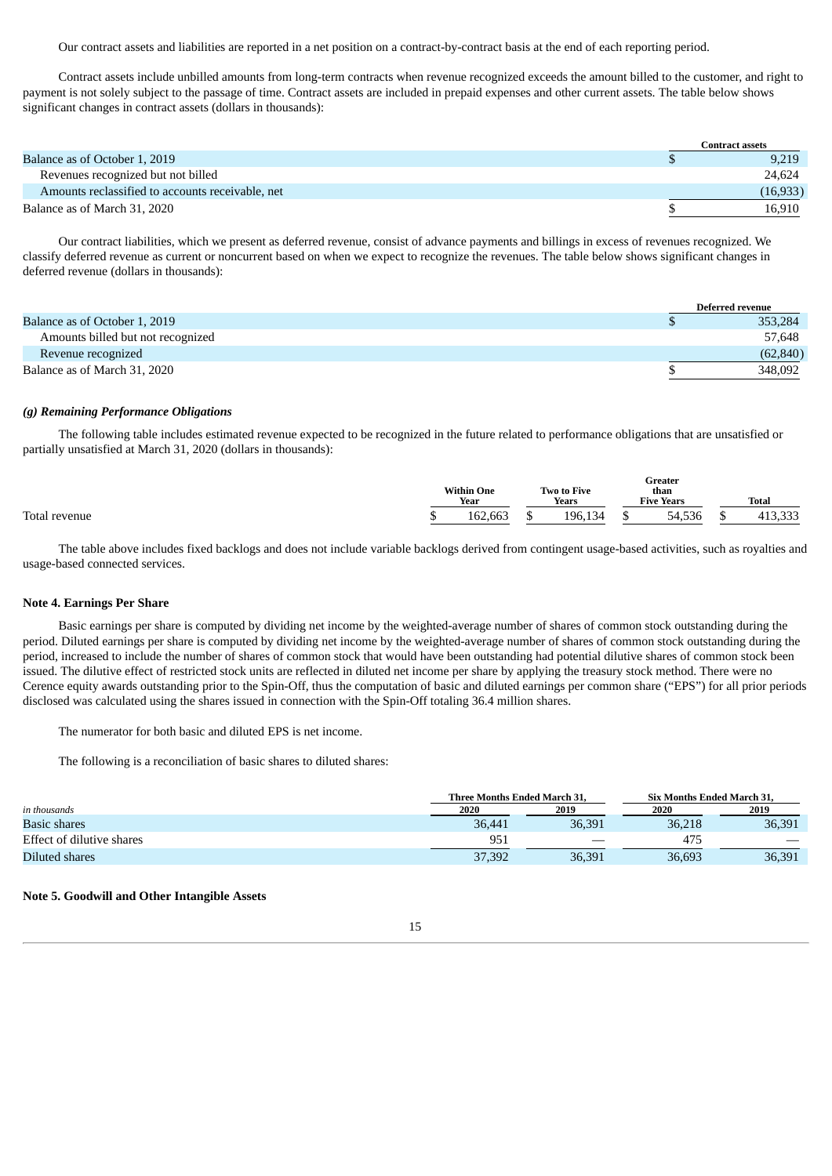Our contract assets and liabilities are reported in a net position on a contract-by-contract basis at the end of each reporting period.

Contract assets include unbilled amounts from long-term contracts when revenue recognized exceeds the amount billed to the customer, and right to payment is not solely subject to the passage of time. Contract assets are included in prepaid expenses and other current assets. The table below shows significant changes in contract assets (dollars in thousands):

|                                                  | <b>Contract assets</b> |
|--------------------------------------------------|------------------------|
| Balance as of October 1, 2019                    | 9,219                  |
| Revenues recognized but not billed               | 24.624                 |
| Amounts reclassified to accounts receivable, net | (16, 933)              |
| Balance as of March 31, 2020                     | 16.910                 |

Our contract liabilities, which we present as deferred revenue, consist of advance payments and billings in excess of revenues recognized. We classify deferred revenue as current or noncurrent based on when we expect to recognize the revenues. The table below shows significant changes in deferred revenue (dollars in thousands):

|                                   | <b>Deferred revenue</b> |
|-----------------------------------|-------------------------|
| Balance as of October 1, 2019     | 353.284                 |
| Amounts billed but not recognized | 57.648                  |
| Revenue recognized                | (62, 840)               |
| Balance as of March 31, 2020      | 348,092                 |

#### *(g) Remaining Performance Obligations*

The following table includes estimated revenue expected to be recognized in the future related to performance obligations that are unsatisfied or partially unsatisfied at March 31, 2020 (dollars in thousands):

|               | <b>Within One</b><br>Year |         | Two to Five<br>Years |         | Greater<br>than<br><b>Five Years</b> |        | <b>Total</b> |                  |
|---------------|---------------------------|---------|----------------------|---------|--------------------------------------|--------|--------------|------------------|
| Total revenue |                           | 162.663 |                      | 196.134 |                                      | 54,536 |              | ר ברי<br>413,333 |

The table above includes fixed backlogs and does not include variable backlogs derived from contingent usage-based activities, such as royalties and usage-based connected services.

#### **Note 4. Earnings Per Share**

Basic earnings per share is computed by dividing net income by the weighted-average number of shares of common stock outstanding during the period. Diluted earnings per share is computed by dividing net income by the weighted-average number of shares of common stock outstanding during the period, increased to include the number of shares of common stock that would have been outstanding had potential dilutive shares of common stock been issued. The dilutive effect of restricted stock units are reflected in diluted net income per share by applying the treasury stock method. There were no Cerence equity awards outstanding prior to the Spin-Off, thus the computation of basic and diluted earnings per common share ("EPS") for all prior periods disclosed was calculated using the shares issued in connection with the Spin-Off totaling 36.4 million shares.

The numerator for both basic and diluted EPS is net income.

The following is a reconciliation of basic shares to diluted shares:

|                           | <b>Three Months Ended March 31.</b> |        | <b>Six Months Ended March 31.</b> |        |
|---------------------------|-------------------------------------|--------|-----------------------------------|--------|
| in thousands              | 2020<br>2019                        |        | 2020                              | 2019   |
| Basic shares              | 36.441                              | 36,391 | 36,218                            | 36,391 |
| Effect of dilutive shares | 951                                 |        | 475                               |        |
| Diluted shares            | 37,392                              | 36,391 | 36.693                            | 36,391 |

#### **Note 5. Goodwill and Other Intangible Assets**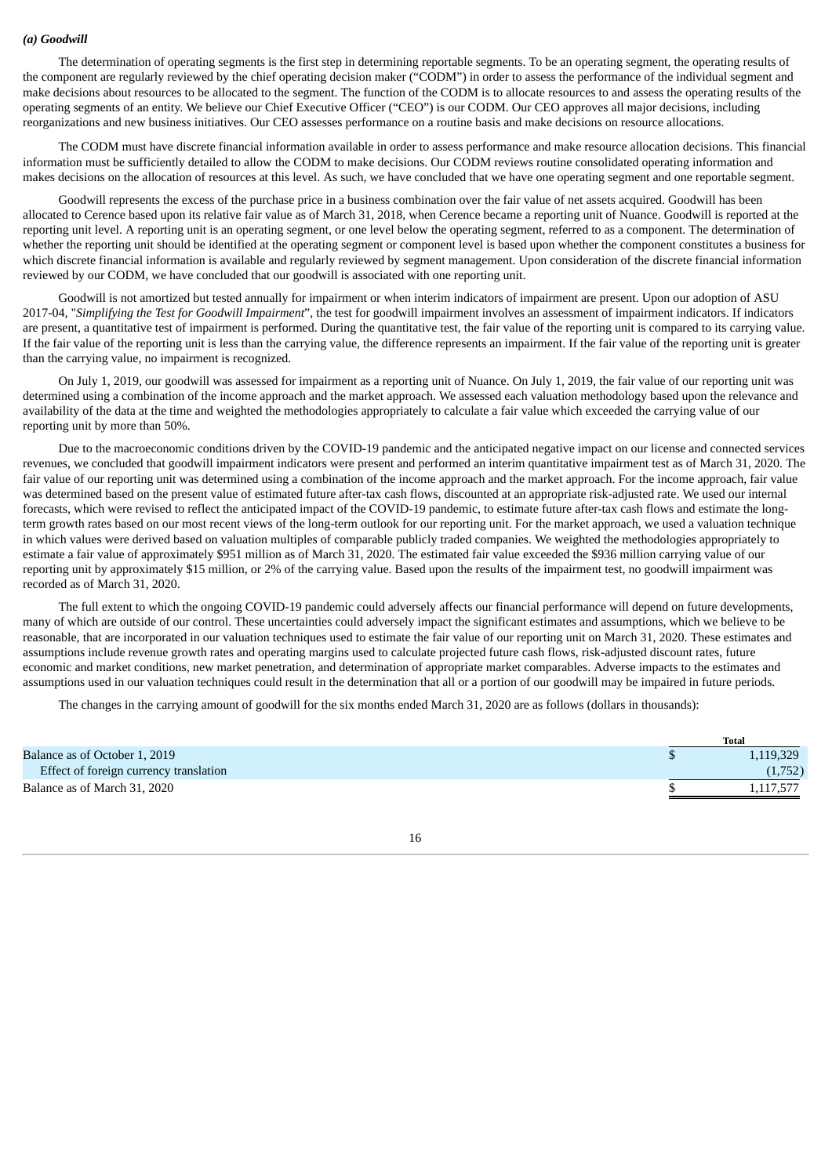#### *(a) Goodwill*

The determination of operating segments is the first step in determining reportable segments. To be an operating segment, the operating results of the component are regularly reviewed by the chief operating decision maker ("CODM") in order to assess the performance of the individual segment and make decisions about resources to be allocated to the segment. The function of the CODM is to allocate resources to and assess the operating results of the operating segments of an entity. We believe our Chief Executive Officer ("CEO") is our CODM. Our CEO approves all major decisions, including reorganizations and new business initiatives. Our CEO assesses performance on a routine basis and make decisions on resource allocations.

The CODM must have discrete financial information available in order to assess performance and make resource allocation decisions. This financial information must be sufficiently detailed to allow the CODM to make decisions. Our CODM reviews routine consolidated operating information and makes decisions on the allocation of resources at this level. As such, we have concluded that we have one operating segment and one reportable segment.

Goodwill represents the excess of the purchase price in a business combination over the fair value of net assets acquired. Goodwill has been allocated to Cerence based upon its relative fair value as of March 31, 2018, when Cerence became a reporting unit of Nuance. Goodwill is reported at the reporting unit level. A reporting unit is an operating segment, or one level below the operating segment, referred to as a component. The determination of whether the reporting unit should be identified at the operating segment or component level is based upon whether the component constitutes a business for which discrete financial information is available and regularly reviewed by segment management. Upon consideration of the discrete financial information reviewed by our CODM, we have concluded that our goodwill is associated with one reporting unit.

Goodwill is not amortized but tested annually for impairment or when interim indicators of impairment are present. Upon our adoption of ASU 2017-04, "*Simplifying the Test for Goodwill Impairment*", the test for goodwill impairment involves an assessment of impairment indicators. If indicators are present, a quantitative test of impairment is performed. During the quantitative test, the fair value of the reporting unit is compared to its carrying value. If the fair value of the reporting unit is less than the carrying value, the difference represents an impairment. If the fair value of the reporting unit is greater than the carrying value, no impairment is recognized.

On July 1, 2019, our goodwill was assessed for impairment as a reporting unit of Nuance. On July 1, 2019, the fair value of our reporting unit was determined using a combination of the income approach and the market approach. We assessed each valuation methodology based upon the relevance and availability of the data at the time and weighted the methodologies appropriately to calculate a fair value which exceeded the carrying value of our reporting unit by more than 50%.

Due to the macroeconomic conditions driven by the COVID-19 pandemic and the anticipated negative impact on our license and connected services revenues, we concluded that goodwill impairment indicators were present and performed an interim quantitative impairment test as of March 31, 2020. The fair value of our reporting unit was determined using a combination of the income approach and the market approach. For the income approach, fair value was determined based on the present value of estimated future after-tax cash flows, discounted at an appropriate risk-adjusted rate. We used our internal forecasts, which were revised to reflect the anticipated impact of the COVID-19 pandemic, to estimate future after-tax cash flows and estimate the longterm growth rates based on our most recent views of the long-term outlook for our reporting unit. For the market approach, we used a valuation technique in which values were derived based on valuation multiples of comparable publicly traded companies. We weighted the methodologies appropriately to estimate a fair value of approximately \$951 million as of March 31, 2020. The estimated fair value exceeded the \$936 million carrying value of our reporting unit by approximately \$15 million, or 2% of the carrying value. Based upon the results of the impairment test, no goodwill impairment was recorded as of March 31, 2020.

The full extent to which the ongoing COVID-19 pandemic could adversely affects our financial performance will depend on future developments, many of which are outside of our control. These uncertainties could adversely impact the significant estimates and assumptions, which we believe to be reasonable, that are incorporated in our valuation techniques used to estimate the fair value of our reporting unit on March 31, 2020. These estimates and assumptions include revenue growth rates and operating margins used to calculate projected future cash flows, risk-adjusted discount rates, future economic and market conditions, new market penetration, and determination of appropriate market comparables. Adverse impacts to the estimates and assumptions used in our valuation techniques could result in the determination that all or a portion of our goodwill may be impaired in future periods.

The changes in the carrying amount of goodwill for the six months ended March 31, 2020 are as follows (dollars in thousands):

|                                        | <b>Total</b> |
|----------------------------------------|--------------|
| Balance as of October 1, 2019          | 1.119.329    |
| Effect of foreign currency translation | (1,752)      |
| Balance as of March 31, 2020           | .117.577     |
|                                        |              |

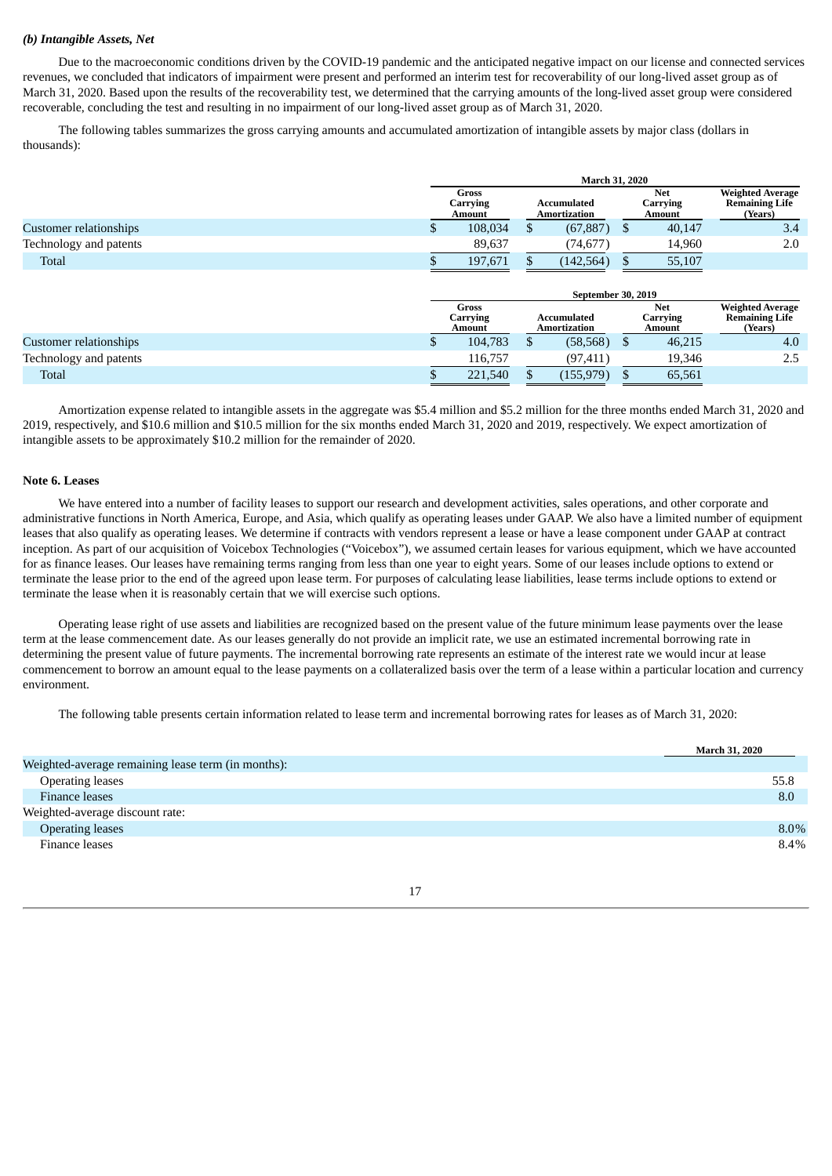#### *(b) Intangible Assets, Net*

Due to the macroeconomic conditions driven by the COVID-19 pandemic and the anticipated negative impact on our license and connected services revenues, we concluded that indicators of impairment were present and performed an interim test for recoverability of our long-lived asset group as of March 31, 2020. Based upon the results of the recoverability test, we determined that the carrying amounts of the long-lived asset group were considered recoverable, concluding the test and resulting in no impairment of our long-lived asset group as of March 31, 2020.

The following tables summarizes the gross carrying amounts and accumulated amortization of intangible assets by major class (dollars in thousands):

|                        |    | March 31, 2020                     |                                    |                           |                                  |                                                             |  |
|------------------------|----|------------------------------------|------------------------------------|---------------------------|----------------------------------|-------------------------------------------------------------|--|
|                        |    | <b>Gross</b><br>Carrying<br>Amount |                                    | Net<br>Carrying<br>Amount |                                  | <b>Weighted Average</b><br><b>Remaining Life</b><br>(Years) |  |
| Customer relationships | J. | 108,034                            | (67, 887)<br>S                     | -S                        | 40,147                           | 3.4                                                         |  |
| Technology and patents |    | 89,637                             | (74, 677)                          |                           | 14,960                           | 2.0                                                         |  |
| <b>Total</b>           |    | 197,671                            | (142, 564)<br>S                    |                           | 55,107                           |                                                             |  |
|                        |    | <b>September 30, 2019</b>          |                                    |                           |                                  |                                                             |  |
|                        |    | <b>Gross</b><br>Carrying<br>Amount | <b>Accumulated</b><br>Amortization |                           | <b>Net</b><br>Carrying<br>Amount | <b>Weighted Average</b><br><b>Remaining Life</b><br>(Years) |  |
| Customer relationships |    | 104,783                            | (58, 568)<br>S                     | - \$                      | 46,215                           | 4.0                                                         |  |
| Technology and patents |    | 116,757                            | (97, 411)                          |                           | 19,346                           | 2.5                                                         |  |
| <b>Total</b>           |    | 221,540                            | (155, 979)<br>\$                   | -\$                       | 65,561                           |                                                             |  |

Amortization expense related to intangible assets in the aggregate was \$5.4 million and \$5.2 million for the three months ended March 31, 2020 and 2019, respectively, and \$10.6 million and \$10.5 million for the six months ended March 31, 2020 and 2019, respectively. We expect amortization of intangible assets to be approximately \$10.2 million for the remainder of 2020.

## **Note 6. Leases**

We have entered into a number of facility leases to support our research and development activities, sales operations, and other corporate and administrative functions in North America, Europe, and Asia, which qualify as operating leases under GAAP. We also have a limited number of equipment leases that also qualify as operating leases. We determine if contracts with vendors represent a lease or have a lease component under GAAP at contract inception. As part of our acquisition of Voicebox Technologies ("Voicebox"), we assumed certain leases for various equipment, which we have accounted for as finance leases. Our leases have remaining terms ranging from less than one year to eight years. Some of our leases include options to extend or terminate the lease prior to the end of the agreed upon lease term. For purposes of calculating lease liabilities, lease terms include options to extend or terminate the lease when it is reasonably certain that we will exercise such options.

Operating lease right of use assets and liabilities are recognized based on the present value of the future minimum lease payments over the lease term at the lease commencement date. As our leases generally do not provide an implicit rate, we use an estimated incremental borrowing rate in determining the present value of future payments. The incremental borrowing rate represents an estimate of the interest rate we would incur at lease commencement to borrow an amount equal to the lease payments on a collateralized basis over the term of a lease within a particular location and currency environment.

The following table presents certain information related to lease term and incremental borrowing rates for leases as of March 31, 2020:

|                                                    | <b>March 31, 2020</b> |
|----------------------------------------------------|-----------------------|
| Weighted-average remaining lease term (in months): |                       |
| <b>Operating leases</b>                            | 55.8                  |
| Finance leases                                     | 8.0                   |
| Weighted-average discount rate:                    |                       |
| <b>Operating leases</b>                            | 8.0%                  |
| Finance leases                                     | 8.4%                  |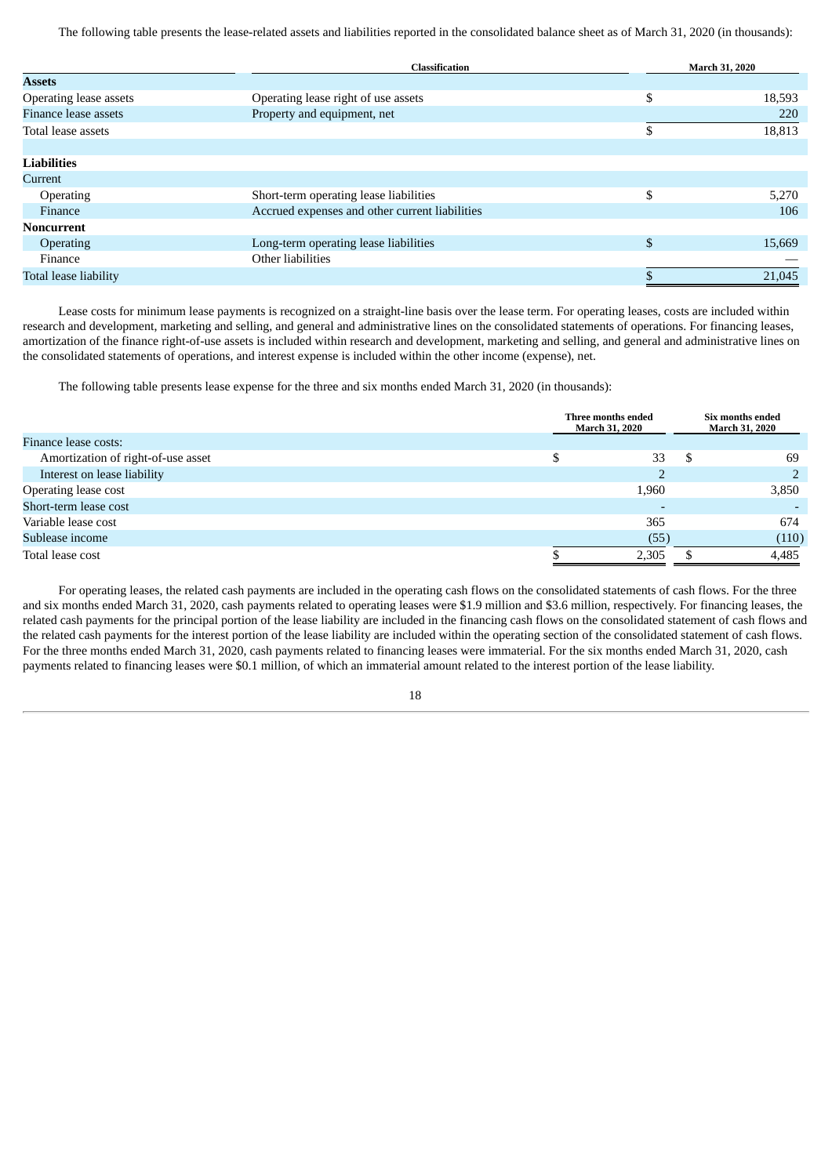The following table presents the lease-related assets and liabilities reported in the consolidated balance sheet as of March 31, 2020 (in thousands):

|                        | <b>Classification</b>                          | March 31, 2020 |        |  |
|------------------------|------------------------------------------------|----------------|--------|--|
| <b>Assets</b>          |                                                |                |        |  |
| Operating lease assets | Operating lease right of use assets            | \$             | 18,593 |  |
| Finance lease assets   | Property and equipment, net                    |                | 220    |  |
| Total lease assets     |                                                | \$             | 18,813 |  |
|                        |                                                |                |        |  |
| <b>Liabilities</b>     |                                                |                |        |  |
| <b>Current</b>         |                                                |                |        |  |
| Operating              | Short-term operating lease liabilities         | \$             | 5,270  |  |
| Finance                | Accrued expenses and other current liabilities |                | 106    |  |
| <b>Noncurrent</b>      |                                                |                |        |  |
| <b>Operating</b>       | Long-term operating lease liabilities          | \$             | 15,669 |  |
| Finance                | Other liabilities                              |                |        |  |
| Total lease liability  |                                                |                | 21,045 |  |

Lease costs for minimum lease payments is recognized on a straight-line basis over the lease term. For operating leases, costs are included within research and development, marketing and selling, and general and administrative lines on the consolidated statements of operations. For financing leases, amortization of the finance right-of-use assets is included within research and development, marketing and selling, and general and administrative lines on the consolidated statements of operations, and interest expense is included within the other income (expense), net.

The following table presents lease expense for the three and six months ended March 31, 2020 (in thousands):

|                                    | Three months ended<br><b>March 31, 2020</b> |     | Six months ended<br><b>March 31, 2020</b> |
|------------------------------------|---------------------------------------------|-----|-------------------------------------------|
| Finance lease costs:               |                                             |     |                                           |
| Amortization of right-of-use asset | 33                                          | \$. | 69                                        |
| Interest on lease liability        |                                             |     |                                           |
| Operating lease cost               | 1,960                                       |     | 3,850                                     |
| Short-term lease cost              |                                             |     |                                           |
| Variable lease cost                | 365                                         |     | 674                                       |
| Sublease income                    | (55)                                        |     | (110)                                     |
| Total lease cost                   | 2,305                                       |     | 4,485                                     |

For operating leases, the related cash payments are included in the operating cash flows on the consolidated statements of cash flows. For the three and six months ended March 31, 2020, cash payments related to operating leases were \$1.9 million and \$3.6 million, respectively. For financing leases, the related cash payments for the principal portion of the lease liability are included in the financing cash flows on the consolidated statement of cash flows and the related cash payments for the interest portion of the lease liability are included within the operating section of the consolidated statement of cash flows. For the three months ended March 31, 2020, cash payments related to financing leases were immaterial. For the six months ended March 31, 2020, cash payments related to financing leases were \$0.1 million, of which an immaterial amount related to the interest portion of the lease liability.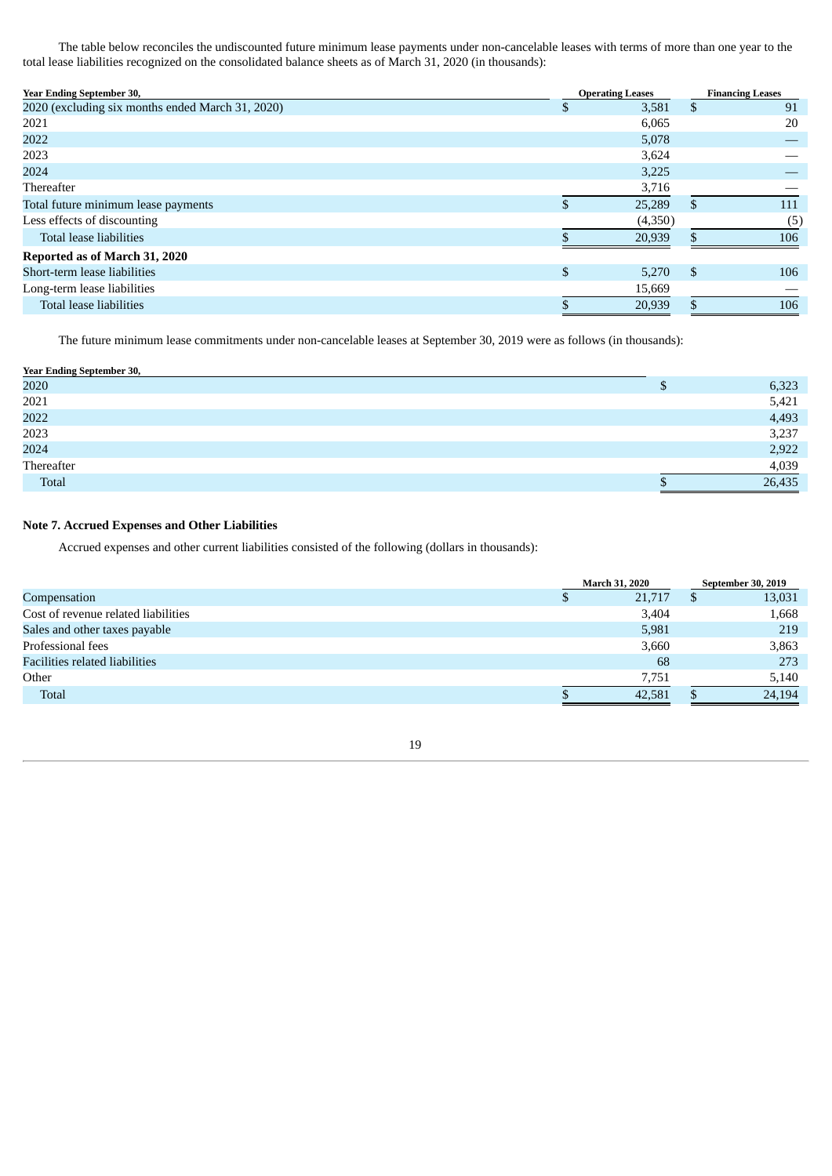The table below reconciles the undiscounted future minimum lease payments under non-cancelable leases with terms of more than one year to the total lease liabilities recognized on the consolidated balance sheets as of March 31, 2020 (in thousands):

| <b>Year Ending September 30,</b>                 | <b>Operating Leases</b> | <b>Financing Leases</b> |     |  |
|--------------------------------------------------|-------------------------|-------------------------|-----|--|
| 2020 (excluding six months ended March 31, 2020) | \$<br>3,581             | \$                      | 91  |  |
| 2021                                             | 6,065                   |                         | 20  |  |
| 2022                                             | 5,078                   |                         |     |  |
| 2023                                             | 3,624                   |                         |     |  |
| 2024                                             | 3,225                   |                         |     |  |
| Thereafter                                       | 3,716                   |                         |     |  |
| Total future minimum lease payments              | 25,289                  | \$                      | 111 |  |
| Less effects of discounting                      | (4,350)                 |                         | (5) |  |
| Total lease liabilities                          | 20,939                  |                         | 106 |  |
| Reported as of March 31, 2020                    |                         |                         |     |  |
| Short-term lease liabilities                     | \$<br>5,270             | $\mathbb{S}$            | 106 |  |
| Long-term lease liabilities                      | 15,669                  |                         |     |  |
| Total lease liabilities                          | 20,939                  |                         | 106 |  |

The future minimum lease commitments under non-cancelable leases at September 30, 2019 were as follows (in thousands):

| <b>Year Ending September 30,</b> |        |
|----------------------------------|--------|
| 2020                             | 6,323  |
| 2021                             | 5,421  |
| 2022                             | 4,493  |
| 2023                             | 3,237  |
| 2024                             | 2,922  |
| Thereafter                       | 4,039  |
| Total                            | 26,435 |

## **Note 7. Accrued Expenses and Other Liabilities**

Accrued expenses and other current liabilities consisted of the following (dollars in thousands):

|                                     | <b>March 31, 2020</b> | September 30, 2019 |
|-------------------------------------|-----------------------|--------------------|
| <b>Compensation</b>                 | 21,717                | 13,031             |
| Cost of revenue related liabilities | 3,404                 | 1,668              |
| Sales and other taxes payable       | 5,981                 | 219                |
| Professional fees                   | 3,660                 | 3,863              |
| Facilities related liabilities      | 68                    | 273                |
| Other                               | 7,751                 | 5,140              |
| <b>Total</b>                        | 42,581                | 24,194             |
|                                     |                       |                    |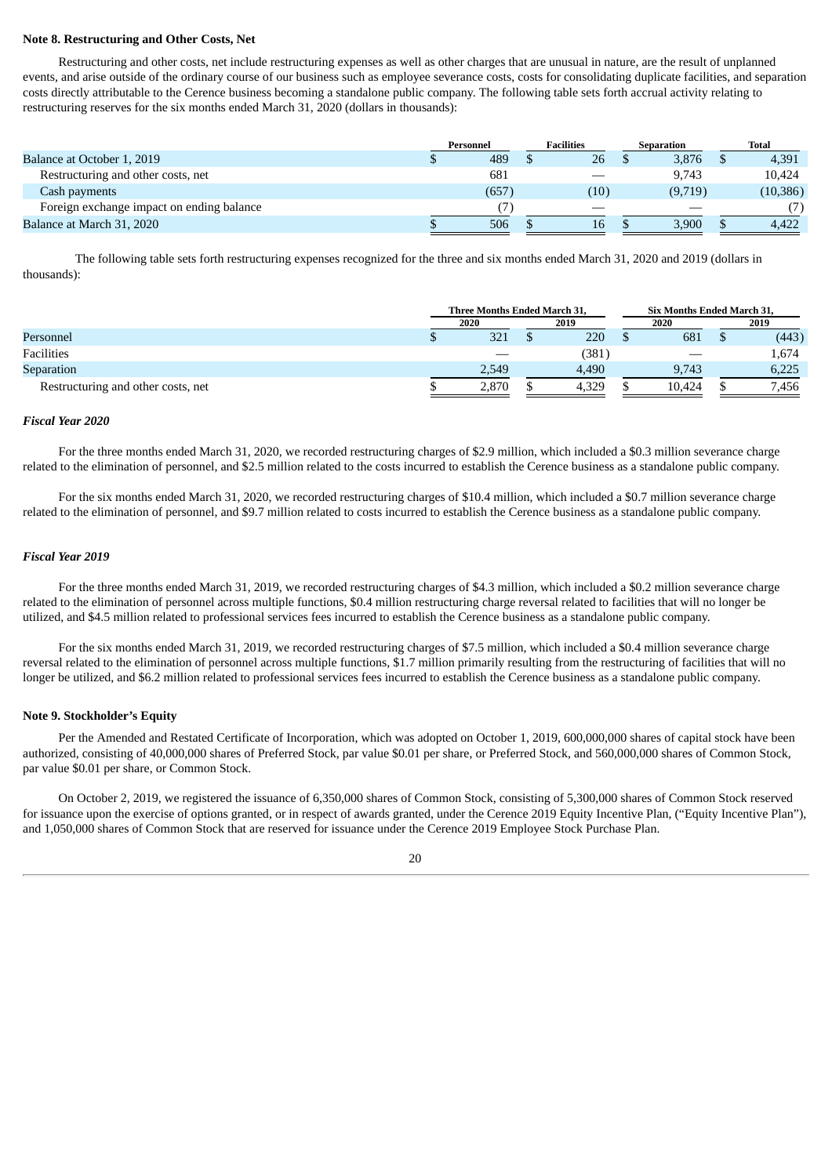#### **Note 8. Restructuring and Other Costs, Net**

Restructuring and other costs, net include restructuring expenses as well as other charges that are unusual in nature, are the result of unplanned events, and arise outside of the ordinary course of our business such as employee severance costs, costs for consolidating duplicate facilities, and separation costs directly attributable to the Cerence business becoming a standalone public company. The following table sets forth accrual activity relating to restructuring reserves for the six months ended March 31, 2020 (dollars in thousands):

|                                           | Personnel | <b>Facilities</b> | Separation | Total     |
|-------------------------------------------|-----------|-------------------|------------|-----------|
| Balance at October 1, 2019                | 489       | 26                | 3.876      | 4,391     |
| Restructuring and other costs, net        | 681       |                   | 9.743      | 10.424    |
| Cash payments                             | (657)     | (10)              | (9,719)    | (10, 386) |
| Foreign exchange impact on ending balance |           |                   |            |           |
| Balance at March 31, 2020                 | 506       | 16                | 3.900      | 4,422     |

The following table sets forth restructuring expenses recognized for the three and six months ended March 31, 2020 and 2019 (dollars in thousands):

|                                    | <b>Three Months Ended March 31.</b> |  |       | Six Months Ended March 31. |        |  |       |  |
|------------------------------------|-------------------------------------|--|-------|----------------------------|--------|--|-------|--|
|                                    | 2020                                |  | 2019  |                            | 2020   |  | 2019  |  |
| Personnel                          | 321                                 |  | 220   |                            | 681    |  | (443) |  |
| Facilities                         |                                     |  | (381) |                            | __     |  | 1,674 |  |
| Separation                         | 2.549                               |  | 4.490 |                            | 9.743  |  | 6,225 |  |
| Restructuring and other costs, net | 2.870                               |  | 4,329 |                            | 10.424 |  | 7,456 |  |

## *Fiscal Year 2020*

For the three months ended March 31, 2020, we recorded restructuring charges of \$2.9 million, which included a \$0.3 million severance charge related to the elimination of personnel, and \$2.5 million related to the costs incurred to establish the Cerence business as a standalone public company.

For the six months ended March 31, 2020, we recorded restructuring charges of \$10.4 million, which included a \$0.7 million severance charge related to the elimination of personnel, and \$9.7 million related to costs incurred to establish the Cerence business as a standalone public company.

#### *Fiscal Year 2019*

For the three months ended March 31, 2019, we recorded restructuring charges of \$4.3 million, which included a \$0.2 million severance charge related to the elimination of personnel across multiple functions, \$0.4 million restructuring charge reversal related to facilities that will no longer be utilized, and \$4.5 million related to professional services fees incurred to establish the Cerence business as a standalone public company.

For the six months ended March 31, 2019, we recorded restructuring charges of \$7.5 million, which included a \$0.4 million severance charge reversal related to the elimination of personnel across multiple functions, \$1.7 million primarily resulting from the restructuring of facilities that will no longer be utilized, and \$6.2 million related to professional services fees incurred to establish the Cerence business as a standalone public company.

#### **Note 9. Stockholder's Equity**

Per the Amended and Restated Certificate of Incorporation, which was adopted on October 1, 2019, 600,000,000 shares of capital stock have been authorized, consisting of 40,000,000 shares of Preferred Stock, par value \$0.01 per share, or Preferred Stock, and 560,000,000 shares of Common Stock, par value \$0.01 per share, or Common Stock.

On October 2, 2019, we registered the issuance of 6,350,000 shares of Common Stock, consisting of 5,300,000 shares of Common Stock reserved for issuance upon the exercise of options granted, or in respect of awards granted, under the Cerence 2019 Equity Incentive Plan, ("Equity Incentive Plan"), and 1,050,000 shares of Common Stock that are reserved for issuance under the Cerence 2019 Employee Stock Purchase Plan.

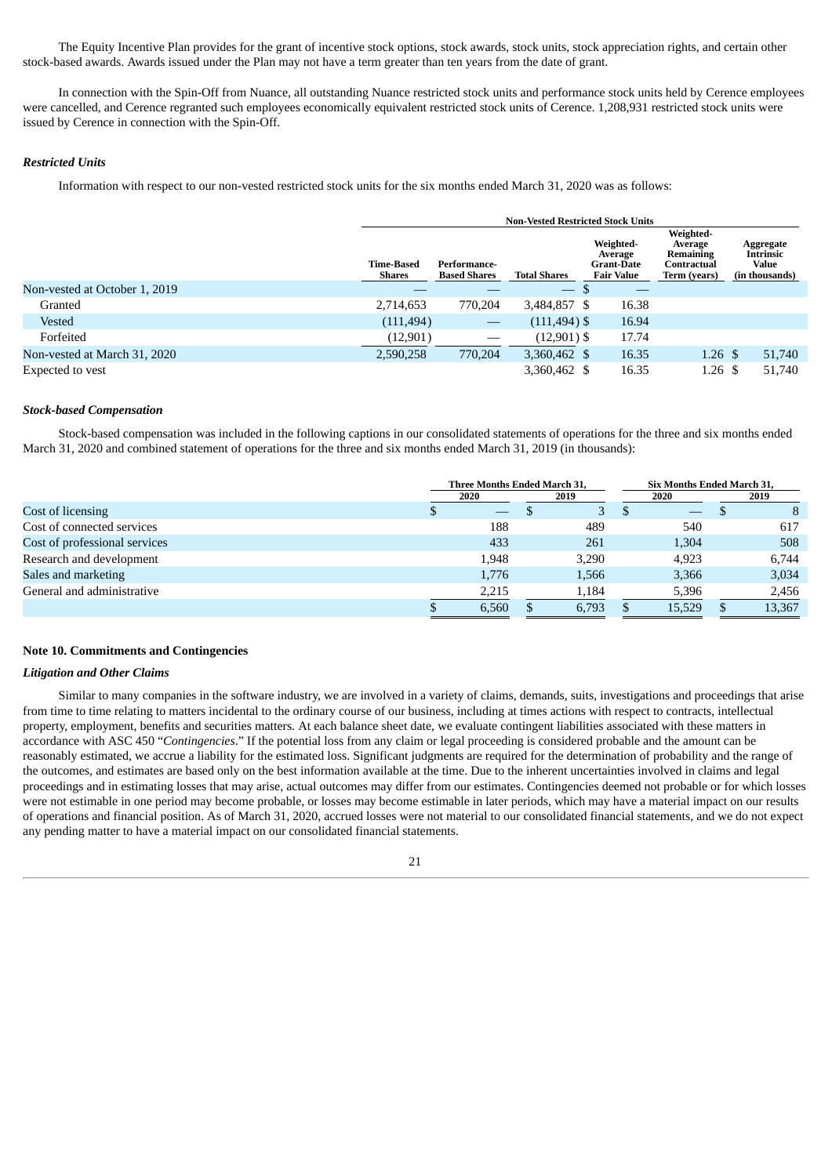The Equity Incentive Plan provides for the grant of incentive stock options, stock awards, stock units, stock appreciation rights, and certain other stock-based awards. Awards issued under the Plan may not have a term greater than ten years from the date of grant.

In connection with the Spin-Off from Nuance, all outstanding Nuance restricted stock units and performance stock units held by Cerence employees were cancelled, and Cerence regranted such employees economically equivalent restricted stock units of Cerence. 1,208,931 restricted stock units were issued by Cerence in connection with the Spin-Off.

#### *Restricted Units*

Information with respect to our non-vested restricted stock units for the six months ended March 31, 2020 was as follows:

|                               | <b>Non-Vested Restricted Stock Units</b> |                                     |                     |                                                                |                                                                  |                                                   |  |  |  |  |  |
|-------------------------------|------------------------------------------|-------------------------------------|---------------------|----------------------------------------------------------------|------------------------------------------------------------------|---------------------------------------------------|--|--|--|--|--|
|                               | <b>Time-Based</b><br>Shares              | Performance-<br><b>Based Shares</b> | <b>Total Shares</b> | Weighted-<br>Average<br><b>Grant-Date</b><br><b>Fair Value</b> | Weighted-<br>Average<br>Remaining<br>Contractual<br>Term (years) | Aggregate<br>Intrinsic<br>Value<br>(in thousands) |  |  |  |  |  |
| Non-vested at October 1, 2019 |                                          |                                     | $-$ \$              |                                                                |                                                                  |                                                   |  |  |  |  |  |
| Granted                       | 2,714,653                                | 770,204                             | 3,484,857 \$        | 16.38                                                          |                                                                  |                                                   |  |  |  |  |  |
| Vested                        | (111, 494)                               |                                     | $(111, 494)$ \$     | 16.94                                                          |                                                                  |                                                   |  |  |  |  |  |
| Forfeited                     | (12,901)                                 |                                     | $(12,901)$ \$       | 17.74                                                          |                                                                  |                                                   |  |  |  |  |  |
| Non-vested at March 31, 2020  | 2,590,258                                | 770,204                             | 3,360,462 \$        | 16.35                                                          | $1.26 \text{ }$ \$                                               | 51,740                                            |  |  |  |  |  |
| Expected to yest              |                                          |                                     | 3,360,462 \$        | 16.35                                                          | 1.26                                                             | 51,740                                            |  |  |  |  |  |

#### *Stock-based Compensation*

Stock-based compensation was included in the following captions in our consolidated statements of operations for the three and six months ended March 31, 2020 and combined statement of operations for the three and six months ended March 31, 2019 (in thousands):

|                               | <b>Three Months Ended March 31.</b> |  |       |        | <b>Six Months Ended March 31.</b> |        |
|-------------------------------|-------------------------------------|--|-------|--------|-----------------------------------|--------|
|                               | 2020                                |  | 2019  | 2020   |                                   | 2019   |
| Cost of licensing             |                                     |  | 3     |        |                                   | 8      |
| Cost of connected services    | 188                                 |  | 489   | 540    |                                   | 617    |
| Cost of professional services | 433                                 |  | 261   | 1,304  |                                   | 508    |
| Research and development      | 1,948                               |  | 3,290 | 4.923  |                                   | 6,744  |
| Sales and marketing           | 1,776                               |  | 1,566 | 3,366  |                                   | 3,034  |
| General and administrative    | 2,215                               |  | 1,184 | 5,396  |                                   | 2,456  |
|                               | 6,560                               |  | 6,793 | 15,529 |                                   | 13,367 |

#### **Note 10. Commitments and Contingencies**

#### *Litigation and Other Claims*

Similar to many companies in the software industry, we are involved in a variety of claims, demands, suits, investigations and proceedings that arise from time to time relating to matters incidental to the ordinary course of our business, including at times actions with respect to contracts, intellectual property, employment, benefits and securities matters. At each balance sheet date, we evaluate contingent liabilities associated with these matters in accordance with ASC 450 "*Contingencies*." If the potential loss from any claim or legal proceeding is considered probable and the amount can be reasonably estimated, we accrue a liability for the estimated loss. Significant judgments are required for the determination of probability and the range of the outcomes, and estimates are based only on the best information available at the time. Due to the inherent uncertainties involved in claims and legal proceedings and in estimating losses that may arise, actual outcomes may differ from our estimates. Contingencies deemed not probable or for which losses were not estimable in one period may become probable, or losses may become estimable in later periods, which may have a material impact on our results of operations and financial position. As of March 31, 2020, accrued losses were not material to our consolidated financial statements, and we do not expect any pending matter to have a material impact on our consolidated financial statements.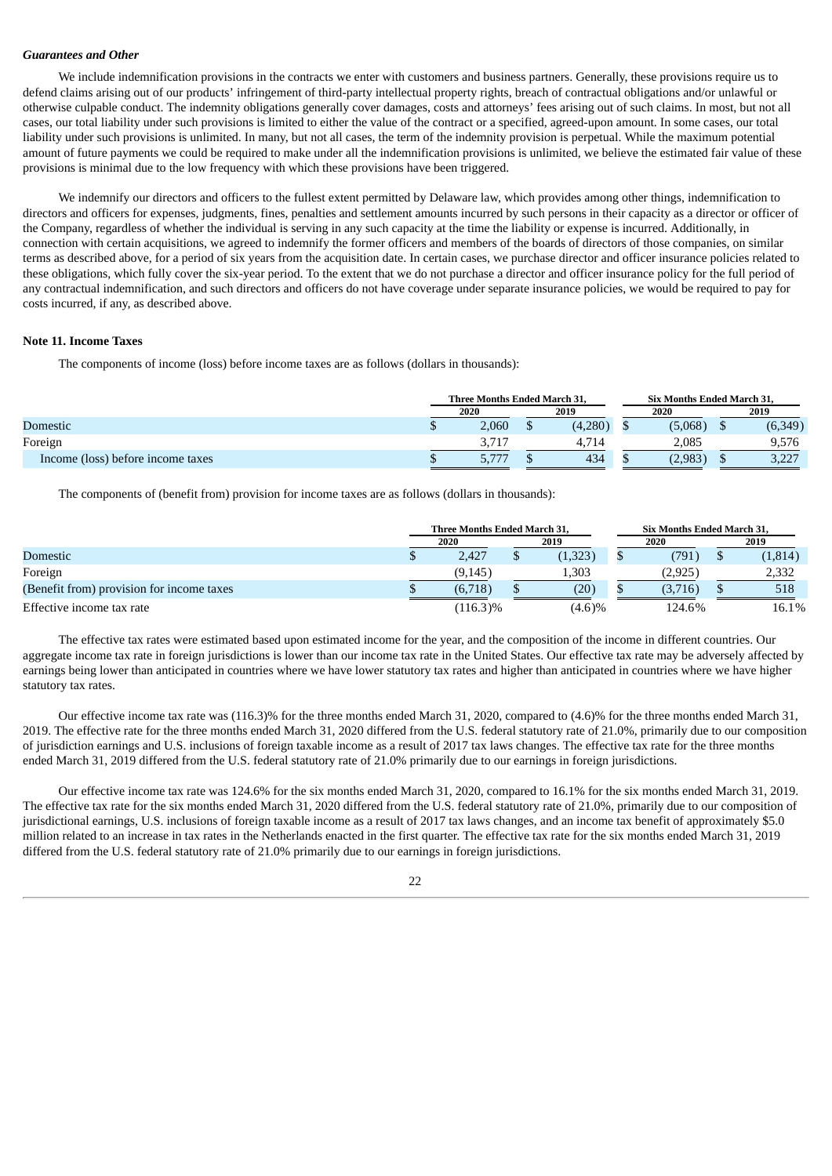#### *Guarantees and Other*

We include indemnification provisions in the contracts we enter with customers and business partners. Generally, these provisions require us to defend claims arising out of our products' infringement of third-party intellectual property rights, breach of contractual obligations and/or unlawful or otherwise culpable conduct. The indemnity obligations generally cover damages, costs and attorneys' fees arising out of such claims. In most, but not all cases, our total liability under such provisions is limited to either the value of the contract or a specified, agreed-upon amount. In some cases, our total liability under such provisions is unlimited. In many, but not all cases, the term of the indemnity provision is perpetual. While the maximum potential amount of future payments we could be required to make under all the indemnification provisions is unlimited, we believe the estimated fair value of these provisions is minimal due to the low frequency with which these provisions have been triggered.

We indemnify our directors and officers to the fullest extent permitted by Delaware law, which provides among other things, indemnification to directors and officers for expenses, judgments, fines, penalties and settlement amounts incurred by such persons in their capacity as a director or officer of the Company, regardless of whether the individual is serving in any such capacity at the time the liability or expense is incurred. Additionally, in connection with certain acquisitions, we agreed to indemnify the former officers and members of the boards of directors of those companies, on similar terms as described above, for a period of six years from the acquisition date. In certain cases, we purchase director and officer insurance policies related to these obligations, which fully cover the six-year period. To the extent that we do not purchase a director and officer insurance policy for the full period of any contractual indemnification, and such directors and officers do not have coverage under separate insurance policies, we would be required to pay for costs incurred, if any, as described above.

#### **Note 11. Income Taxes**

The components of income (loss) before income taxes are as follows (dollars in thousands):

|                                   | <b>Three Months Ended March 31.</b> |       |  |         | <b>Six Months Ended March 31.</b> |         |      |         |
|-----------------------------------|-------------------------------------|-------|--|---------|-----------------------------------|---------|------|---------|
|                                   | 2020                                |       |  | 2019    | 2020                              |         | 2019 |         |
| Domestic                          |                                     | 2,060 |  | (4,280) |                                   | (5,068) |      | (6,349) |
| Foreign                           |                                     | 3,717 |  | 4.714   |                                   | 2,085   |      | 9,576   |
| Income (loss) before income taxes |                                     | ، ب   |  | 434     |                                   | (2,983) |      | 3,227   |

The components of (benefit from) provision for income taxes are as follows (dollars in thousands):

|                                           | <b>Three Months Ended March 31.</b><br>Six Months Ended March 31. |  |           |         |  |          |
|-------------------------------------------|-------------------------------------------------------------------|--|-----------|---------|--|----------|
|                                           | 2020                                                              |  | 2019      | 2020    |  | 2019     |
| Domestic                                  | 2.427                                                             |  | (1,323)   | (791    |  | (1, 814) |
| Foreign                                   | (9, 145)                                                          |  | 1,303     | (2,925) |  | 2,332    |
| (Benefit from) provision for income taxes | (6,718)                                                           |  | (20)      | (3,716) |  | 518      |
| Effective income tax rate                 | $(116.3)\%$                                                       |  | $(4.6)\%$ | 124.6%  |  | 16.1%    |

The effective tax rates were estimated based upon estimated income for the year, and the composition of the income in different countries. Our aggregate income tax rate in foreign jurisdictions is lower than our income tax rate in the United States. Our effective tax rate may be adversely affected by earnings being lower than anticipated in countries where we have lower statutory tax rates and higher than anticipated in countries where we have higher statutory tax rates.

Our effective income tax rate was (116.3)% for the three months ended March 31, 2020, compared to (4.6)% for the three months ended March 31, 2019. The effective rate for the three months ended March 31, 2020 differed from the U.S. federal statutory rate of 21.0%, primarily due to our composition of jurisdiction earnings and U.S. inclusions of foreign taxable income as a result of 2017 tax laws changes. The effective tax rate for the three months ended March 31, 2019 differed from the U.S. federal statutory rate of 21.0% primarily due to our earnings in foreign jurisdictions.

Our effective income tax rate was 124.6% for the six months ended March 31, 2020, compared to 16.1% for the six months ended March 31, 2019. The effective tax rate for the six months ended March 31, 2020 differed from the U.S. federal statutory rate of 21.0%, primarily due to our composition of jurisdictional earnings, U.S. inclusions of foreign taxable income as a result of 2017 tax laws changes, and an income tax benefit of approximately \$5.0 million related to an increase in tax rates in the Netherlands enacted in the first quarter. The effective tax rate for the six months ended March 31, 2019 differed from the U.S. federal statutory rate of 21.0% primarily due to our earnings in foreign jurisdictions.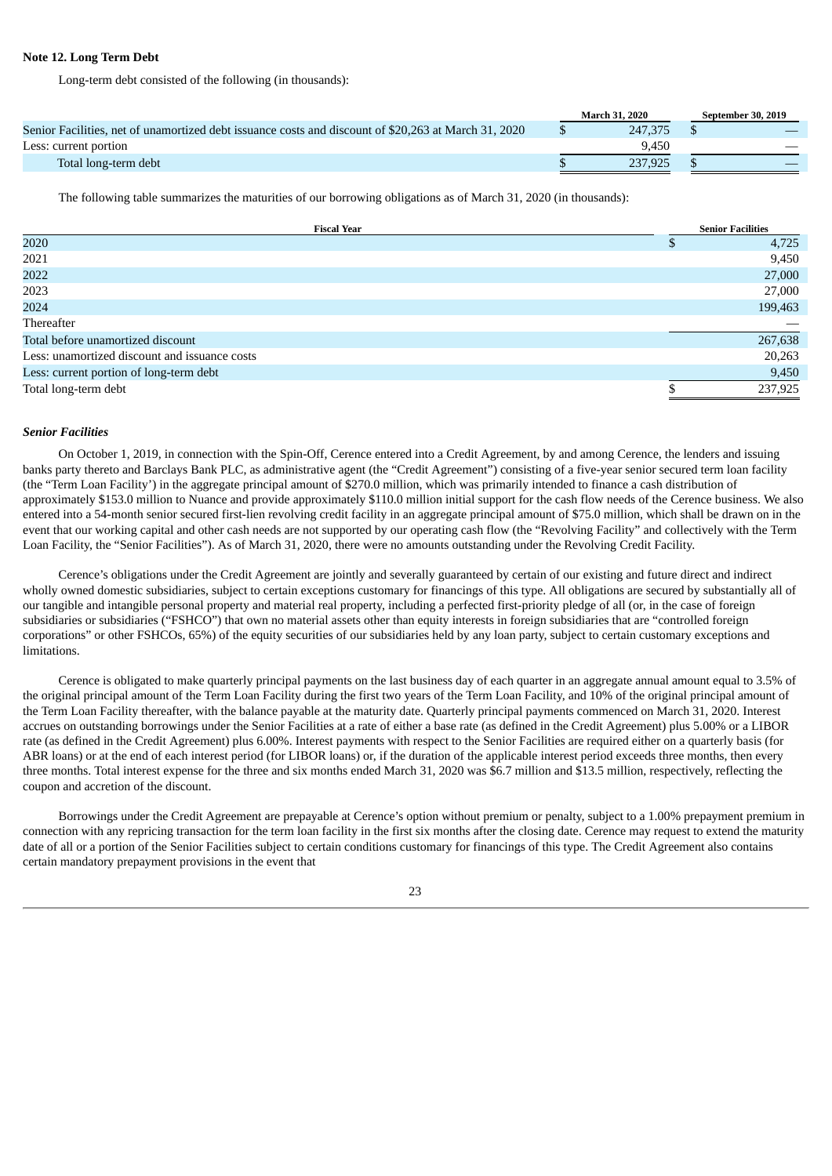#### **Note 12. Long Term Debt**

Long-term debt consisted of the following (in thousands):

|                                                                                                      | March 31, 2020 | September 30, 2019 |
|------------------------------------------------------------------------------------------------------|----------------|--------------------|
| Senior Facilities, net of unamortized debt issuance costs and discount of \$20,263 at March 31, 2020 | 247.375        |                    |
| Less: current portion                                                                                | 9.450          |                    |
| Total long-term debt                                                                                 | 237,925        |                    |

The following table summarizes the maturities of our borrowing obligations as of March 31, 2020 (in thousands):

| <b>Fiscal Year</b>                            | <b>Senior Facilities</b> |
|-----------------------------------------------|--------------------------|
| 2020                                          | 4,725                    |
| 2021                                          | 9,450                    |
| 2022                                          | 27,000                   |
| 2023                                          | 27,000                   |
| 2024                                          | 199,463                  |
| Thereafter                                    |                          |
| Total before unamortized discount             | 267,638                  |
| Less: unamortized discount and issuance costs | 20,263                   |
| Less: current portion of long-term debt       | 9,450                    |
| Total long-term debt                          | 237,925                  |

#### *Senior Facilities*

On October 1, 2019, in connection with the Spin-Off, Cerence entered into a Credit Agreement, by and among Cerence, the lenders and issuing banks party thereto and Barclays Bank PLC, as administrative agent (the "Credit Agreement") consisting of a five-year senior secured term loan facility (the "Term Loan Facility') in the aggregate principal amount of \$270.0 million, which was primarily intended to finance a cash distribution of approximately \$153.0 million to Nuance and provide approximately \$110.0 million initial support for the cash flow needs of the Cerence business. We also entered into a 54-month senior secured first-lien revolving credit facility in an aggregate principal amount of \$75.0 million, which shall be drawn on in the event that our working capital and other cash needs are not supported by our operating cash flow (the "Revolving Facility" and collectively with the Term Loan Facility, the "Senior Facilities"). As of March 31, 2020, there were no amounts outstanding under the Revolving Credit Facility.

Cerence's obligations under the Credit Agreement are jointly and severally guaranteed by certain of our existing and future direct and indirect wholly owned domestic subsidiaries, subject to certain exceptions customary for financings of this type. All obligations are secured by substantially all of our tangible and intangible personal property and material real property, including a perfected first-priority pledge of all (or, in the case of foreign subsidiaries or subsidiaries ("FSHCO") that own no material assets other than equity interests in foreign subsidiaries that are "controlled foreign corporations" or other FSHCOs, 65%) of the equity securities of our subsidiaries held by any loan party, subject to certain customary exceptions and limitations.

Cerence is obligated to make quarterly principal payments on the last business day of each quarter in an aggregate annual amount equal to 3.5% of the original principal amount of the Term Loan Facility during the first two years of the Term Loan Facility, and 10% of the original principal amount of the Term Loan Facility thereafter, with the balance payable at the maturity date. Quarterly principal payments commenced on March 31, 2020. Interest accrues on outstanding borrowings under the Senior Facilities at a rate of either a base rate (as defined in the Credit Agreement) plus 5.00% or a LIBOR rate (as defined in the Credit Agreement) plus 6.00%. Interest payments with respect to the Senior Facilities are required either on a quarterly basis (for ABR loans) or at the end of each interest period (for LIBOR loans) or, if the duration of the applicable interest period exceeds three months, then every three months. Total interest expense for the three and six months ended March 31, 2020 was \$6.7 million and \$13.5 million, respectively, reflecting the coupon and accretion of the discount.

Borrowings under the Credit Agreement are prepayable at Cerence's option without premium or penalty, subject to a 1.00% prepayment premium in connection with any repricing transaction for the term loan facility in the first six months after the closing date. Cerence may request to extend the maturity date of all or a portion of the Senior Facilities subject to certain conditions customary for financings of this type. The Credit Agreement also contains certain mandatory prepayment provisions in the event that

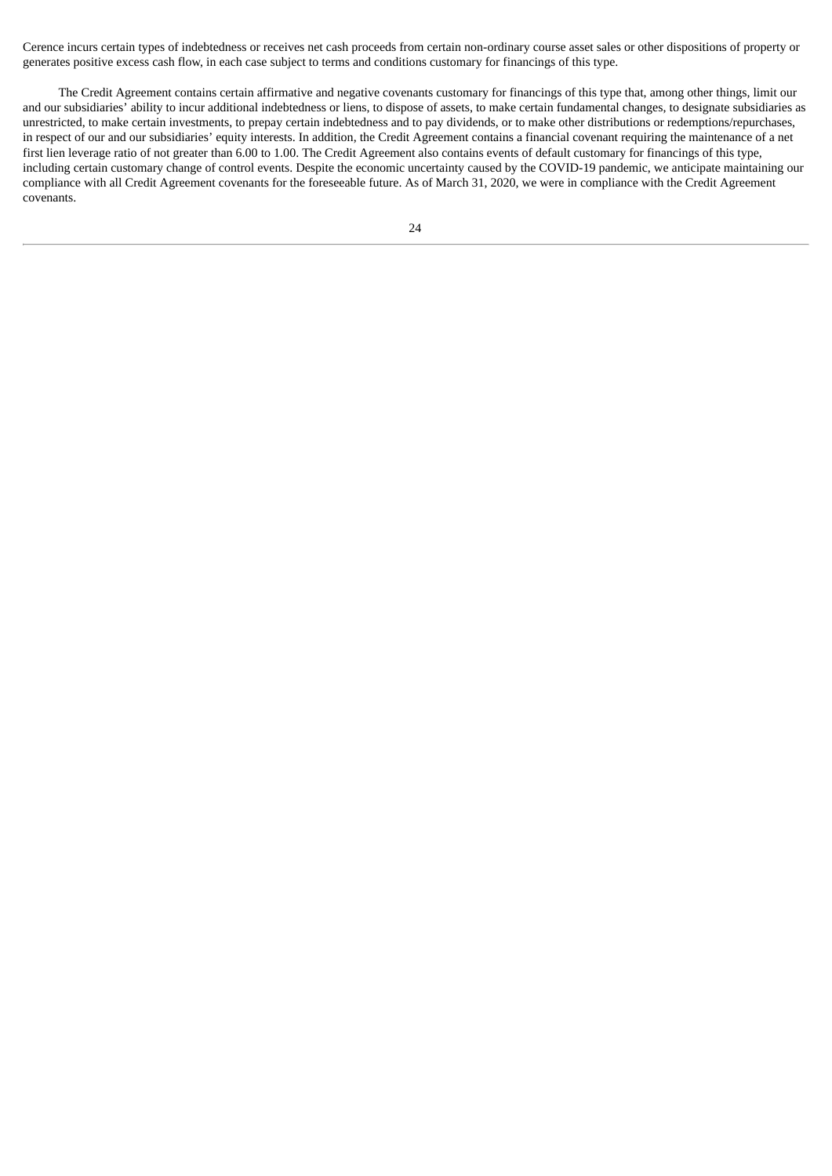Cerence incurs certain types of indebtedness or receives net cash proceeds from certain non-ordinary course asset sales or other dispositions of property or generates positive excess cash flow, in each case subject to terms and conditions customary for financings of this type.

The Credit Agreement contains certain affirmative and negative covenants customary for financings of this type that, among other things, limit our and our subsidiaries' ability to incur additional indebtedness or liens, to dispose of assets, to make certain fundamental changes, to designate subsidiaries as unrestricted, to make certain investments, to prepay certain indebtedness and to pay dividends, or to make other distributions or redemptions/repurchases, in respect of our and our subsidiaries' equity interests. In addition, the Credit Agreement contains a financial covenant requiring the maintenance of a net first lien leverage ratio of not greater than 6.00 to 1.00. The Credit Agreement also contains events of default customary for financings of this type, including certain customary change of control events. Despite the economic uncertainty caused by the COVID-19 pandemic, we anticipate maintaining our compliance with all Credit Agreement covenants for the foreseeable future. As of March 31, 2020, we were in compliance with the Credit Agreement covenants.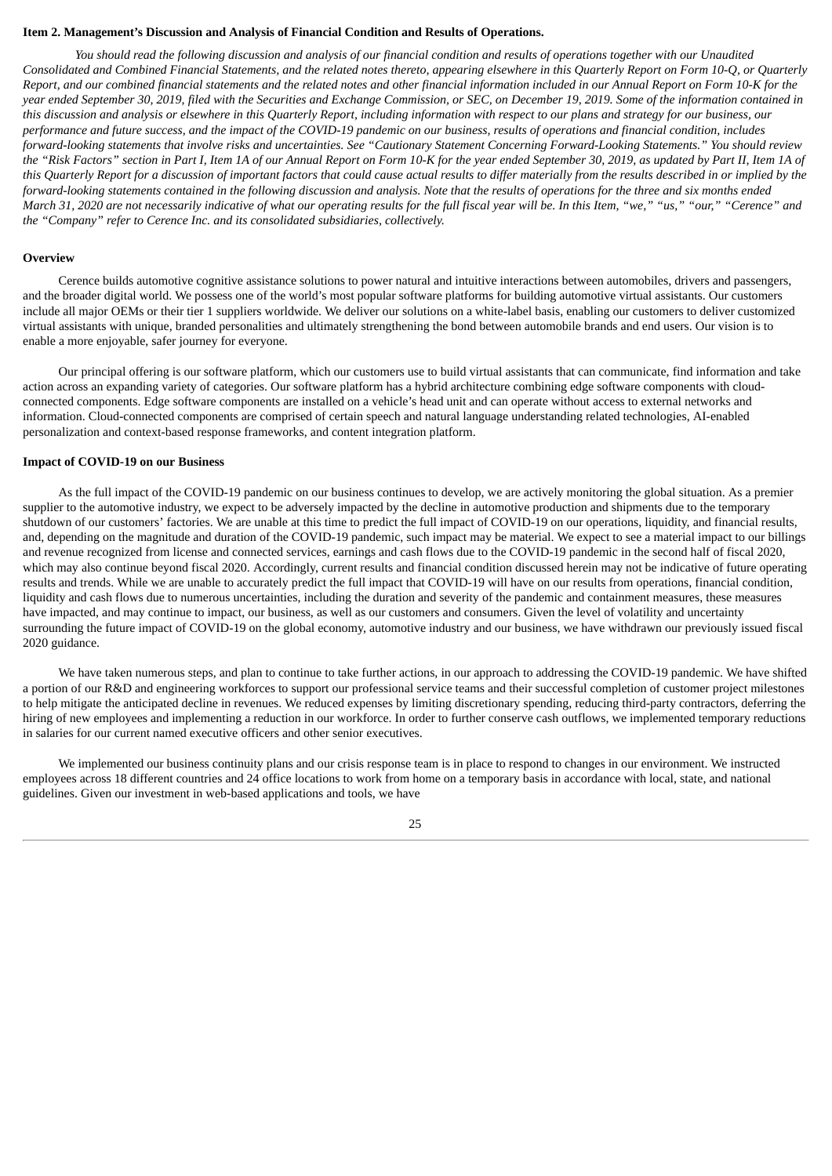#### <span id="page-26-0"></span>**Item 2. Management's Discussion and Analysis of Financial Condition and Results of Operations.**

You should read the following discussion and analysis of our financial condition and results of operations together with our Unaudited Consolidated and Combined Financial Statements, and the related notes thereto, appearing elsewhere in this Quarterly Report on Form 10-Q, or Quarterly Report, and our combined financial statements and the related notes and other financial information included in our Annual Report on Form 10-K for the year ended September 30, 2019, filed with the Securities and Exchange Commission, or SEC, on December 19, 2019. Some of the information contained in this discussion and analysis or elsewhere in this Quarterly Report, including information with respect to our plans and strategy for our business, our performance and future success, and the impact of the COVID-19 pandemic on our business, results of operations and financial condition, includes forward-looking statements that involve risks and uncertainties. See "Cautionary Statement Concerning Forward-Looking Statements." You should review the "Risk Factors" section in Part I, Item 1A of our Annual Report on Form 10-K for the year ended September 30, 2019, as updated by Part II, Item 1A of this Quarterly Report for a discussion of important factors that could cause actual results to differ materially from the results described in or implied by the forward-looking statements contained in the following discussion and analysis. Note that the results of operations for the three and six months ended March 31, 2020 are not necessarily indicative of what our operating results for the full fiscal year will be. In this Item, "we," "us," "our," "Cerence" and *the "Company" refer to Cerence Inc. and its consolidated subsidiaries, collectively.*

#### **Overview**

Cerence builds automotive cognitive assistance solutions to power natural and intuitive interactions between automobiles, drivers and passengers, and the broader digital world. We possess one of the world's most popular software platforms for building automotive virtual assistants. Our customers include all major OEMs or their tier 1 suppliers worldwide. We deliver our solutions on a white-label basis, enabling our customers to deliver customized virtual assistants with unique, branded personalities and ultimately strengthening the bond between automobile brands and end users. Our vision is to enable a more enjoyable, safer journey for everyone.

Our principal offering is our software platform, which our customers use to build virtual assistants that can communicate, find information and take action across an expanding variety of categories. Our software platform has a hybrid architecture combining edge software components with cloudconnected components. Edge software components are installed on a vehicle's head unit and can operate without access to external networks and information. Cloud-connected components are comprised of certain speech and natural language understanding related technologies, AI-enabled personalization and context-based response frameworks, and content integration platform.

#### **Impact of COVID-19 on our Business**

As the full impact of the COVID-19 pandemic on our business continues to develop, we are actively monitoring the global situation. As a premier supplier to the automotive industry, we expect to be adversely impacted by the decline in automotive production and shipments due to the temporary shutdown of our customers' factories. We are unable at this time to predict the full impact of COVID-19 on our operations, liquidity, and financial results, and, depending on the magnitude and duration of the COVID-19 pandemic, such impact may be material. We expect to see a material impact to our billings and revenue recognized from license and connected services, earnings and cash flows due to the COVID-19 pandemic in the second half of fiscal 2020, which may also continue beyond fiscal 2020. Accordingly, current results and financial condition discussed herein may not be indicative of future operating results and trends. While we are unable to accurately predict the full impact that COVID-19 will have on our results from operations, financial condition, liquidity and cash flows due to numerous uncertainties, including the duration and severity of the pandemic and containment measures, these measures have impacted, and may continue to impact, our business, as well as our customers and consumers. Given the level of volatility and uncertainty surrounding the future impact of COVID-19 on the global economy, automotive industry and our business, we have withdrawn our previously issued fiscal 2020 guidance.

We have taken numerous steps, and plan to continue to take further actions, in our approach to addressing the COVID-19 pandemic. We have shifted a portion of our R&D and engineering workforces to support our professional service teams and their successful completion of customer project milestones to help mitigate the anticipated decline in revenues. We reduced expenses by limiting discretionary spending, reducing third-party contractors, deferring the hiring of new employees and implementing a reduction in our workforce. In order to further conserve cash outflows, we implemented temporary reductions in salaries for our current named executive officers and other senior executives.

We implemented our business continuity plans and our crisis response team is in place to respond to changes in our environment. We instructed employees across 18 different countries and 24 office locations to work from home on a temporary basis in accordance with local, state, and national guidelines. Given our investment in web-based applications and tools, we have

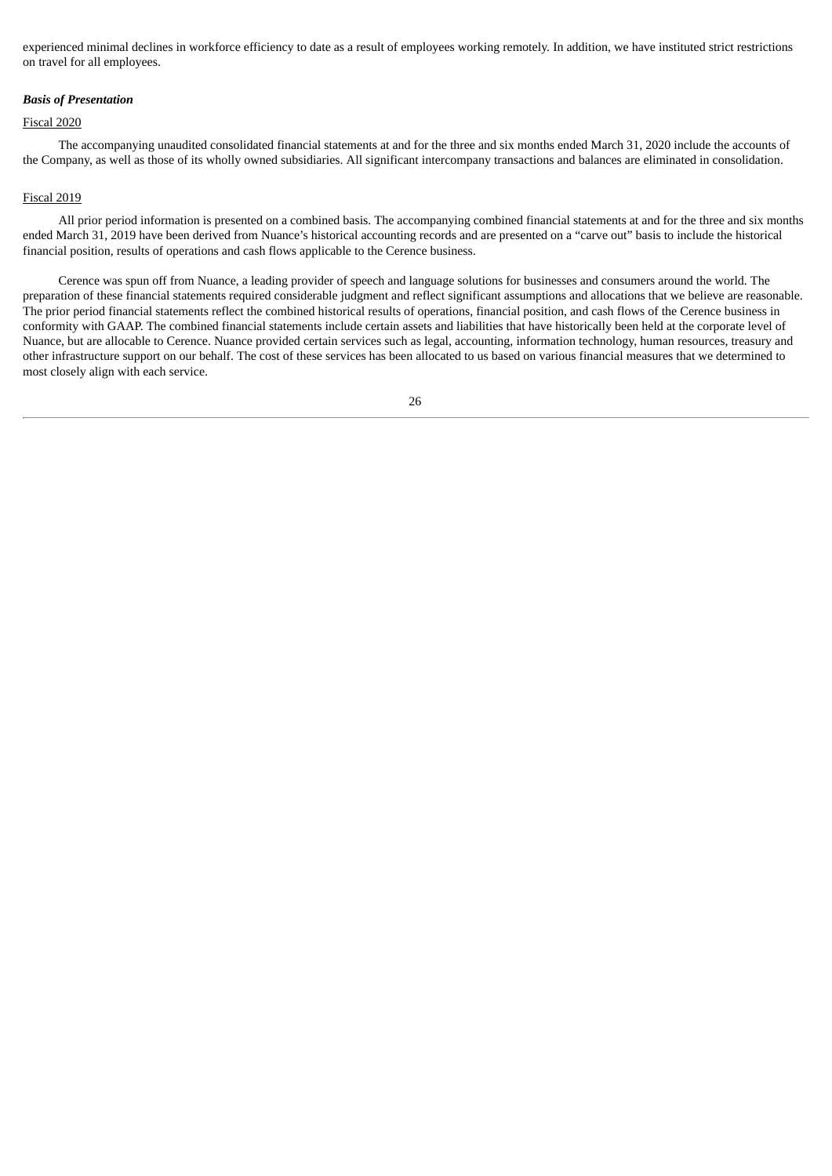experienced minimal declines in workforce efficiency to date as a result of employees working remotely. In addition, we have instituted strict restrictions on travel for all employees.

## *Basis of Presentation*

## Fiscal 2020

The accompanying unaudited consolidated financial statements at and for the three and six months ended March 31, 2020 include the accounts of the Company, as well as those of its wholly owned subsidiaries. All significant intercompany transactions and balances are eliminated in consolidation.

#### Fiscal 2019

All prior period information is presented on a combined basis. The accompanying combined financial statements at and for the three and six months ended March 31, 2019 have been derived from Nuance's historical accounting records and are presented on a "carve out" basis to include the historical financial position, results of operations and cash flows applicable to the Cerence business.

Cerence was spun off from Nuance, a leading provider of speech and language solutions for businesses and consumers around the world. The preparation of these financial statements required considerable judgment and reflect significant assumptions and allocations that we believe are reasonable. The prior period financial statements reflect the combined historical results of operations, financial position, and cash flows of the Cerence business in conformity with GAAP. The combined financial statements include certain assets and liabilities that have historically been held at the corporate level of Nuance, but are allocable to Cerence. Nuance provided certain services such as legal, accounting, information technology, human resources, treasury and other infrastructure support on our behalf. The cost of these services has been allocated to us based on various financial measures that we determined to most closely align with each service.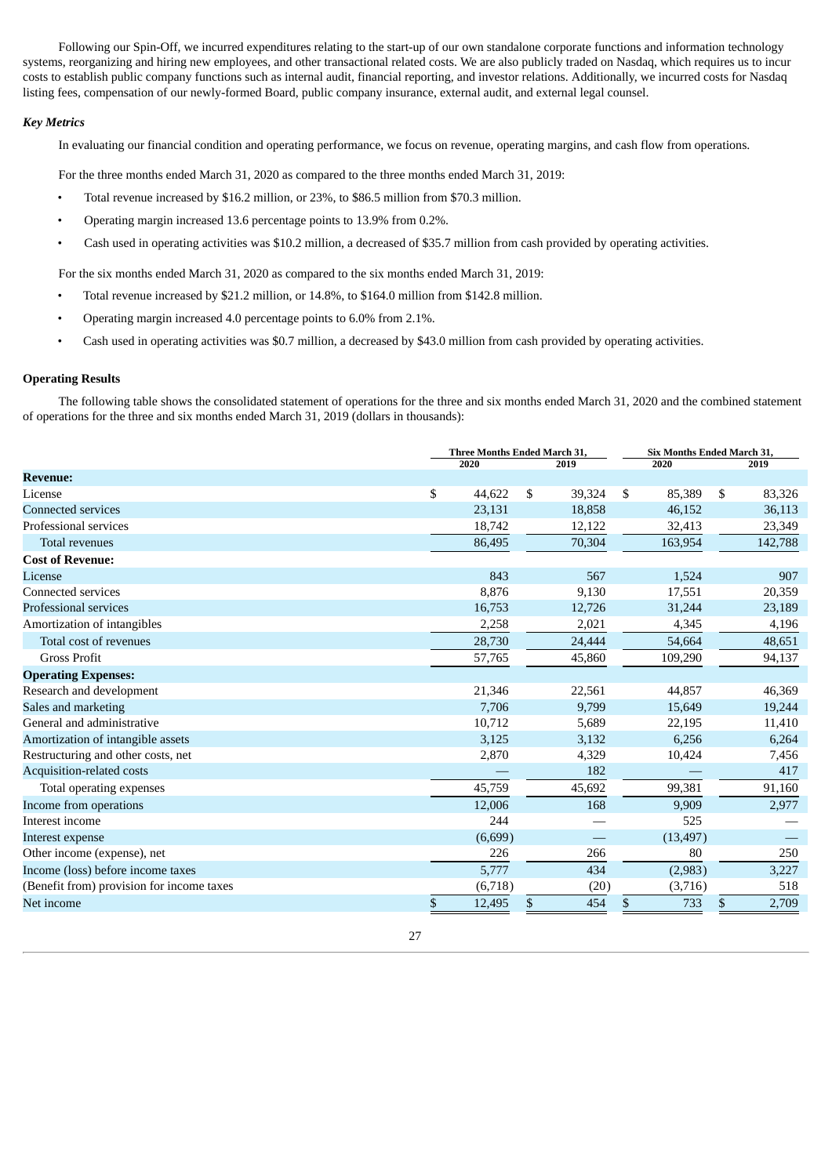Following our Spin-Off, we incurred expenditures relating to the start-up of our own standalone corporate functions and information technology systems, reorganizing and hiring new employees, and other transactional related costs. We are also publicly traded on Nasdaq, which requires us to incur costs to establish public company functions such as internal audit, financial reporting, and investor relations. Additionally, we incurred costs for Nasdaq listing fees, compensation of our newly-formed Board, public company insurance, external audit, and external legal counsel.

#### *Key Metrics*

In evaluating our financial condition and operating performance, we focus on revenue, operating margins, and cash flow from operations.

For the three months ended March 31, 2020 as compared to the three months ended March 31, 2019:

- Total revenue increased by \$16.2 million, or 23%, to \$86.5 million from \$70.3 million.
- Operating margin increased 13.6 percentage points to 13.9% from 0.2%.
- Cash used in operating activities was \$10.2 million, a decreased of \$35.7 million from cash provided by operating activities.

For the six months ended March 31, 2020 as compared to the six months ended March 31, 2019:

- Total revenue increased by \$21.2 million, or 14.8%, to \$164.0 million from \$142.8 million.
- Operating margin increased 4.0 percentage points to 6.0% from 2.1%.
- Cash used in operating activities was \$0.7 million, a decreased by \$43.0 million from cash provided by operating activities.

#### **Operating Results**

The following table shows the consolidated statement of operations for the three and six months ended March 31, 2020 and the combined statement of operations for the three and six months ended March 31, 2019 (dollars in thousands):

|                                           | <b>Three Months Ended March 31,</b> |              | Six Months Ended March 31, |    |         |
|-------------------------------------------|-------------------------------------|--------------|----------------------------|----|---------|
|                                           | 2020                                | 2019         | 2020                       |    | 2019    |
| <b>Revenue:</b>                           |                                     |              |                            |    |         |
| License                                   | \$<br>44,622                        | \$<br>39,324 | \$<br>85,389               | \$ | 83,326  |
| Connected services                        | 23,131                              | 18,858       | 46,152                     |    | 36,113  |
| Professional services                     | 18,742                              | 12,122       | 32,413                     |    | 23,349  |
| <b>Total revenues</b>                     | 86,495                              | 70,304       | 163,954                    |    | 142,788 |
| <b>Cost of Revenue:</b>                   |                                     |              |                            |    |         |
| License                                   | 843                                 | 567          | 1,524                      |    | 907     |
| <b>Connected services</b>                 | 8.876                               | 9,130        | 17,551                     |    | 20,359  |
| Professional services                     | 16,753                              | 12,726       | 31,244                     |    | 23,189  |
| Amortization of intangibles               | 2,258                               | 2,021        | 4,345                      |    | 4,196   |
| Total cost of revenues                    | 28,730                              | 24,444       | 54,664                     |    | 48,651  |
| <b>Gross Profit</b>                       | 57,765                              | 45,860       | 109,290                    |    | 94,137  |
| <b>Operating Expenses:</b>                |                                     |              |                            |    |         |
| Research and development                  | 21,346                              | 22,561       | 44,857                     |    | 46,369  |
| Sales and marketing                       | 7,706                               | 9,799        | 15,649                     |    | 19,244  |
| General and administrative                | 10,712                              | 5,689        | 22,195                     |    | 11,410  |
| Amortization of intangible assets         | 3,125                               | 3,132        | 6,256                      |    | 6,264   |
| Restructuring and other costs, net        | 2,870                               | 4,329        | 10,424                     |    | 7,456   |
| Acquisition-related costs                 |                                     | 182          |                            |    | 417     |
| Total operating expenses                  | 45,759                              | 45,692       | 99,381                     |    | 91,160  |
| Income from operations                    | 12,006                              | 168          | 9,909                      |    | 2,977   |
| Interest income                           | 244                                 |              | 525                        |    |         |
| Interest expense                          | (6,699)                             |              | (13, 497)                  |    |         |
| Other income (expense), net               | 226                                 | 266          | 80                         |    | 250     |
| Income (loss) before income taxes         | 5,777                               | 434          | (2,983)                    |    | 3,227   |
| (Benefit from) provision for income taxes | (6,718)                             | (20)         | (3,716)                    |    | 518     |
| Net income                                | \$<br>12,495                        | \$<br>454    | \$<br>733                  | \$ | 2,709   |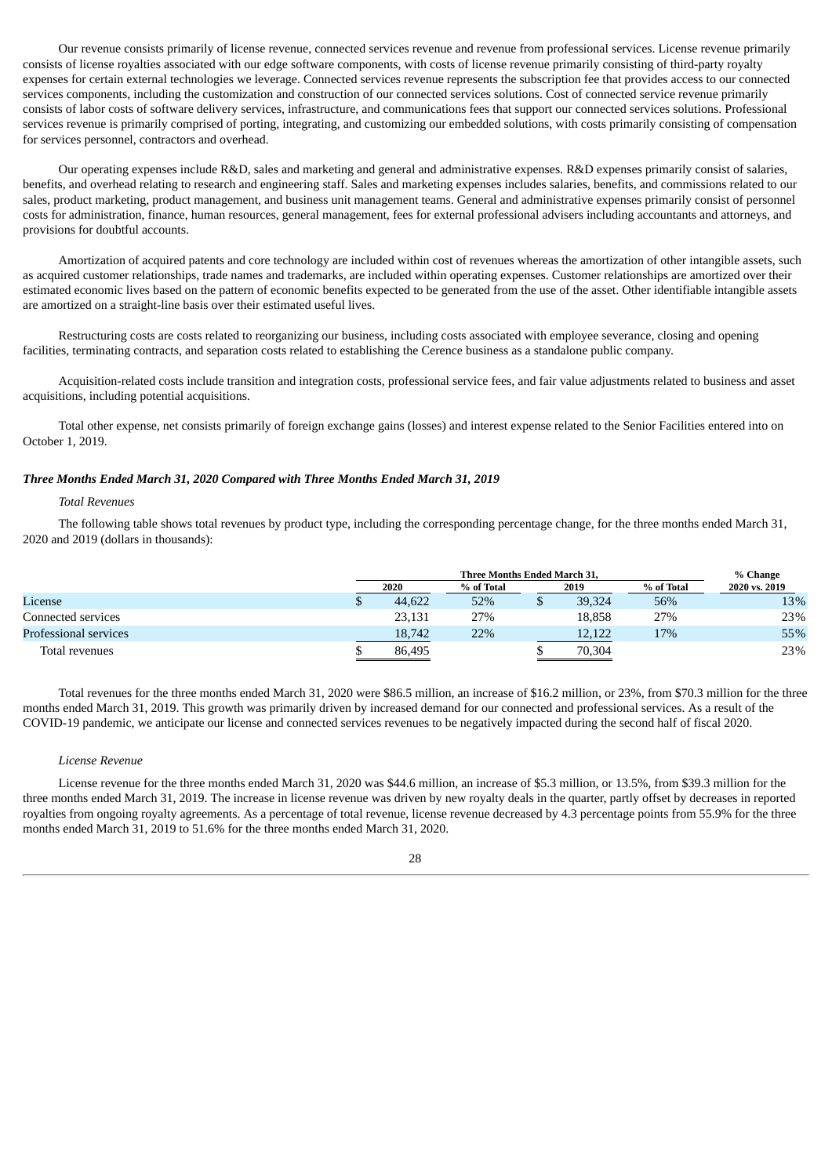Our revenue consists primarily of license revenue, connected services revenue and revenue from professional services. License revenue primarily consists of license royalties associated with our edge software components, with costs of license revenue primarily consisting of third-party royalty expenses for certain external technologies we leverage. Connected services revenue represents the subscription fee that provides access to our connected services components, including the customization and construction of our connected services solutions. Cost of connected service revenue primarily consists of labor costs of software delivery services, infrastructure, and communications fees that support our connected services solutions. Professional services revenue is primarily comprised of porting, integrating, and customizing our embedded solutions, with costs primarily consisting of compensation for services personnel, contractors and overhead.

Our operating expenses include R&D, sales and marketing and general and administrative expenses. R&D expenses primarily consist of salaries, benefits, and overhead relating to research and engineering staff. Sales and marketing expenses includes salaries, benefits, and commissions related to our sales, product marketing, product management, and business unit management teams. General and administrative expenses primarily consist of personnel costs for administration, finance, human resources, general management, fees for external professional advisers including accountants and attorneys, and provisions for doubtful accounts.

Amortization of acquired patents and core technology are included within cost of revenues whereas the amortization of other intangible assets, such as acquired customer relationships, trade names and trademarks, are included within operating expenses. Customer relationships are amortized over their estimated economic lives based on the pattern of economic benefits expected to be generated from the use of the asset. Other identifiable intangible assets are amortized on a straight-line basis over their estimated useful lives.

Restructuring costs are costs related to reorganizing our business, including costs associated with employee severance, closing and opening facilities, terminating contracts, and separation costs related to establishing the Cerence business as a standalone public company.

Acquisition-related costs include transition and integration costs, professional service fees, and fair value adjustments related to business and asset acquisitions, including potential acquisitions.

Total other expense, net consists primarily of foreign exchange gains (losses) and interest expense related to the Senior Facilities entered into on October 1, 2019.

#### *Three Months Ended March 31, 2020 Compared with Three Months Ended March 31, 2019*

#### *Total Revenues*

The following table shows total revenues by product type, including the corresponding percentage change, for the three months ended March 31, 2020 and 2019 (dollars in thousands):

|                       |        | % Change   |        |            |               |
|-----------------------|--------|------------|--------|------------|---------------|
|                       | 2020   | % of Total | 2019   | % of Total | 2020 vs. 2019 |
| License               | 44,622 | 52%        | 39,324 | 56%        | 13%           |
| Connected services    | 23,131 | 27%        | 18,858 | 27%        | 23%           |
| Professional services | 18.742 | 22%        | 12.122 | 17%        | 55%           |
| Total revenues        | 86,495 |            | 70,304 |            | 23%           |

Total revenues for the three months ended March 31, 2020 were \$86.5 million, an increase of \$16.2 million, or 23%, from \$70.3 million for the three months ended March 31, 2019. This growth was primarily driven by increased demand for our connected and professional services. As a result of the COVID-19 pandemic, we anticipate our license and connected services revenues to be negatively impacted during the second half of fiscal 2020.

## *License Revenue*

License revenue for the three months ended March 31, 2020 was \$44.6 million, an increase of \$5.3 million, or 13.5%, from \$39.3 million for the three months ended March 31, 2019. The increase in license revenue was driven by new royalty deals in the quarter, partly offset by decreases in reported royalties from ongoing royalty agreements. As a percentage of total revenue, license revenue decreased by 4.3 percentage points from 55.9% for the three months ended March 31, 2019 to 51.6% for the three months ended March 31, 2020.

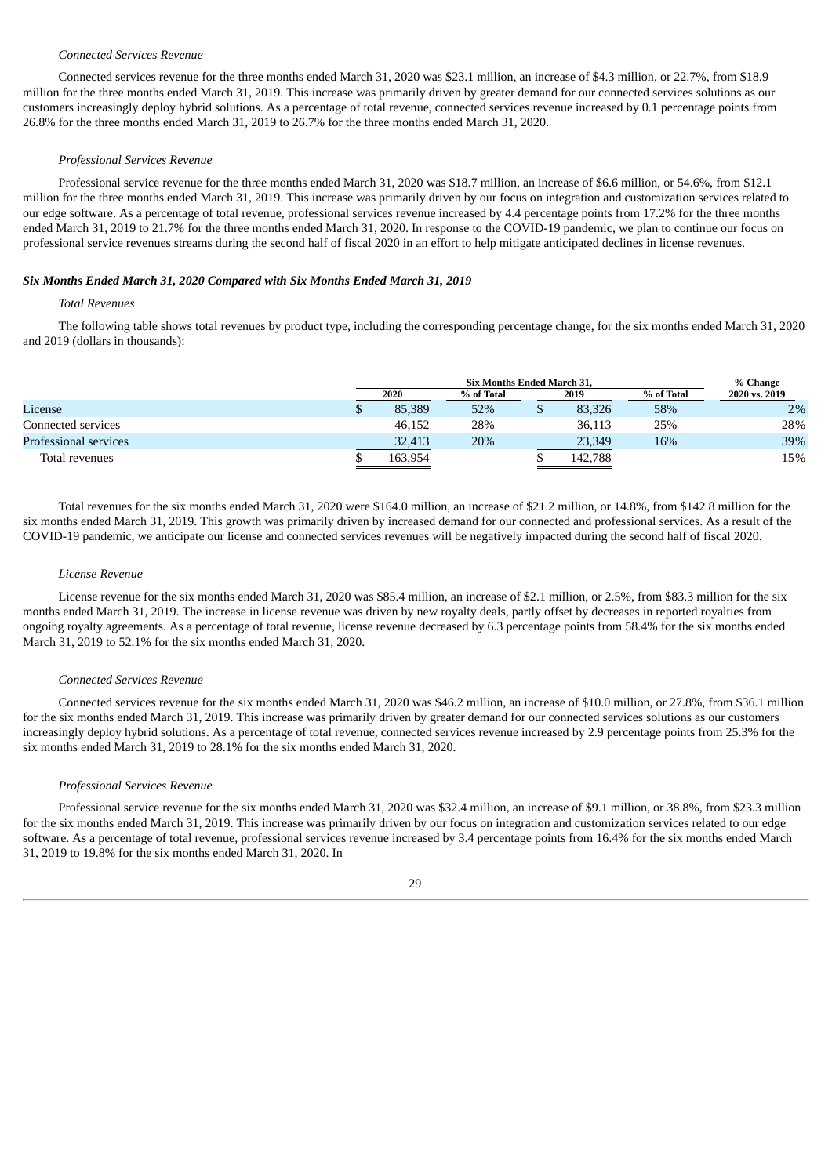#### *Connected Services Revenue*

Connected services revenue for the three months ended March 31, 2020 was \$23.1 million, an increase of \$4.3 million, or 22.7%, from \$18.9 million for the three months ended March 31, 2019. This increase was primarily driven by greater demand for our connected services solutions as our customers increasingly deploy hybrid solutions. As a percentage of total revenue, connected services revenue increased by 0.1 percentage points from 26.8% for the three months ended March 31, 2019 to 26.7% for the three months ended March 31, 2020.

#### *Professional Services Revenue*

Professional service revenue for the three months ended March 31, 2020 was \$18.7 million, an increase of \$6.6 million, or 54.6%, from \$12.1 million for the three months ended March 31, 2019. This increase was primarily driven by our focus on integration and customization services related to our edge software. As a percentage of total revenue, professional services revenue increased by 4.4 percentage points from 17.2% for the three months ended March 31, 2019 to 21.7% for the three months ended March 31, 2020. In response to the COVID-19 pandemic, we plan to continue our focus on professional service revenues streams during the second half of fiscal 2020 in an effort to help mitigate anticipated declines in license revenues.

#### *Six Months Ended March 31, 2020 Compared with Six Months Ended March 31, 2019*

#### *Total Revenues*

The following table shows total revenues by product type, including the corresponding percentage change, for the six months ended March 31, 2020 and 2019 (dollars in thousands):

|                       |         | % Change   |         |            |               |
|-----------------------|---------|------------|---------|------------|---------------|
|                       | 2020    | % of Total | 2019    | % of Total | 2020 vs. 2019 |
| License               | 85,389  | 52%        | 83,326  | 58%        | 2%            |
| Connected services    | 46,152  | 28%        | 36.113  | 25%        | 28%           |
| Professional services | 32.413  | 20%        | 23.349  | 16%        | 39%           |
| Total revenues        | 163,954 |            | 142.788 |            | 15%           |

Total revenues for the six months ended March 31, 2020 were \$164.0 million, an increase of \$21.2 million, or 14.8%, from \$142.8 million for the six months ended March 31, 2019. This growth was primarily driven by increased demand for our connected and professional services. As a result of the COVID-19 pandemic, we anticipate our license and connected services revenues will be negatively impacted during the second half of fiscal 2020.

#### *License Revenue*

License revenue for the six months ended March 31, 2020 was \$85.4 million, an increase of \$2.1 million, or 2.5%, from \$83.3 million for the six months ended March 31, 2019. The increase in license revenue was driven by new royalty deals, partly offset by decreases in reported royalties from ongoing royalty agreements. As a percentage of total revenue, license revenue decreased by 6.3 percentage points from 58.4% for the six months ended March 31, 2019 to 52.1% for the six months ended March 31, 2020.

#### *Connected Services Revenue*

Connected services revenue for the six months ended March 31, 2020 was \$46.2 million, an increase of \$10.0 million, or 27.8%, from \$36.1 million for the six months ended March 31, 2019. This increase was primarily driven by greater demand for our connected services solutions as our customers increasingly deploy hybrid solutions. As a percentage of total revenue, connected services revenue increased by 2.9 percentage points from 25.3% for the six months ended March 31, 2019 to 28.1% for the six months ended March 31, 2020.

#### *Professional Services Revenue*

Professional service revenue for the six months ended March 31, 2020 was \$32.4 million, an increase of \$9.1 million, or 38.8%, from \$23.3 million for the six months ended March 31, 2019. This increase was primarily driven by our focus on integration and customization services related to our edge software. As a percentage of total revenue, professional services revenue increased by 3.4 percentage points from 16.4% for the six months ended March 31, 2019 to 19.8% for the six months ended March 31, 2020. In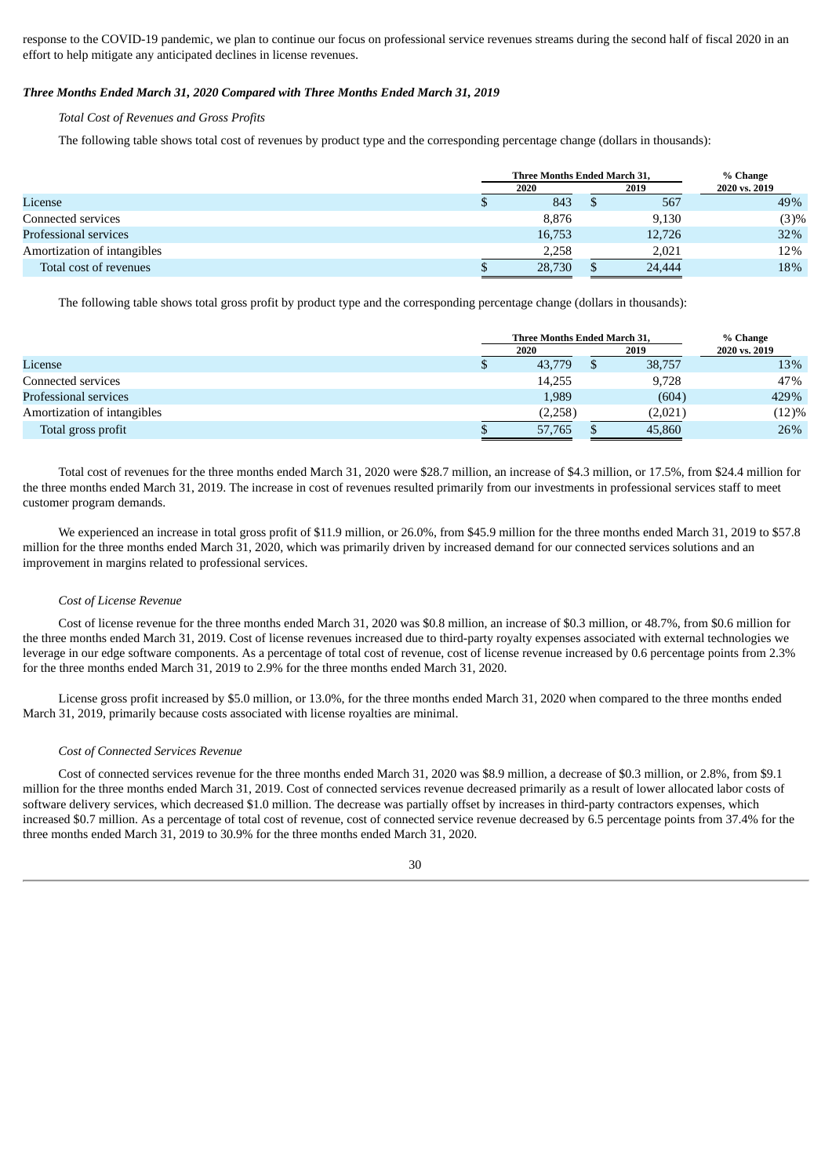response to the COVID-19 pandemic, we plan to continue our focus on professional service revenues streams during the second half of fiscal 2020 in an effort to help mitigate any anticipated declines in license revenues.

#### *Three Months Ended March 31, 2020 Compared with Three Months Ended March 31, 2019*

#### *Total Cost of Revenues and Gross Profits*

The following table shows total cost of revenues by product type and the corresponding percentage change (dollars in thousands):

|                             |  | Three Months Ended March 31, | % Change |               |
|-----------------------------|--|------------------------------|----------|---------------|
|                             |  | 2020                         | 2019     | 2020 vs. 2019 |
| License                     |  | 843                          | 567      | 49%           |
| Connected services          |  | 8,876                        | 9,130    | (3)%          |
| Professional services       |  | 16,753                       | 12,726   | 32%           |
| Amortization of intangibles |  | 2,258                        | 2,021    | 12%           |
| Total cost of revenues      |  | 28,730                       | 24,444   | 18%           |

The following table shows total gross profit by product type and the corresponding percentage change (dollars in thousands):

|                             |  | <b>Three Months Ended March 31.</b> | % Change |               |
|-----------------------------|--|-------------------------------------|----------|---------------|
|                             |  | 2020                                | 2019     | 2020 vs. 2019 |
| License                     |  | 43,779                              | 38,757   | 13%           |
| Connected services          |  | 14,255                              | 9,728    | 47%           |
| Professional services       |  | 1,989                               | (604)    | 429%          |
| Amortization of intangibles |  | (2,258)                             | (2,021)  | (12)%         |
| Total gross profit          |  | 57,765                              | 45,860   | 26%           |

Total cost of revenues for the three months ended March 31, 2020 were \$28.7 million, an increase of \$4.3 million, or 17.5%, from \$24.4 million for the three months ended March 31, 2019. The increase in cost of revenues resulted primarily from our investments in professional services staff to meet customer program demands.

We experienced an increase in total gross profit of \$11.9 million, or 26.0%, from \$45.9 million for the three months ended March 31, 2019 to \$57.8 million for the three months ended March 31, 2020, which was primarily driven by increased demand for our connected services solutions and an improvement in margins related to professional services.

#### *Cost of License Revenue*

Cost of license revenue for the three months ended March 31, 2020 was \$0.8 million, an increase of \$0.3 million, or 48.7%, from \$0.6 million for the three months ended March 31, 2019. Cost of license revenues increased due to third-party royalty expenses associated with external technologies we leverage in our edge software components. As a percentage of total cost of revenue, cost of license revenue increased by 0.6 percentage points from 2.3% for the three months ended March 31, 2019 to 2.9% for the three months ended March 31, 2020.

License gross profit increased by \$5.0 million, or 13.0%, for the three months ended March 31, 2020 when compared to the three months ended March 31, 2019, primarily because costs associated with license royalties are minimal.

#### *Cost of Connected Services Revenue*

Cost of connected services revenue for the three months ended March 31, 2020 was \$8.9 million, a decrease of \$0.3 million, or 2.8%, from \$9.1 million for the three months ended March 31, 2019. Cost of connected services revenue decreased primarily as a result of lower allocated labor costs of software delivery services, which decreased \$1.0 million. The decrease was partially offset by increases in third-party contractors expenses, which increased \$0.7 million. As a percentage of total cost of revenue, cost of connected service revenue decreased by 6.5 percentage points from 37.4% for the three months ended March 31, 2019 to 30.9% for the three months ended March 31, 2020.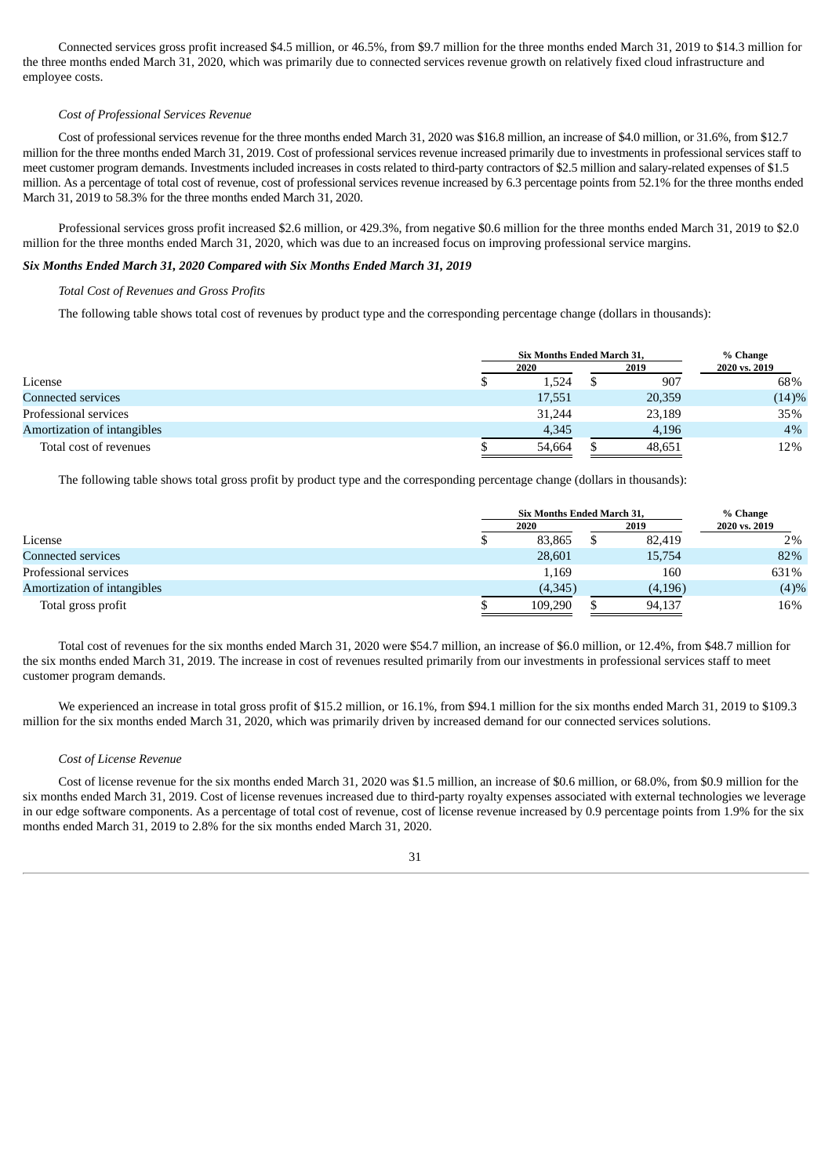Connected services gross profit increased \$4.5 million, or 46.5%, from \$9.7 million for the three months ended March 31, 2019 to \$14.3 million for the three months ended March 31, 2020, which was primarily due to connected services revenue growth on relatively fixed cloud infrastructure and employee costs.

#### *Cost of Professional Services Revenue*

Cost of professional services revenue for the three months ended March 31, 2020 was \$16.8 million, an increase of \$4.0 million, or 31.6%, from \$12.7 million for the three months ended March 31, 2019. Cost of professional services revenue increased primarily due to investments in professional services staff to meet customer program demands. Investments included increases in costs related to third-party contractors of \$2.5 million and salary-related expenses of \$1.5 million. As a percentage of total cost of revenue, cost of professional services revenue increased by 6.3 percentage points from 52.1% for the three months ended March 31, 2019 to 58.3% for the three months ended March 31, 2020.

Professional services gross profit increased \$2.6 million, or 429.3%, from negative \$0.6 million for the three months ended March 31, 2019 to \$2.0 million for the three months ended March 31, 2020, which was due to an increased focus on improving professional service margins.

#### *Six Months Ended March 31, 2020 Compared with Six Months Ended March 31, 2019*

## *Total Cost of Revenues and Gross Profits*

The following table shows total cost of revenues by product type and the corresponding percentage change (dollars in thousands):

|                             | <b>Six Months Ended March 31.</b> |  |        |               |  |
|-----------------------------|-----------------------------------|--|--------|---------------|--|
| License                     | 2020                              |  |        | 2020 vs. 2019 |  |
|                             | 1,524                             |  | 907    | 68%           |  |
| <b>Connected services</b>   | 17,551                            |  | 20,359 | (14)%         |  |
| Professional services       | 31,244                            |  | 23,189 | 35%           |  |
| Amortization of intangibles | 4,345                             |  | 4,196  | 4%            |  |
| Total cost of revenues      | 54,664                            |  | 48,651 | 12%           |  |

The following table shows total gross profit by product type and the corresponding percentage change (dollars in thousands):

|      | % Change |  |         |                                   |
|------|----------|--|---------|-----------------------------------|
| 2020 |          |  | 2019    | 2020 vs. 2019                     |
|      | 83,865   |  | 82,419  | 2%                                |
|      | 28,601   |  | 15,754  | 82%                               |
|      | 1,169    |  | 160     | 631%                              |
|      | (4,345)  |  | (4,196) | (4)%                              |
|      | 109.290  |  | 94,137  | 16%                               |
|      |          |  |         | <b>Six Months Ended March 31.</b> |

Total cost of revenues for the six months ended March 31, 2020 were \$54.7 million, an increase of \$6.0 million, or 12.4%, from \$48.7 million for the six months ended March 31, 2019. The increase in cost of revenues resulted primarily from our investments in professional services staff to meet customer program demands.

We experienced an increase in total gross profit of \$15.2 million, or 16.1%, from \$94.1 million for the six months ended March 31, 2019 to \$109.3 million for the six months ended March 31, 2020, which was primarily driven by increased demand for our connected services solutions.

#### *Cost of License Revenue*

Cost of license revenue for the six months ended March 31, 2020 was \$1.5 million, an increase of \$0.6 million, or 68.0%, from \$0.9 million for the six months ended March 31, 2019. Cost of license revenues increased due to third-party royalty expenses associated with external technologies we leverage in our edge software components. As a percentage of total cost of revenue, cost of license revenue increased by 0.9 percentage points from 1.9% for the six months ended March 31, 2019 to 2.8% for the six months ended March 31, 2020.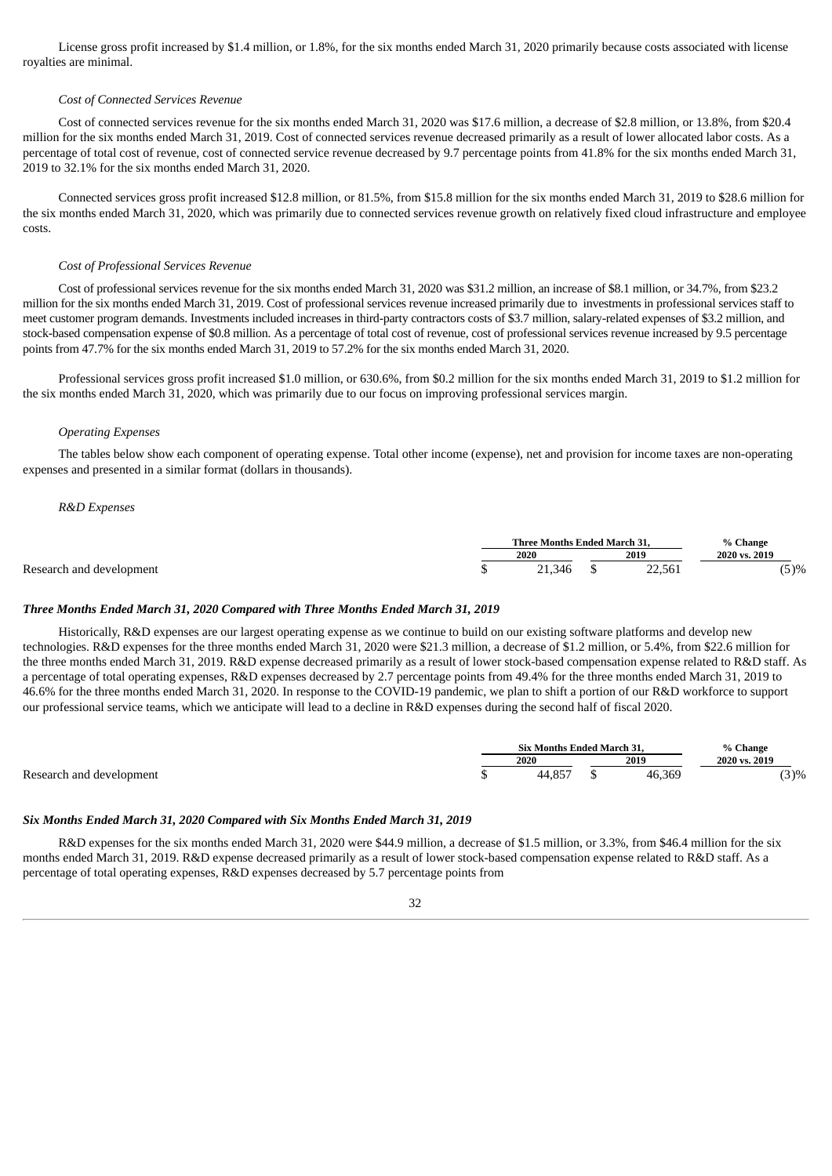License gross profit increased by \$1.4 million, or 1.8%, for the six months ended March 31, 2020 primarily because costs associated with license royalties are minimal.

#### *Cost of Connected Services Revenue*

Cost of connected services revenue for the six months ended March 31, 2020 was \$17.6 million, a decrease of \$2.8 million, or 13.8%, from \$20.4 million for the six months ended March 31, 2019. Cost of connected services revenue decreased primarily as a result of lower allocated labor costs. As a percentage of total cost of revenue, cost of connected service revenue decreased by 9.7 percentage points from 41.8% for the six months ended March 31, 2019 to 32.1% for the six months ended March 31, 2020.

Connected services gross profit increased \$12.8 million, or 81.5%, from \$15.8 million for the six months ended March 31, 2019 to \$28.6 million for the six months ended March 31, 2020, which was primarily due to connected services revenue growth on relatively fixed cloud infrastructure and employee costs.

#### *Cost of Professional Services Revenue*

Cost of professional services revenue for the six months ended March 31, 2020 was \$31.2 million, an increase of \$8.1 million, or 34.7%, from \$23.2 million for the six months ended March 31, 2019. Cost of professional services revenue increased primarily due to investments in professional services staff to meet customer program demands. Investments included increases in third-party contractors costs of \$3.7 million, salary-related expenses of \$3.2 million, and stock-based compensation expense of \$0.8 million. As a percentage of total cost of revenue, cost of professional services revenue increased by 9.5 percentage points from 47.7% for the six months ended March 31, 2019 to 57.2% for the six months ended March 31, 2020.

Professional services gross profit increased \$1.0 million, or 630.6%, from \$0.2 million for the six months ended March 31, 2019 to \$1.2 million for the six months ended March 31, 2020, which was primarily due to our focus on improving professional services margin.

#### *Operating Expenses*

The tables below show each component of operating expense. Total other income (expense), net and provision for income taxes are non-operating expenses and presented in a similar format (dollars in thousands).

#### *R&D Expenses*

|  | Three Months Ended March 31. |  |        | % Change      |
|--|------------------------------|--|--------|---------------|
|  | 2020                         |  | 2019   | 2020 vs. 2019 |
|  | 21.346                       |  | 22,561 | (5)%          |

#### *Three Months Ended March 31, 2020 Compared with Three Months Ended March 31, 2019*

Historically, R&D expenses are our largest operating expense as we continue to build on our existing software platforms and develop new technologies. R&D expenses for the three months ended March 31, 2020 were \$21.3 million, a decrease of \$1.2 million, or 5.4%, from \$22.6 million for the three months ended March 31, 2019. R&D expense decreased primarily as a result of lower stock-based compensation expense related to R&D staff. As a percentage of total operating expenses, R&D expenses decreased by 2.7 percentage points from 49.4% for the three months ended March 31, 2019 to 46.6% for the three months ended March 31, 2020. In response to the COVID-19 pandemic, we plan to shift a portion of our R&D workforce to support our professional service teams, which we anticipate will lead to a decline in R&D expenses during the second half of fiscal 2020.

|  | Six Months Ended March 31.       |  | % Change |               |
|--|----------------------------------|--|----------|---------------|
|  | 2020                             |  | 2019     | 2020 vs. 2019 |
|  | $A$ Q <sub>5</sub> $-$<br>44,85. |  | 16,369   | (3)%          |

#### *Six Months Ended March 31, 2020 Compared with Six Months Ended March 31, 2019*

R&D expenses for the six months ended March 31, 2020 were \$44.9 million, a decrease of \$1.5 million, or 3.3%, from \$46.4 million for the six months ended March 31, 2019. R&D expense decreased primarily as a result of lower stock-based compensation expense related to R&D staff. As a percentage of total operating expenses, R&D expenses decreased by 5.7 percentage points from

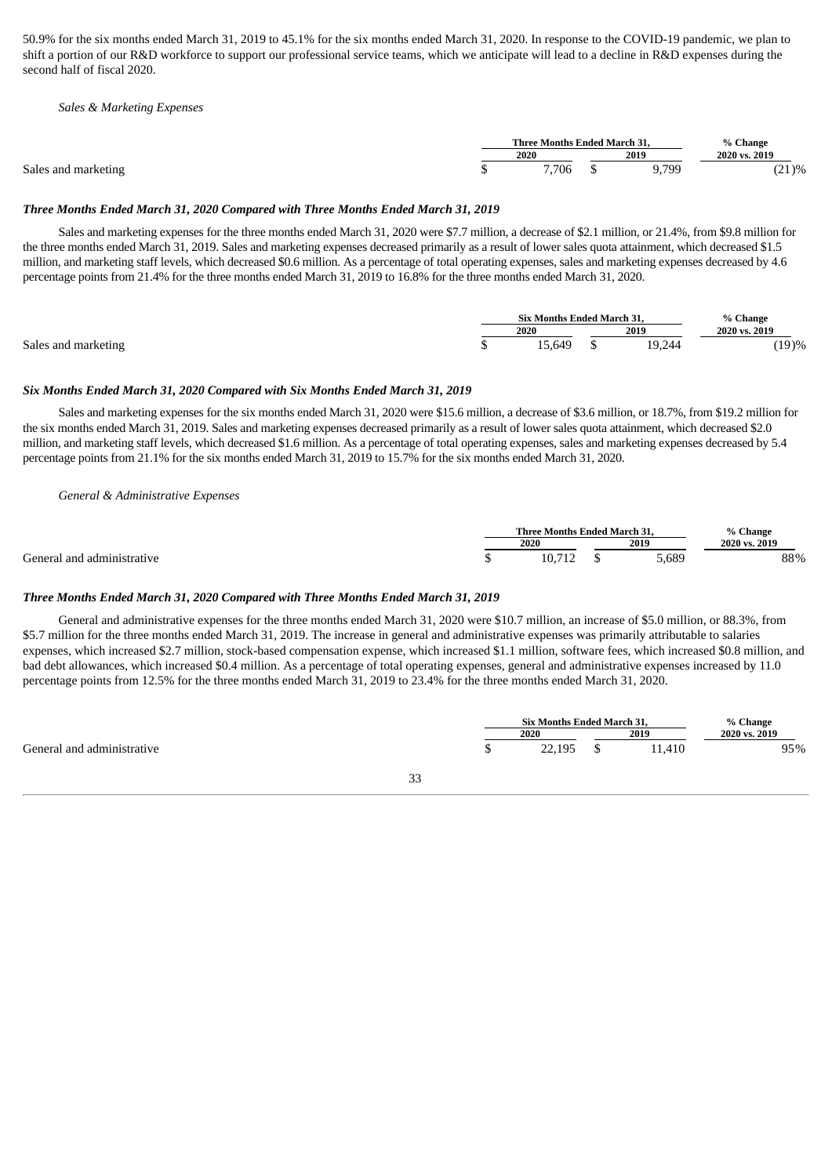50.9% for the six months ended March 31, 2019 to 45.1% for the six months ended March 31, 2020. In response to the COVID-19 pandemic, we plan to shift a portion of our R&D workforce to support our professional service teams, which we anticipate will lead to a decline in R&D expenses during the second half of fiscal 2020.

*Sales & Marketing Expenses*

|  | <b>Three Months Ended March 31.</b> |  |      | % Change      |
|--|-------------------------------------|--|------|---------------|
|  | 2020                                |  | 2019 | 2020 vs. 2019 |
|  | 7.706                               |  | 799  | (21)%         |

#### *Three Months Ended March 31, 2020 Compared with Three Months Ended March 31, 2019*

Sales and marketing expenses for the three months ended March 31, 2020 were \$7.7 million, a decrease of \$2.1 million, or 21.4%, from \$9.8 million for the three months ended March 31, 2019. Sales and marketing expenses decreased primarily as a result of lower sales quota attainment, which decreased \$1.5 million, and marketing staff levels, which decreased \$0.6 million. As a percentage of total operating expenses, sales and marketing expenses decreased by 4.6 percentage points from 21.4% for the three months ended March 31, 2019 to 16.8% for the three months ended March 31, 2020.

|  | <b>Six Months Ended March 31.</b> |  |        | % Change      |
|--|-----------------------------------|--|--------|---------------|
|  | 2020                              |  | 2019   | 2020 vs. 2019 |
|  | 15.649                            |  | 19,244 | (19)%         |

#### *Six Months Ended March 31, 2020 Compared with Six Months Ended March 31, 2019*

Sales and marketing expenses for the six months ended March 31, 2020 were \$15.6 million, a decrease of \$3.6 million, or 18.7%, from \$19.2 million for the six months ended March 31, 2019. Sales and marketing expenses decreased primarily as a result of lower sales quota attainment, which decreased \$2.0 million, and marketing staff levels, which decreased \$1.6 million. As a percentage of total operating expenses, sales and marketing expenses decreased by 5.4 percentage points from 21.1% for the six months ended March 31, 2019 to 15.7% for the six months ended March 31, 2020.

*General & Administrative Expenses*

|  | <b>Three Months Ended March 31.</b> |  | % Change |               |
|--|-------------------------------------|--|----------|---------------|
|  | 2020                                |  | 2019     | 2020 vs. 2019 |
|  | $\overline{1}$                      |  | .689 د   | 88%           |

#### *Three Months Ended March 31, 2020 Compared with Three Months Ended March 31, 2019*

General and administrative expenses for the three months ended March 31, 2020 were \$10.7 million, an increase of \$5.0 million, or 88.3%, from \$5.7 million for the three months ended March 31, 2019. The increase in general and administrative expenses was primarily attributable to salaries expenses, which increased \$2.7 million, stock-based compensation expense, which increased \$1.1 million, software fees, which increased \$0.8 million, and bad debt allowances, which increased \$0.4 million. As a percentage of total operating expenses, general and administrative expenses increased by 11.0 percentage points from 12.5% for the three months ended March 31, 2019 to 23.4% for the three months ended March 31, 2020.

|                            | <b>Six Months Ended March 31.</b> |        |  |        | % Change      |
|----------------------------|-----------------------------------|--------|--|--------|---------------|
|                            |                                   | 2020   |  | 2019   | 2020 vs. 2019 |
| General and administrative |                                   | 22,195 |  | 11.410 | 95%           |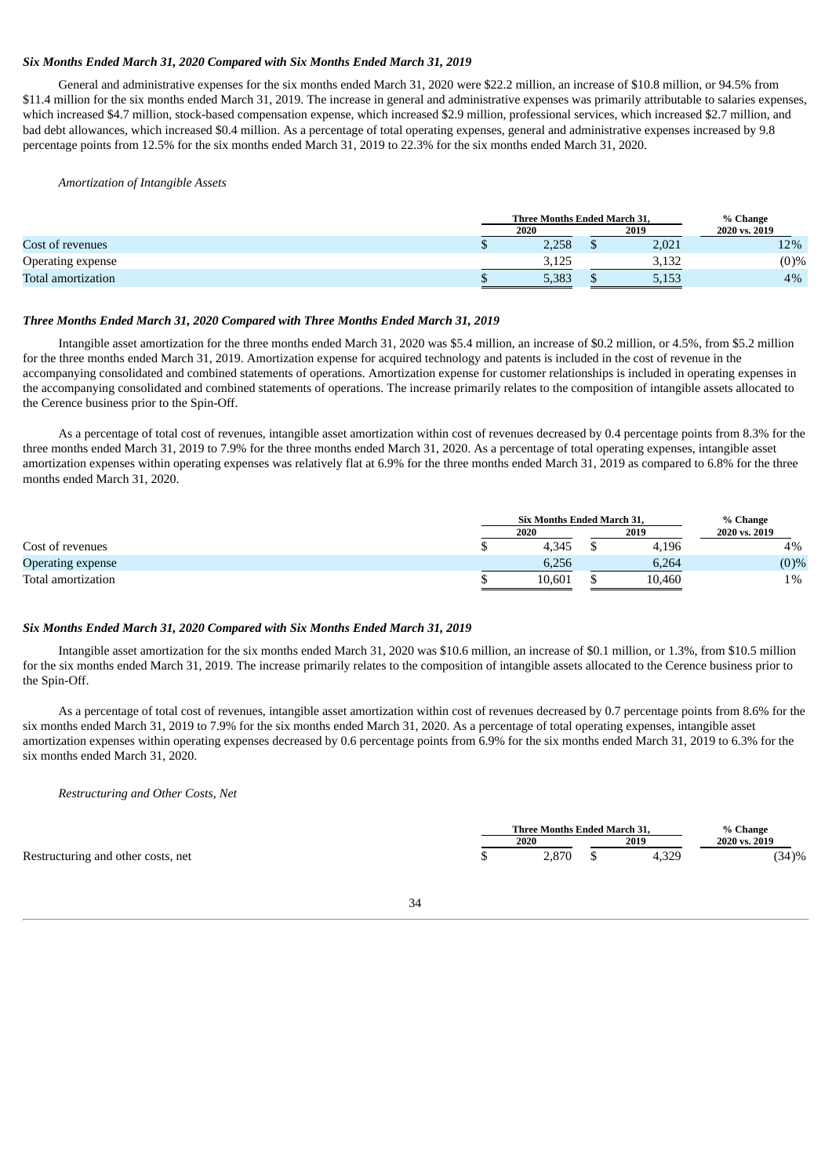#### *Six Months Ended March 31, 2020 Compared with Six Months Ended March 31, 2019*

General and administrative expenses for the six months ended March 31, 2020 were \$22.2 million, an increase of \$10.8 million, or 94.5% from \$11.4 million for the six months ended March 31, 2019. The increase in general and administrative expenses was primarily attributable to salaries expenses, which increased \$4.7 million, stock-based compensation expense, which increased \$2.9 million, professional services, which increased \$2.7 million, and bad debt allowances, which increased \$0.4 million. As a percentage of total operating expenses, general and administrative expenses increased by 9.8 percentage points from 12.5% for the six months ended March 31, 2019 to 22.3% for the six months ended March 31, 2020.

*Amortization of Intangible Assets*

|                    | <b>Three Months Ended March 31.</b> | % Change |               |
|--------------------|-------------------------------------|----------|---------------|
|                    | 2020                                | 2019     | 2020 vs. 2019 |
| Cost of revenues   | 2,258                               | 2,021    | 12%           |
| Operating expense  | 3,125                               | 3,132    | $(0)\%$       |
| Total amortization | 5,383                               | 5,153    | 4%            |

#### *Three Months Ended March 31, 2020 Compared with Three Months Ended March 31, 2019*

Intangible asset amortization for the three months ended March 31, 2020 was \$5.4 million, an increase of \$0.2 million, or 4.5%, from \$5.2 million for the three months ended March 31, 2019. Amortization expense for acquired technology and patents is included in the cost of revenue in the accompanying consolidated and combined statements of operations. Amortization expense for customer relationships is included in operating expenses in the accompanying consolidated and combined statements of operations. The increase primarily relates to the composition of intangible assets allocated to the Cerence business prior to the Spin-Off.

As a percentage of total cost of revenues, intangible asset amortization within cost of revenues decreased by 0.4 percentage points from 8.3% for the three months ended March 31, 2019 to 7.9% for the three months ended March 31, 2020. As a percentage of total operating expenses, intangible asset amortization expenses within operating expenses was relatively flat at 6.9% for the three months ended March 31, 2019 as compared to 6.8% for the three months ended March 31, 2020.

|                    |      | % Change |        |               |  |
|--------------------|------|----------|--------|---------------|--|
|                    | 2020 |          | 2019   | 2020 vs. 2019 |  |
| Cost of revenues   |      | 4.345    | 4,196  | 4%            |  |
| Operating expense  |      | 6,256    | 6,264  | $(0)\%$       |  |
| Total amortization |      | 10,601   | 10,460 | $1\%$         |  |

#### *Six Months Ended March 31, 2020 Compared with Six Months Ended March 31, 2019*

Intangible asset amortization for the six months ended March 31, 2020 was \$10.6 million, an increase of \$0.1 million, or 1.3%, from \$10.5 million for the six months ended March 31, 2019. The increase primarily relates to the composition of intangible assets allocated to the Cerence business prior to the Spin-Off.

As a percentage of total cost of revenues, intangible asset amortization within cost of revenues decreased by 0.7 percentage points from 8.6% for the six months ended March 31, 2019 to 7.9% for the six months ended March 31, 2020. As a percentage of total operating expenses, intangible asset amortization expenses within operating expenses decreased by 0.6 percentage points from 6.9% for the six months ended March 31, 2019 to 6.3% for the six months ended March 31, 2020.

#### *Restructuring and Other Costs, Net*

|  | % Change |       |                              |
|--|----------|-------|------------------------------|
|  | 2020     | 2019  | 2020 vs. 2019                |
|  | 2,870    | 4,329 | (34)%                        |
|  |          |       | Three Months Ended March 31. |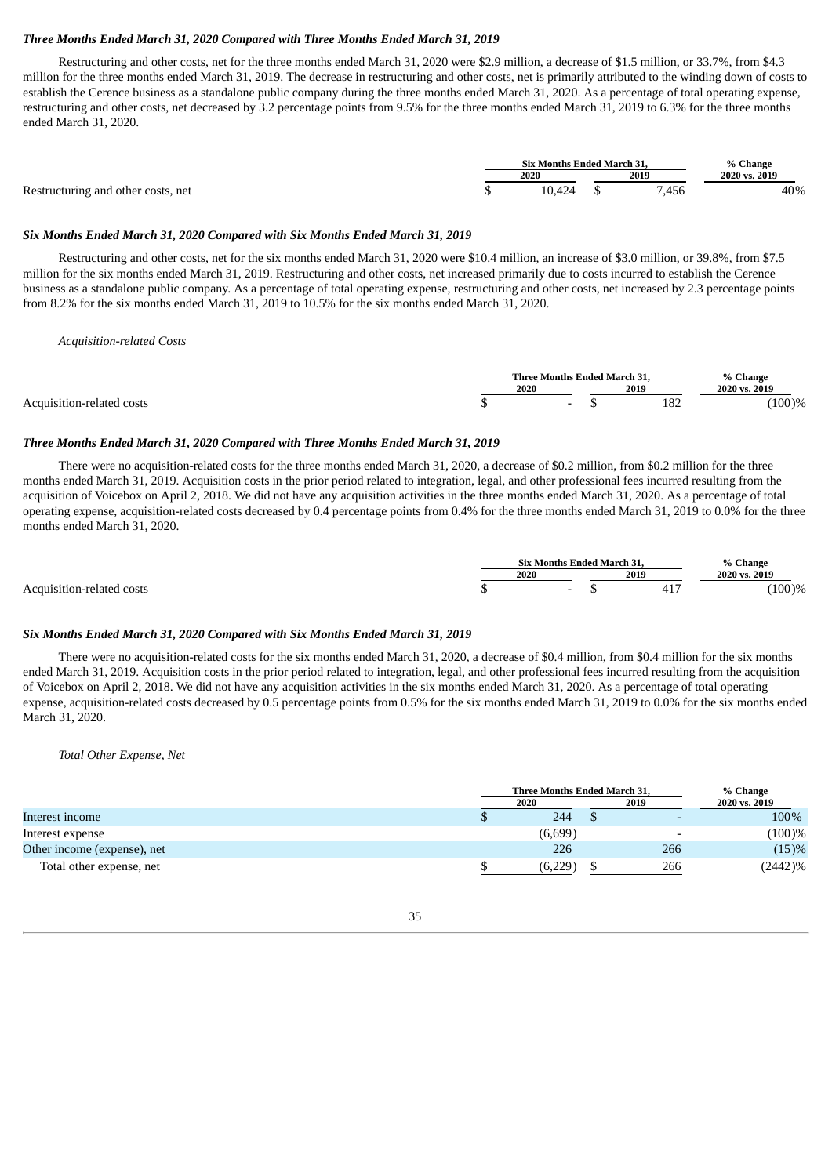#### *Three Months Ended March 31, 2020 Compared with Three Months Ended March 31, 2019*

Restructuring and other costs, net for the three months ended March 31, 2020 were \$2.9 million, a decrease of \$1.5 million, or 33.7%, from \$4.3 million for the three months ended March 31, 2019. The decrease in restructuring and other costs, net is primarily attributed to the winding down of costs to establish the Cerence business as a standalone public company during the three months ended March 31, 2020. As a percentage of total operating expense, restructuring and other costs, net decreased by 3.2 percentage points from 9.5% for the three months ended March 31, 2019 to 6.3% for the three months ended March 31, 2020.

|                                    | <b>Six Months Ended March 31.</b> |  |      | % Change      |
|------------------------------------|-----------------------------------|--|------|---------------|
|                                    | 2020                              |  | 2019 | 2020 vs. 2019 |
| Restructuring and other costs, net |                                   |  | ,456 | 40%           |

#### *Six Months Ended March 31, 2020 Compared with Six Months Ended March 31, 2019*

Restructuring and other costs, net for the six months ended March 31, 2020 were \$10.4 million, an increase of \$3.0 million, or 39.8%, from \$7.5 million for the six months ended March 31, 2019. Restructuring and other costs, net increased primarily due to costs incurred to establish the Cerence business as a standalone public company. As a percentage of total operating expense, restructuring and other costs, net increased by 2.3 percentage points from 8.2% for the six months ended March 31, 2019 to 10.5% for the six months ended March 31, 2020.

*Acquisition-related Costs*

|  | Three Months Ended March 31. |      | % Change      |  |
|--|------------------------------|------|---------------|--|
|  | 2020                         | 2019 | 2020 vs. 2019 |  |
|  |                              | 182  | $(100)\%$     |  |

#### *Three Months Ended March 31, 2020 Compared with Three Months Ended March 31, 2019*

There were no acquisition-related costs for the three months ended March 31, 2020, a decrease of \$0.2 million, from \$0.2 million for the three months ended March 31, 2019. Acquisition costs in the prior period related to integration, legal, and other professional fees incurred resulting from the acquisition of Voicebox on April 2, 2018. We did not have any acquisition activities in the three months ended March 31, 2020. As a percentage of total operating expense, acquisition-related costs decreased by 0.4 percentage points from 0.4% for the three months ended March 31, 2019 to 0.0% for the three months ended March 31, 2020.

|  | Six Months Ended March 31. |     |      | % Change      |  |
|--|----------------------------|-----|------|---------------|--|
|  | 2020                       |     | 2019 | 2020 vs. 2019 |  |
|  |                            | . . | 41.  | $(100)\%$     |  |

## *Six Months Ended March 31, 2020 Compared with Six Months Ended March 31, 2019*

There were no acquisition-related costs for the six months ended March 31, 2020, a decrease of \$0.4 million, from \$0.4 million for the six months ended March 31, 2019. Acquisition costs in the prior period related to integration, legal, and other professional fees incurred resulting from the acquisition of Voicebox on April 2, 2018. We did not have any acquisition activities in the six months ended March 31, 2020. As a percentage of total operating expense, acquisition-related costs decreased by 0.5 percentage points from 0.5% for the six months ended March 31, 2019 to 0.0% for the six months ended March 31, 2020.

*Total Other Expense, Net*

|                             |  | <b>Three Months Ended March 31.</b> |  |     | % Change  |  |  |  |  |      |               |
|-----------------------------|--|-------------------------------------|--|-----|-----------|--|--|--|--|------|---------------|
|                             |  | 2020                                |  |     |           |  |  |  |  | 2019 | 2020 vs. 2019 |
| Interest income             |  | 244                                 |  |     | 100%      |  |  |  |  |      |               |
| Interest expense            |  | (6,699)                             |  |     | $(100)\%$ |  |  |  |  |      |               |
| Other income (expense), net |  | 226                                 |  | 266 | (15)%     |  |  |  |  |      |               |
| Total other expense, net    |  | (6,229)                             |  | 266 | (2442)%   |  |  |  |  |      |               |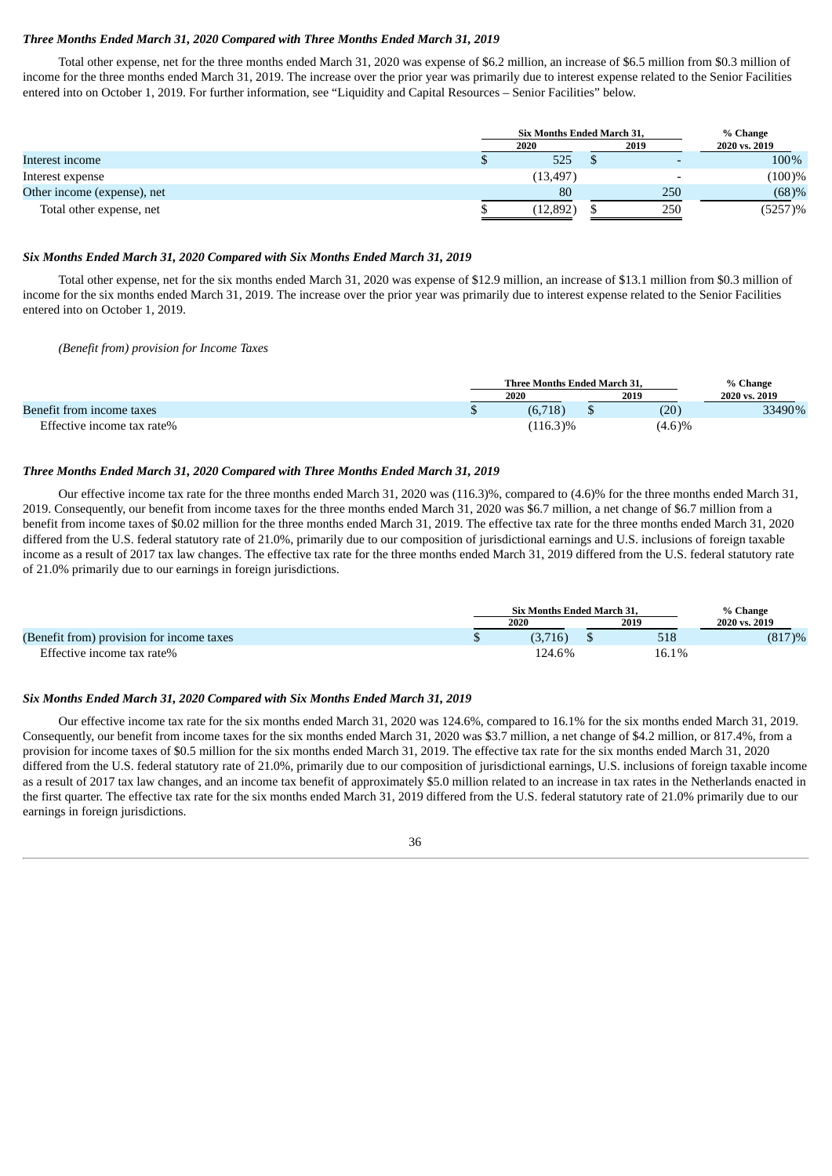#### *Three Months Ended March 31, 2020 Compared with Three Months Ended March 31, 2019*

Total other expense, net for the three months ended March 31, 2020 was expense of \$6.2 million, an increase of \$6.5 million from \$0.3 million of income for the three months ended March 31, 2019. The increase over the prior year was primarily due to interest expense related to the Senior Facilities entered into on October 1, 2019. For further information, see "Liquidity and Capital Resources – Senior Facilities" below.

|                             | Six Months Ended March 31. |  |      | % Change      |
|-----------------------------|----------------------------|--|------|---------------|
|                             | 2020                       |  | 2019 | 2020 vs. 2019 |
| Interest income             | 525                        |  |      | 100%          |
| Interest expense            | 13,497                     |  |      | $(100)\%$     |
| Other income (expense), net | 80                         |  | 250  | (68)%         |
| Total other expense, net    | (12,892)                   |  | 250  | (5257)%       |

#### *Six Months Ended March 31, 2020 Compared with Six Months Ended March 31, 2019*

Total other expense, net for the six months ended March 31, 2020 was expense of \$12.9 million, an increase of \$13.1 million from \$0.3 million of income for the six months ended March 31, 2019. The increase over the prior year was primarily due to interest expense related to the Senior Facilities entered into on October 1, 2019.

*(Benefit from) provision for Income Taxes*

|                            |      | <b>Three Months Ended March 31.</b> |  | % Change  |               |
|----------------------------|------|-------------------------------------|--|-----------|---------------|
|                            | 2020 |                                     |  | 2019      | 2020 vs. 2019 |
| Benefit from income taxes  |      | (6.718)                             |  | (20       | 33490%        |
| Effective income tax rate% |      | $(116.3)\%$                         |  | $(4.6)\%$ |               |

#### *Three Months Ended March 31, 2020 Compared with Three Months Ended March 31, 2019*

Our effective income tax rate for the three months ended March 31, 2020 was (116.3)%, compared to (4.6)% for the three months ended March 31, 2019. Consequently, our benefit from income taxes for the three months ended March 31, 2020 was \$6.7 million, a net change of \$6.7 million from a benefit from income taxes of \$0.02 million for the three months ended March 31, 2019. The effective tax rate for the three months ended March 31, 2020 differed from the U.S. federal statutory rate of 21.0%, primarily due to our composition of jurisdictional earnings and U.S. inclusions of foreign taxable income as a result of 2017 tax law changes. The effective tax rate for the three months ended March 31, 2019 differed from the U.S. federal statutory rate of 21.0% primarily due to our earnings in foreign jurisdictions.

|                                           | <b>Six Months Ended March 31.</b> |  |       | % Change      |
|-------------------------------------------|-----------------------------------|--|-------|---------------|
|                                           | 2020                              |  | 2019  | 2020 vs. 2019 |
| (Benefit from) provision for income taxes | (3.716)                           |  | 518   | (817)%        |
| Effective income tax rate%                | 124.6%                            |  | 16.1% |               |

#### *Six Months Ended March 31, 2020 Compared with Six Months Ended March 31, 2019*

Our effective income tax rate for the six months ended March 31, 2020 was 124.6%, compared to 16.1% for the six months ended March 31, 2019. Consequently, our benefit from income taxes for the six months ended March 31, 2020 was \$3.7 million, a net change of \$4.2 million, or 817.4%, from a provision for income taxes of \$0.5 million for the six months ended March 31, 2019. The effective tax rate for the six months ended March 31, 2020 differed from the U.S. federal statutory rate of 21.0%, primarily due to our composition of jurisdictional earnings, U.S. inclusions of foreign taxable income as a result of 2017 tax law changes, and an income tax benefit of approximately \$5.0 million related to an increase in tax rates in the Netherlands enacted in the first quarter. The effective tax rate for the six months ended March 31, 2019 differed from the U.S. federal statutory rate of 21.0% primarily due to our earnings in foreign jurisdictions.

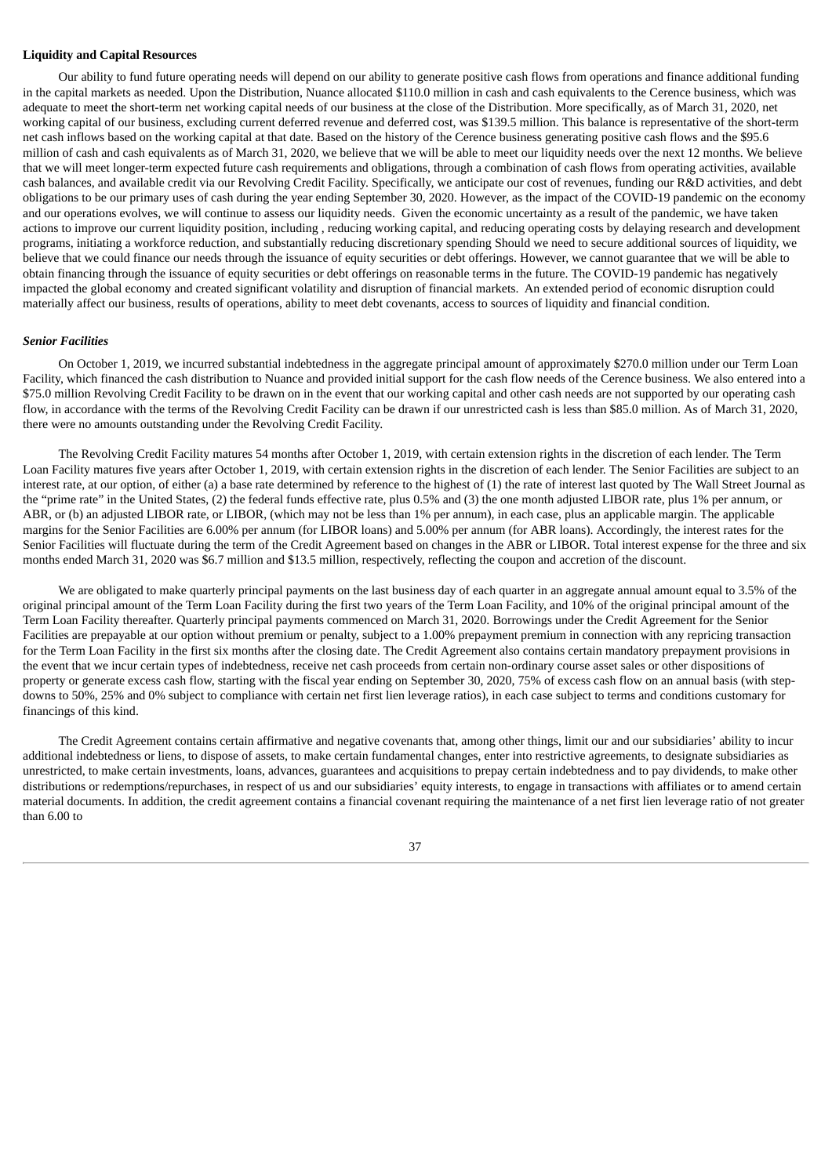#### **Liquidity and Capital Resources**

Our ability to fund future operating needs will depend on our ability to generate positive cash flows from operations and finance additional funding in the capital markets as needed. Upon the Distribution, Nuance allocated \$110.0 million in cash and cash equivalents to the Cerence business, which was adequate to meet the short-term net working capital needs of our business at the close of the Distribution. More specifically, as of March 31, 2020, net working capital of our business, excluding current deferred revenue and deferred cost, was \$139.5 million. This balance is representative of the short-term net cash inflows based on the working capital at that date. Based on the history of the Cerence business generating positive cash flows and the \$95.6 million of cash and cash equivalents as of March 31, 2020, we believe that we will be able to meet our liquidity needs over the next 12 months. We believe that we will meet longer-term expected future cash requirements and obligations, through a combination of cash flows from operating activities, available cash balances, and available credit via our Revolving Credit Facility. Specifically, we anticipate our cost of revenues, funding our R&D activities, and debt obligations to be our primary uses of cash during the year ending September 30, 2020. However, as the impact of the COVID-19 pandemic on the economy and our operations evolves, we will continue to assess our liquidity needs. Given the economic uncertainty as a result of the pandemic, we have taken actions to improve our current liquidity position, including , reducing working capital, and reducing operating costs by delaying research and development programs, initiating a workforce reduction, and substantially reducing discretionary spending Should we need to secure additional sources of liquidity, we believe that we could finance our needs through the issuance of equity securities or debt offerings. However, we cannot guarantee that we will be able to obtain financing through the issuance of equity securities or debt offerings on reasonable terms in the future. The COVID-19 pandemic has negatively impacted the global economy and created significant volatility and disruption of financial markets. An extended period of economic disruption could materially affect our business, results of operations, ability to meet debt covenants, access to sources of liquidity and financial condition.

#### *Senior Facilities*

On October 1, 2019, we incurred substantial indebtedness in the aggregate principal amount of approximately \$270.0 million under our Term Loan Facility, which financed the cash distribution to Nuance and provided initial support for the cash flow needs of the Cerence business. We also entered into a \$75.0 million Revolving Credit Facility to be drawn on in the event that our working capital and other cash needs are not supported by our operating cash flow, in accordance with the terms of the Revolving Credit Facility can be drawn if our unrestricted cash is less than \$85.0 million. As of March 31, 2020, there were no amounts outstanding under the Revolving Credit Facility.

The Revolving Credit Facility matures 54 months after October 1, 2019, with certain extension rights in the discretion of each lender. The Term Loan Facility matures five years after October 1, 2019, with certain extension rights in the discretion of each lender. The Senior Facilities are subject to an interest rate, at our option, of either (a) a base rate determined by reference to the highest of (1) the rate of interest last quoted by The Wall Street Journal as the "prime rate" in the United States, (2) the federal funds effective rate, plus 0.5% and (3) the one month adjusted LIBOR rate, plus 1% per annum, or ABR, or (b) an adjusted LIBOR rate, or LIBOR, (which may not be less than 1% per annum), in each case, plus an applicable margin. The applicable margins for the Senior Facilities are 6.00% per annum (for LIBOR loans) and 5.00% per annum (for ABR loans). Accordingly, the interest rates for the Senior Facilities will fluctuate during the term of the Credit Agreement based on changes in the ABR or LIBOR. Total interest expense for the three and six months ended March 31, 2020 was \$6.7 million and \$13.5 million, respectively, reflecting the coupon and accretion of the discount.

We are obligated to make quarterly principal payments on the last business day of each quarter in an aggregate annual amount equal to 3.5% of the original principal amount of the Term Loan Facility during the first two years of the Term Loan Facility, and 10% of the original principal amount of the Term Loan Facility thereafter. Quarterly principal payments commenced on March 31, 2020. Borrowings under the Credit Agreement for the Senior Facilities are prepayable at our option without premium or penalty, subject to a 1.00% prepayment premium in connection with any repricing transaction for the Term Loan Facility in the first six months after the closing date. The Credit Agreement also contains certain mandatory prepayment provisions in the event that we incur certain types of indebtedness, receive net cash proceeds from certain non-ordinary course asset sales or other dispositions of property or generate excess cash flow, starting with the fiscal year ending on September 30, 2020, 75% of excess cash flow on an annual basis (with stepdowns to 50%, 25% and 0% subject to compliance with certain net first lien leverage ratios), in each case subject to terms and conditions customary for financings of this kind.

The Credit Agreement contains certain affirmative and negative covenants that, among other things, limit our and our subsidiaries' ability to incur additional indebtedness or liens, to dispose of assets, to make certain fundamental changes, enter into restrictive agreements, to designate subsidiaries as unrestricted, to make certain investments, loans, advances, guarantees and acquisitions to prepay certain indebtedness and to pay dividends, to make other distributions or redemptions/repurchases, in respect of us and our subsidiaries' equity interests, to engage in transactions with affiliates or to amend certain material documents. In addition, the credit agreement contains a financial covenant requiring the maintenance of a net first lien leverage ratio of not greater than 6.00 to

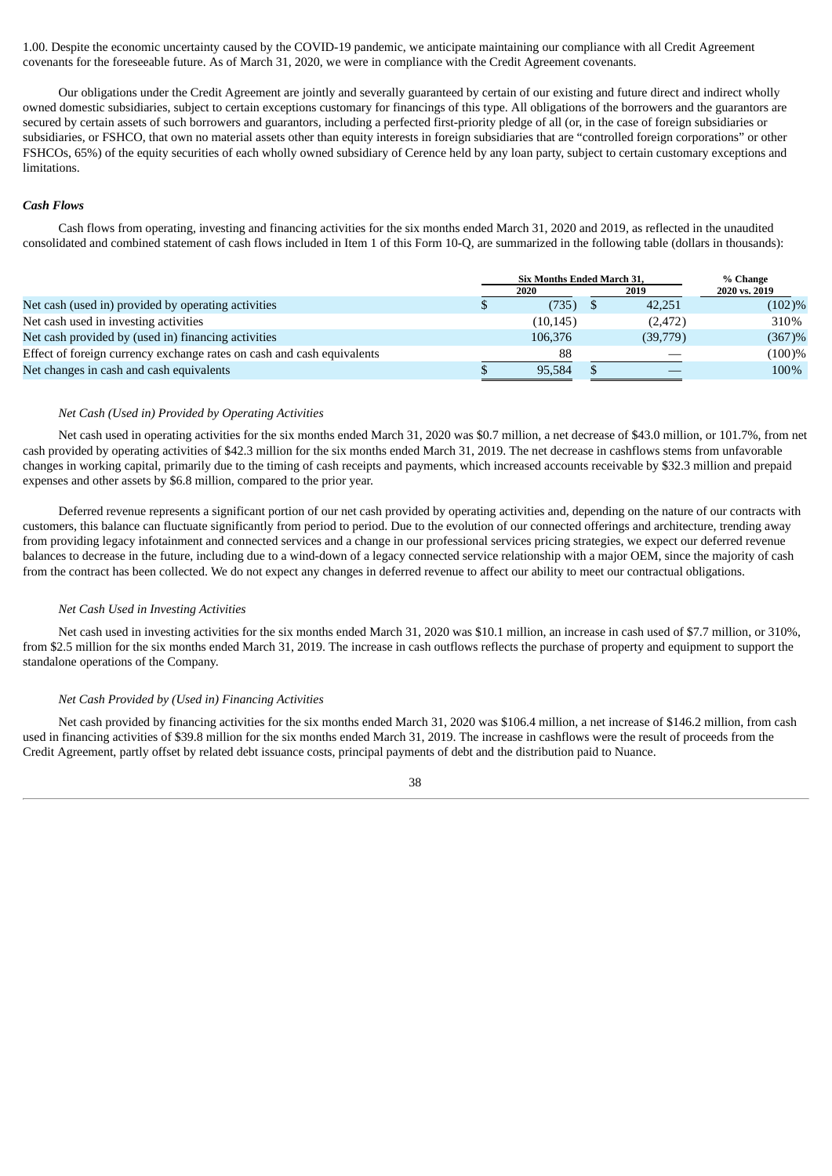1.00. Despite the economic uncertainty caused by the COVID-19 pandemic, we anticipate maintaining our compliance with all Credit Agreement covenants for the foreseeable future. As of March 31, 2020, we were in compliance with the Credit Agreement covenants.

Our obligations under the Credit Agreement are jointly and severally guaranteed by certain of our existing and future direct and indirect wholly owned domestic subsidiaries, subject to certain exceptions customary for financings of this type. All obligations of the borrowers and the guarantors are secured by certain assets of such borrowers and guarantors, including a perfected first-priority pledge of all (or, in the case of foreign subsidiaries or subsidiaries, or FSHCO, that own no material assets other than equity interests in foreign subsidiaries that are "controlled foreign corporations" or other FSHCOs, 65%) of the equity securities of each wholly owned subsidiary of Cerence held by any loan party, subject to certain customary exceptions and limitations.

## *Cash Flows*

Cash flows from operating, investing and financing activities for the six months ended March 31, 2020 and 2019, as reflected in the unaudited consolidated and combined statement of cash flows included in Item 1 of this Form 10-Q, are summarized in the following table (dollars in thousands):

|                                                                        |  | % Change |  |          |               |
|------------------------------------------------------------------------|--|----------|--|----------|---------------|
|                                                                        |  | 2020     |  | 2019     | 2020 vs. 2019 |
| Net cash (used in) provided by operating activities                    |  | (735)    |  | 42,251   | (102)%        |
| Net cash used in investing activities                                  |  | (10,145) |  | (2, 472) | 310%          |
| Net cash provided by (used in) financing activities                    |  | 106,376  |  | (39,779) | (367)%        |
| Effect of foreign currency exchange rates on cash and cash equivalents |  | 88       |  |          | (100)%        |
| Net changes in cash and cash equivalents                               |  | 95.584   |  |          | 100%          |

#### *Net Cash (Used in) Provided by Operating Activities*

Net cash used in operating activities for the six months ended March 31, 2020 was \$0.7 million, a net decrease of \$43.0 million, or 101.7%, from net cash provided by operating activities of \$42.3 million for the six months ended March 31, 2019. The net decrease in cashflows stems from unfavorable changes in working capital, primarily due to the timing of cash receipts and payments, which increased accounts receivable by \$32.3 million and prepaid expenses and other assets by \$6.8 million, compared to the prior year.

Deferred revenue represents a significant portion of our net cash provided by operating activities and, depending on the nature of our contracts with customers, this balance can fluctuate significantly from period to period. Due to the evolution of our connected offerings and architecture, trending away from providing legacy infotainment and connected services and a change in our professional services pricing strategies, we expect our deferred revenue balances to decrease in the future, including due to a wind-down of a legacy connected service relationship with a major OEM, since the majority of cash from the contract has been collected. We do not expect any changes in deferred revenue to affect our ability to meet our contractual obligations.

#### *Net Cash Used in Investing Activities*

Net cash used in investing activities for the six months ended March 31, 2020 was \$10.1 million, an increase in cash used of \$7.7 million, or 310%, from \$2.5 million for the six months ended March 31, 2019. The increase in cash outflows reflects the purchase of property and equipment to support the standalone operations of the Company.

#### *Net Cash Provided by (Used in) Financing Activities*

Net cash provided by financing activities for the six months ended March 31, 2020 was \$106.4 million, a net increase of \$146.2 million, from cash used in financing activities of \$39.8 million for the six months ended March 31, 2019. The increase in cashflows were the result of proceeds from the Credit Agreement, partly offset by related debt issuance costs, principal payments of debt and the distribution paid to Nuance.

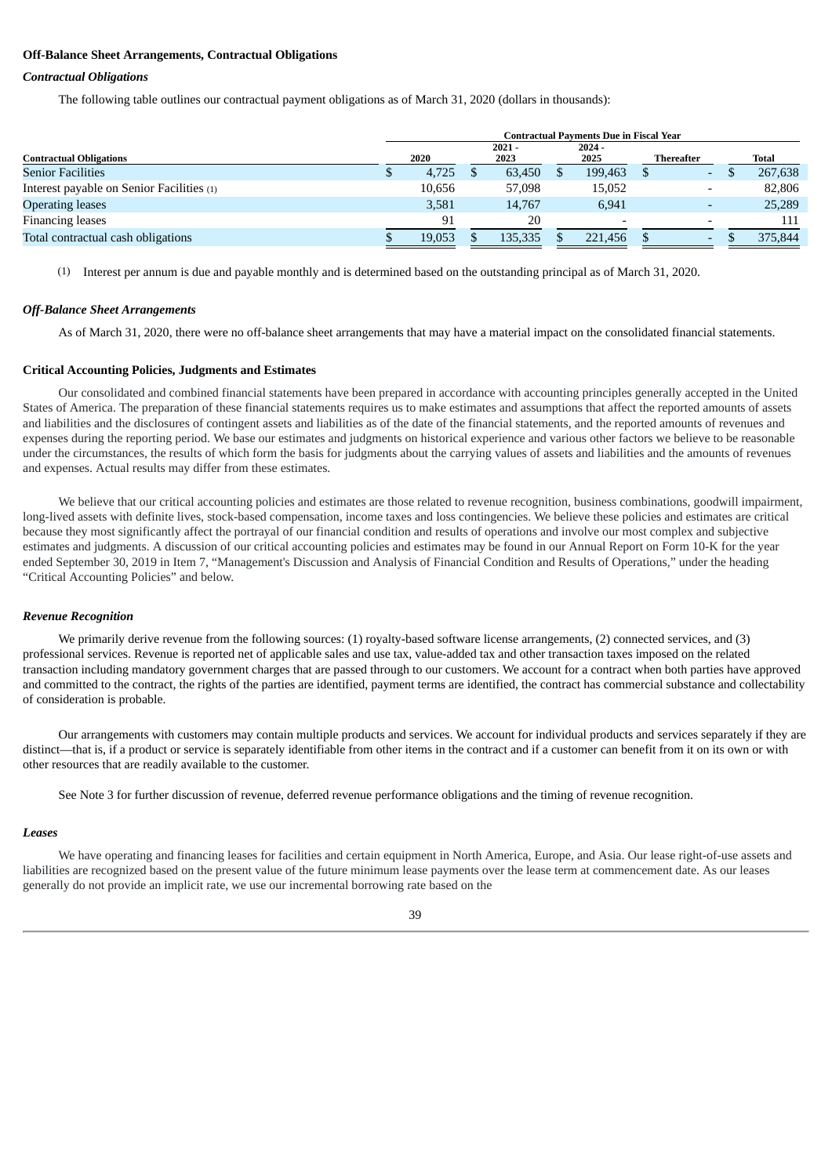## **Off-Balance Sheet Arrangements, Contractual Obligations**

#### *Contractual Obligations*

The following table outlines our contractual payment obligations as of March 31, 2020 (dollars in thousands):

|                                           | <b>Contractual Payments Due in Fiscal Year</b> |  |                  |  |                  |  |                   |  |              |
|-------------------------------------------|------------------------------------------------|--|------------------|--|------------------|--|-------------------|--|--------------|
| <b>Contractual Obligations</b>            | 2020                                           |  | $2021 -$<br>2023 |  | $2024 -$<br>2025 |  | <b>Thereafter</b> |  | <b>Total</b> |
| <b>Senior Facilities</b>                  | 4.725                                          |  | 63.450           |  | 199.463          |  | ٠                 |  | 267,638      |
| Interest payable on Senior Facilities (1) | 10,656                                         |  | 57,098           |  | 15,052           |  |                   |  | 82,806       |
| <b>Operating leases</b>                   | 3.581                                          |  | 14.767           |  | 6,941            |  |                   |  | 25,289       |
| <b>Financing leases</b>                   | 91                                             |  | 20               |  |                  |  |                   |  | 111          |
| Total contractual cash obligations        | 19.053                                         |  | 135.335          |  | 221,456          |  |                   |  | 375,844      |

(1) Interest per annum is due and payable monthly and is determined based on the outstanding principal as of March 31, 2020.

#### *Off-Balance Sheet Arrangements*

As of March 31, 2020, there were no off-balance sheet arrangements that may have a material impact on the consolidated financial statements.

#### **Critical Accounting Policies, Judgments and Estimates**

Our consolidated and combined financial statements have been prepared in accordance with accounting principles generally accepted in the United States of America. The preparation of these financial statements requires us to make estimates and assumptions that affect the reported amounts of assets and liabilities and the disclosures of contingent assets and liabilities as of the date of the financial statements, and the reported amounts of revenues and expenses during the reporting period. We base our estimates and judgments on historical experience and various other factors we believe to be reasonable under the circumstances, the results of which form the basis for judgments about the carrying values of assets and liabilities and the amounts of revenues and expenses. Actual results may differ from these estimates.

We believe that our critical accounting policies and estimates are those related to revenue recognition, business combinations, goodwill impairment, long-lived assets with definite lives, stock-based compensation, income taxes and loss contingencies. We believe these policies and estimates are critical because they most significantly affect the portrayal of our financial condition and results of operations and involve our most complex and subjective estimates and judgments. A discussion of our critical accounting policies and estimates may be found in our Annual Report on Form 10-K for the year ended September 30, 2019 in Item 7, "Management's Discussion and Analysis of Financial Condition and Results of Operations," under the heading "Critical Accounting Policies" and below.

#### *Revenue Recognition*

We primarily derive revenue from the following sources: (1) royalty-based software license arrangements, (2) connected services, and (3) professional services. Revenue is reported net of applicable sales and use tax, value-added tax and other transaction taxes imposed on the related transaction including mandatory government charges that are passed through to our customers. We account for a contract when both parties have approved and committed to the contract, the rights of the parties are identified, payment terms are identified, the contract has commercial substance and collectability of consideration is probable.

Our arrangements with customers may contain multiple products and services. We account for individual products and services separately if they are distinct—that is, if a product or service is separately identifiable from other items in the contract and if a customer can benefit from it on its own or with other resources that are readily available to the customer.

See Note 3 for further discussion of revenue, deferred revenue performance obligations and the timing of revenue recognition.

#### *Leases*

We have operating and financing leases for facilities and certain equipment in North America, Europe, and Asia. Our lease right-of-use assets and liabilities are recognized based on the present value of the future minimum lease payments over the lease term at commencement date. As our leases generally do not provide an implicit rate, we use our incremental borrowing rate based on the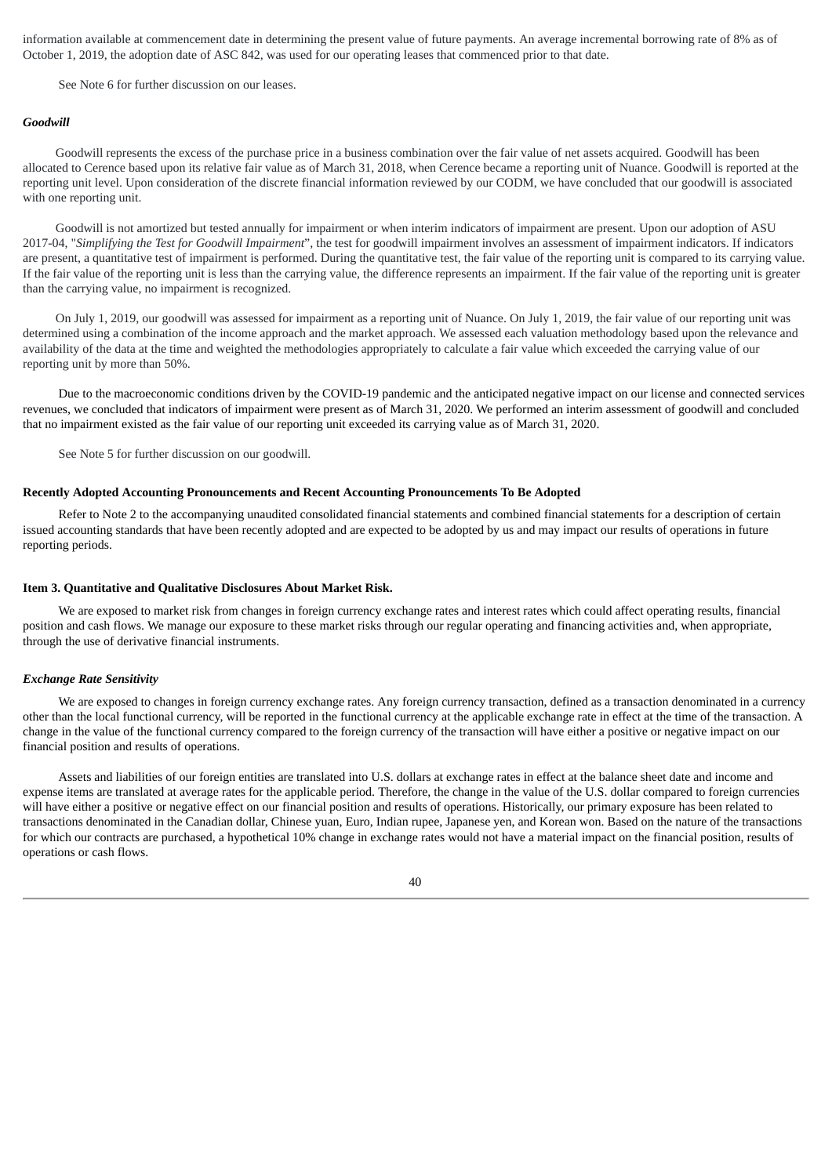information available at commencement date in determining the present value of future payments. An average incremental borrowing rate of 8% as of October 1, 2019, the adoption date of ASC 842, was used for our operating leases that commenced prior to that date.

See Note 6 for further discussion on our leases.

#### *Goodwill*

Goodwill represents the excess of the purchase price in a business combination over the fair value of net assets acquired. Goodwill has been allocated to Cerence based upon its relative fair value as of March 31, 2018, when Cerence became a reporting unit of Nuance. Goodwill is reported at the reporting unit level. Upon consideration of the discrete financial information reviewed by our CODM, we have concluded that our goodwill is associated with one reporting unit.

Goodwill is not amortized but tested annually for impairment or when interim indicators of impairment are present. Upon our adoption of ASU 2017-04, "*Simplifying the Test for Goodwill Impairment*", the test for goodwill impairment involves an assessment of impairment indicators. If indicators are present, a quantitative test of impairment is performed. During the quantitative test, the fair value of the reporting unit is compared to its carrying value. If the fair value of the reporting unit is less than the carrying value, the difference represents an impairment. If the fair value of the reporting unit is greater than the carrying value, no impairment is recognized.

On July 1, 2019, our goodwill was assessed for impairment as a reporting unit of Nuance. On July 1, 2019, the fair value of our reporting unit was determined using a combination of the income approach and the market approach. We assessed each valuation methodology based upon the relevance and availability of the data at the time and weighted the methodologies appropriately to calculate a fair value which exceeded the carrying value of our reporting unit by more than 50%.

Due to the macroeconomic conditions driven by the COVID-19 pandemic and the anticipated negative impact on our license and connected services revenues, we concluded that indicators of impairment were present as of March 31, 2020. We performed an interim assessment of goodwill and concluded that no impairment existed as the fair value of our reporting unit exceeded its carrying value as of March 31, 2020.

See Note 5 for further discussion on our goodwill.

#### **Recently Adopted Accounting Pronouncements and Recent Accounting Pronouncements To Be Adopted**

Refer to Note 2 to the accompanying unaudited consolidated financial statements and combined financial statements for a description of certain issued accounting standards that have been recently adopted and are expected to be adopted by us and may impact our results of operations in future reporting periods.

#### <span id="page-41-0"></span>**Item 3. Quantitative and Qualitative Disclosures About Market Risk.**

We are exposed to market risk from changes in foreign currency exchange rates and interest rates which could affect operating results, financial position and cash flows. We manage our exposure to these market risks through our regular operating and financing activities and, when appropriate, through the use of derivative financial instruments.

#### *Exchange Rate Sensitivity*

We are exposed to changes in foreign currency exchange rates. Any foreign currency transaction, defined as a transaction denominated in a currency other than the local functional currency, will be reported in the functional currency at the applicable exchange rate in effect at the time of the transaction. A change in the value of the functional currency compared to the foreign currency of the transaction will have either a positive or negative impact on our financial position and results of operations.

Assets and liabilities of our foreign entities are translated into U.S. dollars at exchange rates in effect at the balance sheet date and income and expense items are translated at average rates for the applicable period. Therefore, the change in the value of the U.S. dollar compared to foreign currencies will have either a positive or negative effect on our financial position and results of operations. Historically, our primary exposure has been related to transactions denominated in the Canadian dollar, Chinese yuan, Euro, Indian rupee, Japanese yen, and Korean won. Based on the nature of the transactions for which our contracts are purchased, a hypothetical 10% change in exchange rates would not have a material impact on the financial position, results of operations or cash flows.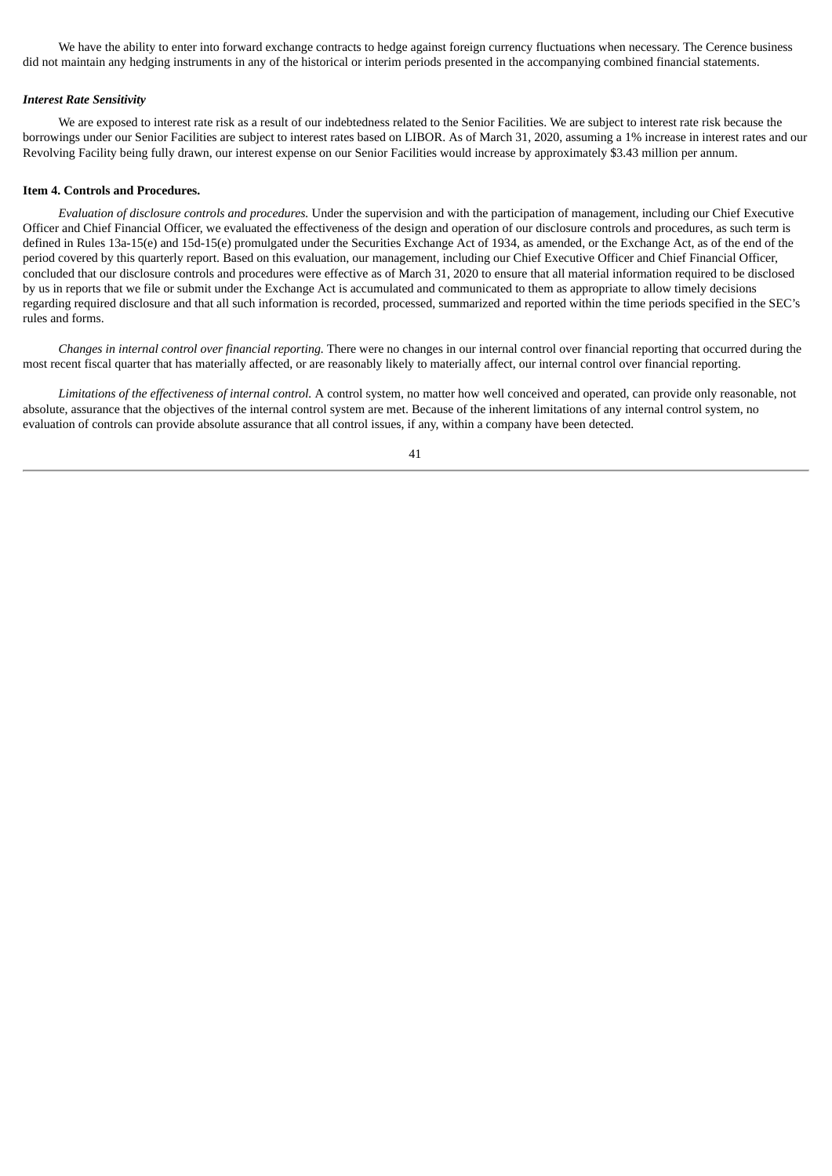We have the ability to enter into forward exchange contracts to hedge against foreign currency fluctuations when necessary. The Cerence business did not maintain any hedging instruments in any of the historical or interim periods presented in the accompanying combined financial statements.

## *Interest Rate Sensitivity*

We are exposed to interest rate risk as a result of our indebtedness related to the Senior Facilities. We are subject to interest rate risk because the borrowings under our Senior Facilities are subject to interest rates based on LIBOR. As of March 31, 2020, assuming a 1% increase in interest rates and our Revolving Facility being fully drawn, our interest expense on our Senior Facilities would increase by approximately \$3.43 million per annum.

#### <span id="page-42-0"></span>**Item 4. Controls and Procedures.**

*Evaluation of disclosure controls and procedures.* Under the supervision and with the participation of management, including our Chief Executive Officer and Chief Financial Officer, we evaluated the effectiveness of the design and operation of our disclosure controls and procedures, as such term is defined in Rules 13a-15(e) and 15d-15(e) promulgated under the Securities Exchange Act of 1934, as amended, or the Exchange Act, as of the end of the period covered by this quarterly report. Based on this evaluation, our management, including our Chief Executive Officer and Chief Financial Officer, concluded that our disclosure controls and procedures were effective as of March 31, 2020 to ensure that all material information required to be disclosed by us in reports that we file or submit under the Exchange Act is accumulated and communicated to them as appropriate to allow timely decisions regarding required disclosure and that all such information is recorded, processed, summarized and reported within the time periods specified in the SEC's rules and forms.

*Changes in internal control over financial reporting.* There were no changes in our internal control over financial reporting that occurred during the most recent fiscal quarter that has materially affected, or are reasonably likely to materially affect, our internal control over financial reporting.

*Limitations of the effectiveness of internal control.* A control system, no matter how well conceived and operated, can provide only reasonable, not absolute, assurance that the objectives of the internal control system are met. Because of the inherent limitations of any internal control system, no evaluation of controls can provide absolute assurance that all control issues, if any, within a company have been detected.

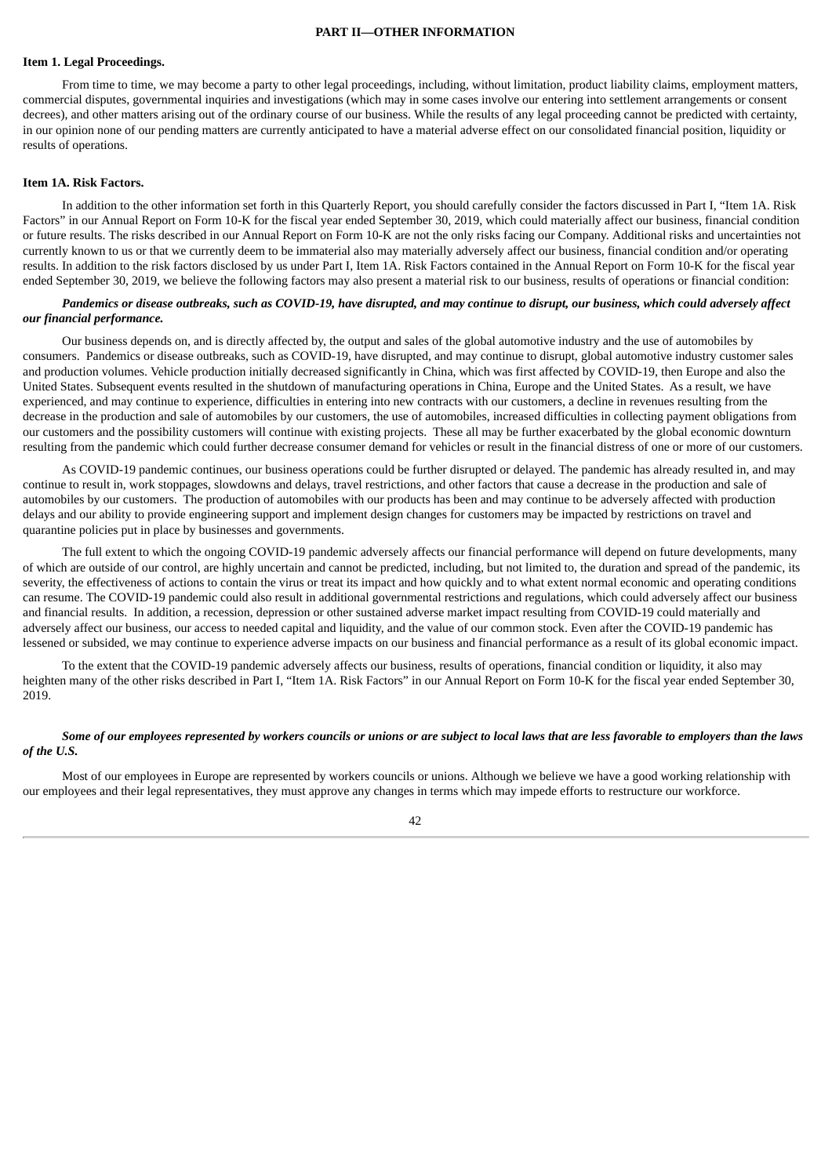#### **PART II—OTHER INFORMATION**

#### <span id="page-43-1"></span><span id="page-43-0"></span>**Item 1. Legal Proceedings.**

From time to time, we may become a party to other legal proceedings, including, without limitation, product liability claims, employment matters, commercial disputes, governmental inquiries and investigations (which may in some cases involve our entering into settlement arrangements or consent decrees), and other matters arising out of the ordinary course of our business. While the results of any legal proceeding cannot be predicted with certainty, in our opinion none of our pending matters are currently anticipated to have a material adverse effect on our consolidated financial position, liquidity or results of operations.

#### <span id="page-43-2"></span>**Item 1A. Risk Factors.**

In addition to the other information set forth in this Quarterly Report, you should carefully consider the factors discussed in Part I, "Item 1A. Risk Factors" in our Annual Report on Form 10-K for the fiscal year ended September 30, 2019, which could materially affect our business, financial condition or future results. The risks described in our Annual Report on Form 10-K are not the only risks facing our Company. Additional risks and uncertainties not currently known to us or that we currently deem to be immaterial also may materially adversely affect our business, financial condition and/or operating results. In addition to the risk factors disclosed by us under Part I, Item 1A. Risk Factors contained in the Annual Report on Form 10-K for the fiscal year ended September 30, 2019, we believe the following factors may also present a material risk to our business, results of operations or financial condition:

## Pandemics or disease outbreaks, such as COVID-19, have disrupted, and may continue to disrupt, our business, which could adversely affect *our financial performance.*

Our business depends on, and is directly affected by, the output and sales of the global automotive industry and the use of automobiles by consumers. Pandemics or disease outbreaks, such as COVID-19, have disrupted, and may continue to disrupt, global automotive industry customer sales and production volumes. Vehicle production initially decreased significantly in China, which was first affected by COVID-19, then Europe and also the United States. Subsequent events resulted in the shutdown of manufacturing operations in China, Europe and the United States. As a result, we have experienced, and may continue to experience, difficulties in entering into new contracts with our customers, a decline in revenues resulting from the decrease in the production and sale of automobiles by our customers, the use of automobiles, increased difficulties in collecting payment obligations from our customers and the possibility customers will continue with existing projects. These all may be further exacerbated by the global economic downturn resulting from the pandemic which could further decrease consumer demand for vehicles or result in the financial distress of one or more of our customers.

As COVID-19 pandemic continues, our business operations could be further disrupted or delayed. The pandemic has already resulted in, and may continue to result in, work stoppages, slowdowns and delays, travel restrictions, and other factors that cause a decrease in the production and sale of automobiles by our customers. The production of automobiles with our products has been and may continue to be adversely affected with production delays and our ability to provide engineering support and implement design changes for customers may be impacted by restrictions on travel and quarantine policies put in place by businesses and governments.

The full extent to which the ongoing COVID-19 pandemic adversely affects our financial performance will depend on future developments, many of which are outside of our control, are highly uncertain and cannot be predicted, including, but not limited to, the duration and spread of the pandemic, its severity, the effectiveness of actions to contain the virus or treat its impact and how quickly and to what extent normal economic and operating conditions can resume. The COVID-19 pandemic could also result in additional governmental restrictions and regulations, which could adversely affect our business and financial results. In addition, a recession, depression or other sustained adverse market impact resulting from COVID-19 could materially and adversely affect our business, our access to needed capital and liquidity, and the value of our common stock. Even after the COVID-19 pandemic has lessened or subsided, we may continue to experience adverse impacts on our business and financial performance as a result of its global economic impact.

To the extent that the COVID-19 pandemic adversely affects our business, results of operations, financial condition or liquidity, it also may heighten many of the other risks described in Part I, "Item 1A. Risk Factors" in our Annual Report on Form 10-K for the fiscal year ended September 30, 2019.

### Some of our employees represented by workers councils or unions or are subject to local laws that are less favorable to employers than the laws *of the U.S.*

Most of our employees in Europe are represented by workers councils or unions. Although we believe we have a good working relationship with our employees and their legal representatives, they must approve any changes in terms which may impede efforts to restructure our workforce.

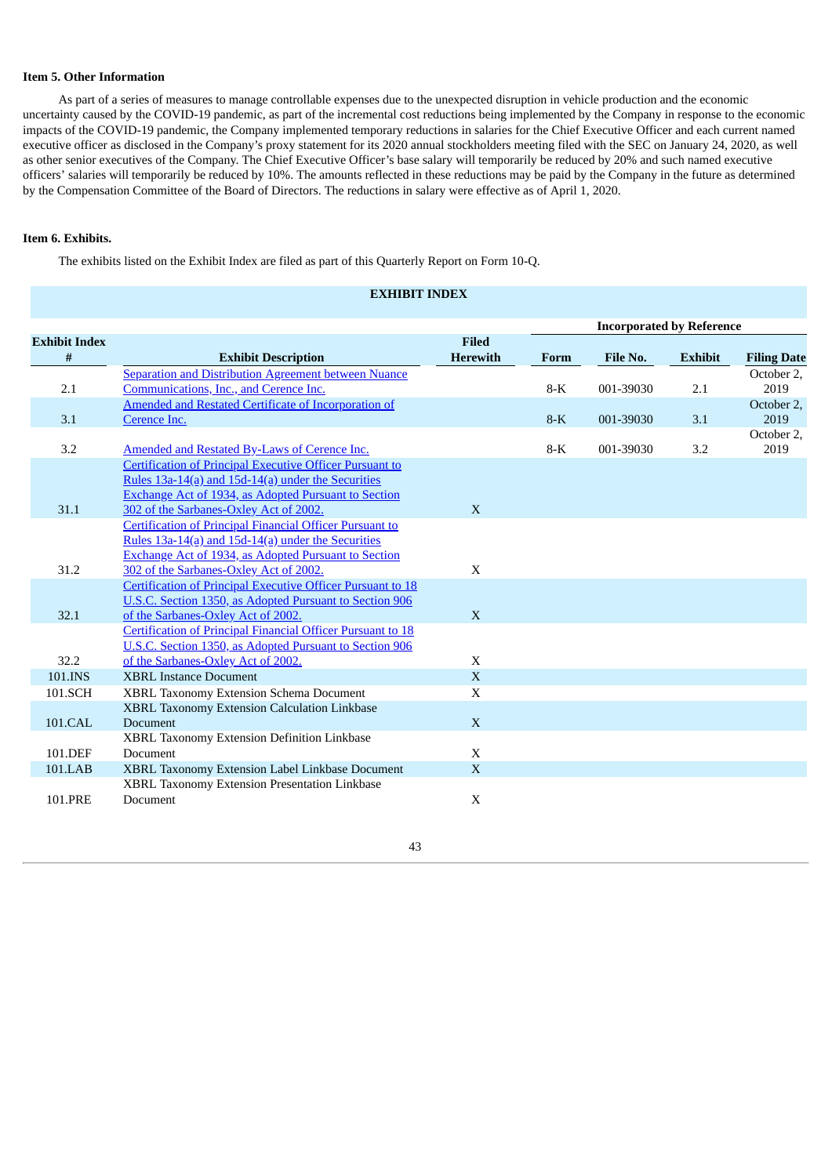#### <span id="page-44-0"></span>**Item 5. Other Information**

As part of a series of measures to manage controllable expenses due to the unexpected disruption in vehicle production and the economic uncertainty caused by the COVID-19 pandemic, as part of the incremental cost reductions being implemented by the Company in response to the economic impacts of the COVID-19 pandemic, the Company implemented temporary reductions in salaries for the Chief Executive Officer and each current named executive officer as disclosed in the Company's proxy statement for its 2020 annual stockholders meeting filed with the SEC on January 24, 2020, as well as other senior executives of the Company. The Chief Executive Officer's base salary will temporarily be reduced by 20% and such named executive officers' salaries will temporarily be reduced by 10%. The amounts reflected in these reductions may be paid by the Company in the future as determined by the Compensation Committee of the Board of Directors. The reductions in salary were effective as of April 1, 2020.

#### <span id="page-44-1"></span>**Item 6. Exhibits.**

The exhibits listed on the Exhibit Index are filed as part of this Quarterly Report on Form 10-Q.

## **EXHIBIT INDEX**

|                      |                                                                                                                 |                 | <b>Incorporated by Reference</b> |           |                |                    |  |
|----------------------|-----------------------------------------------------------------------------------------------------------------|-----------------|----------------------------------|-----------|----------------|--------------------|--|
| <b>Exhibit Index</b> |                                                                                                                 | <b>Filed</b>    |                                  |           |                |                    |  |
| #                    | <b>Exhibit Description</b>                                                                                      | <b>Herewith</b> | Form                             | File No.  | <b>Exhibit</b> | <b>Filing Date</b> |  |
|                      | Separation and Distribution Agreement between Nuance                                                            |                 |                                  |           |                | October 2,         |  |
| 2.1                  | Communications, Inc., and Cerence Inc.                                                                          |                 | $8-K$                            | 001-39030 | 2.1            | 2019               |  |
|                      | <b>Amended and Restated Certificate of Incorporation of</b>                                                     |                 |                                  |           |                | October 2,         |  |
| 3.1                  | Cerence Inc.                                                                                                    |                 | $8-K$                            | 001-39030 | 3.1            | 2019               |  |
| 3.2                  |                                                                                                                 |                 | $8-K$                            | 001-39030 | 3.2            | October 2,<br>2019 |  |
|                      | Amended and Restated By-Laws of Cerence Inc.<br><b>Certification of Principal Executive Officer Pursuant to</b> |                 |                                  |           |                |                    |  |
|                      | Rules 13a-14(a) and 15d-14(a) under the Securities                                                              |                 |                                  |           |                |                    |  |
|                      | <b>Exchange Act of 1934, as Adopted Pursuant to Section</b>                                                     |                 |                                  |           |                |                    |  |
| 31.1                 | 302 of the Sarbanes-Oxley Act of 2002.                                                                          | X               |                                  |           |                |                    |  |
|                      | <b>Certification of Principal Financial Officer Pursuant to</b>                                                 |                 |                                  |           |                |                    |  |
|                      | Rules 13a-14(a) and 15d-14(a) under the Securities                                                              |                 |                                  |           |                |                    |  |
|                      | Exchange Act of 1934, as Adopted Pursuant to Section                                                            |                 |                                  |           |                |                    |  |
| 31.2                 | 302 of the Sarbanes-Oxley Act of 2002.                                                                          | X               |                                  |           |                |                    |  |
|                      | <b>Certification of Principal Executive Officer Pursuant to 18</b>                                              |                 |                                  |           |                |                    |  |
|                      | U.S.C. Section 1350, as Adopted Pursuant to Section 906                                                         |                 |                                  |           |                |                    |  |
| 32.1                 | of the Sarbanes-Oxley Act of 2002.                                                                              | X               |                                  |           |                |                    |  |
|                      | <b>Certification of Principal Financial Officer Pursuant to 18</b>                                              |                 |                                  |           |                |                    |  |
|                      | U.S.C. Section 1350, as Adopted Pursuant to Section 906                                                         |                 |                                  |           |                |                    |  |
| 32.2                 | of the Sarbanes-Oxley Act of 2002.                                                                              | $\mathbf{X}$    |                                  |           |                |                    |  |
| 101.INS              | <b>XBRL Instance Document</b>                                                                                   | $\mathbf{X}$    |                                  |           |                |                    |  |
| 101.SCH              | XBRL Taxonomy Extension Schema Document                                                                         | $\mathbf X$     |                                  |           |                |                    |  |
|                      | XBRL Taxonomy Extension Calculation Linkbase                                                                    |                 |                                  |           |                |                    |  |
| 101.CAL              | Document                                                                                                        | X               |                                  |           |                |                    |  |
| 101.DEF              | XBRL Taxonomy Extension Definition Linkbase<br>Document                                                         | X               |                                  |           |                |                    |  |
| 101.LAB              | XBRL Taxonomy Extension Label Linkbase Document                                                                 | X               |                                  |           |                |                    |  |
|                      | XBRL Taxonomy Extension Presentation Linkbase                                                                   |                 |                                  |           |                |                    |  |
| 101.PRE              | Document                                                                                                        | X               |                                  |           |                |                    |  |
|                      |                                                                                                                 |                 |                                  |           |                |                    |  |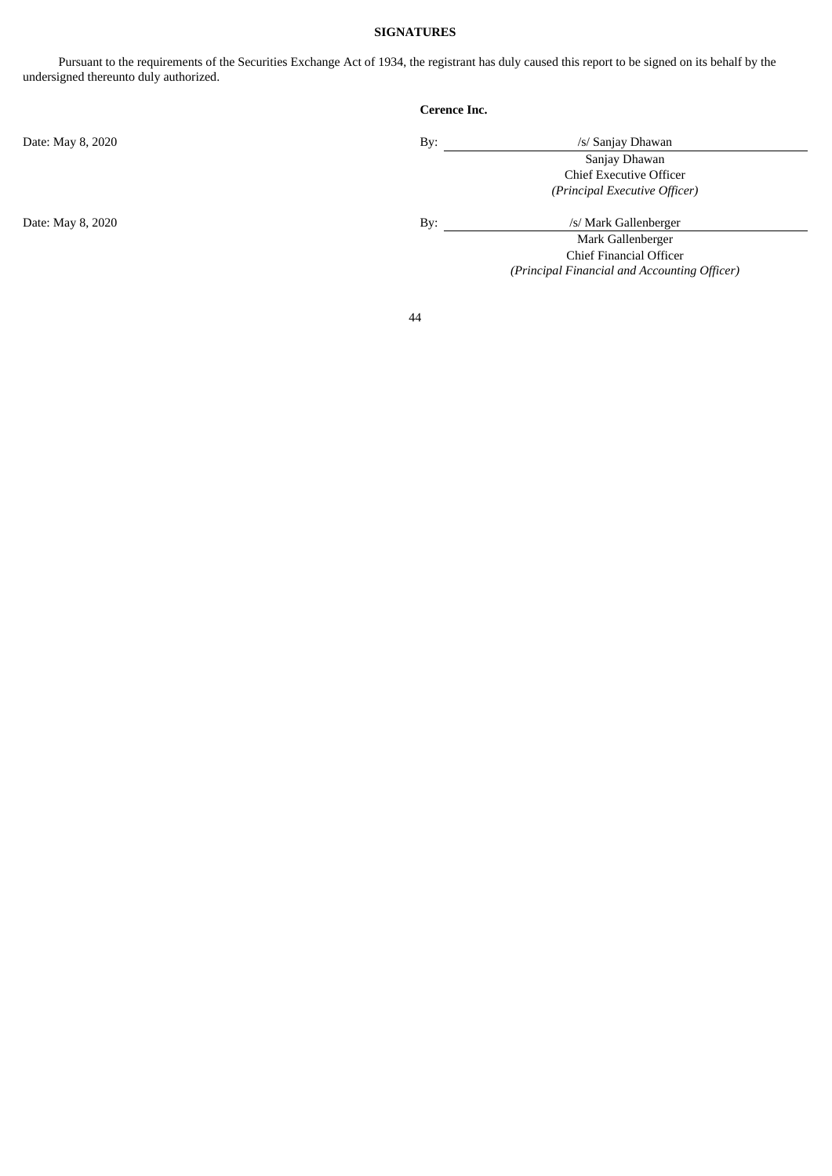## **SIGNATURES**

<span id="page-45-0"></span>Pursuant to the requirements of the Securities Exchange Act of 1934, the registrant has duly caused this report to be signed on its behalf by the undersigned thereunto duly authorized.

|                   | <b>Cerence Inc.</b> |                                              |  |
|-------------------|---------------------|----------------------------------------------|--|
| Date: May 8, 2020 | By:                 | /s/ Sanjay Dhawan                            |  |
|                   |                     | Sanjay Dhawan                                |  |
|                   |                     | <b>Chief Executive Officer</b>               |  |
|                   |                     | (Principal Executive Officer)                |  |
| Date: May 8, 2020 | By:                 | /s/ Mark Gallenberger                        |  |
|                   |                     | Mark Gallenberger                            |  |
|                   |                     | Chief Financial Officer                      |  |
|                   |                     | (Principal Financial and Accounting Officer) |  |
|                   |                     |                                              |  |
|                   |                     |                                              |  |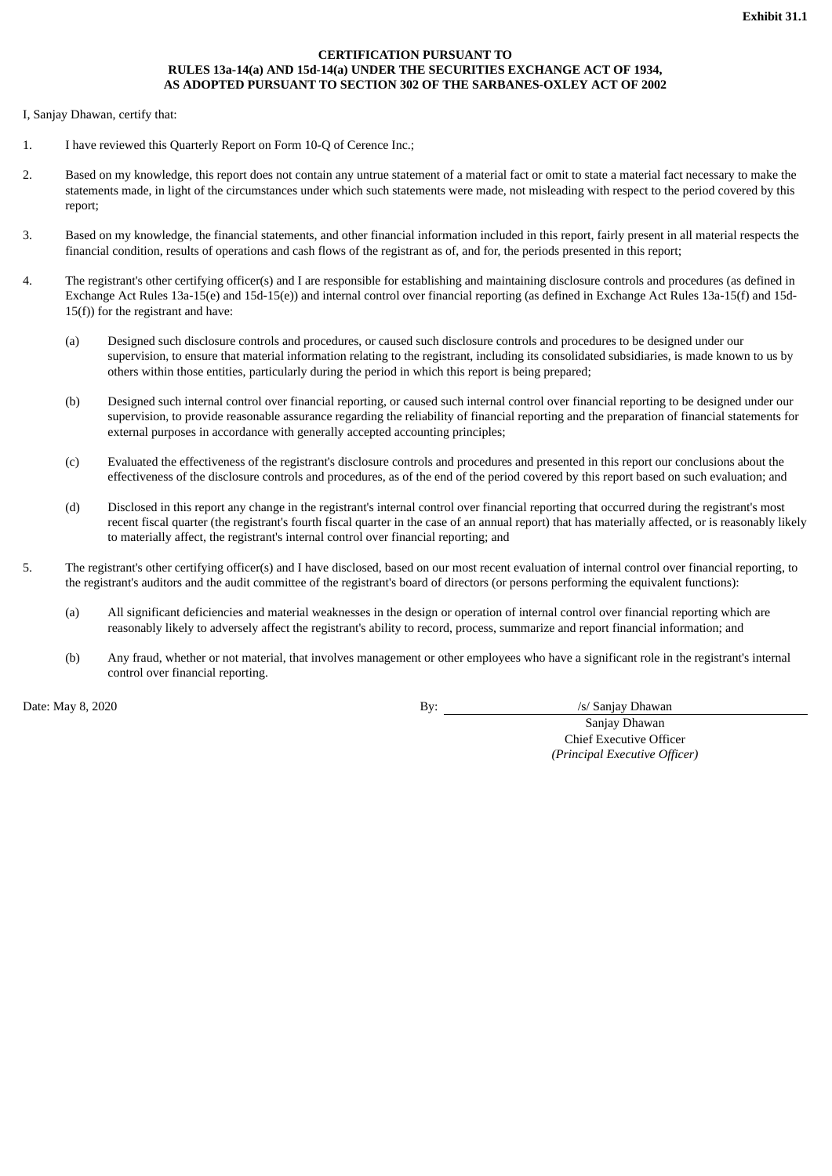## **CERTIFICATION PURSUANT TO RULES 13a-14(a) AND 15d-14(a) UNDER THE SECURITIES EXCHANGE ACT OF 1934, AS ADOPTED PURSUANT TO SECTION 302 OF THE SARBANES-OXLEY ACT OF 2002**

<span id="page-46-0"></span>I, Sanjay Dhawan, certify that:

- 1. I have reviewed this Quarterly Report on Form 10-Q of Cerence Inc.;
- 2. Based on my knowledge, this report does not contain any untrue statement of a material fact or omit to state a material fact necessary to make the statements made, in light of the circumstances under which such statements were made, not misleading with respect to the period covered by this report;
- 3. Based on my knowledge, the financial statements, and other financial information included in this report, fairly present in all material respects the financial condition, results of operations and cash flows of the registrant as of, and for, the periods presented in this report;
- 4. The registrant's other certifying officer(s) and I are responsible for establishing and maintaining disclosure controls and procedures (as defined in Exchange Act Rules 13a-15(e) and 15d-15(e)) and internal control over financial reporting (as defined in Exchange Act Rules 13a-15(f) and 15d- $15(f)$ ) for the registrant and have:
	- (a) Designed such disclosure controls and procedures, or caused such disclosure controls and procedures to be designed under our supervision, to ensure that material information relating to the registrant, including its consolidated subsidiaries, is made known to us by others within those entities, particularly during the period in which this report is being prepared;
	- (b) Designed such internal control over financial reporting, or caused such internal control over financial reporting to be designed under our supervision, to provide reasonable assurance regarding the reliability of financial reporting and the preparation of financial statements for external purposes in accordance with generally accepted accounting principles;
	- (c) Evaluated the effectiveness of the registrant's disclosure controls and procedures and presented in this report our conclusions about the effectiveness of the disclosure controls and procedures, as of the end of the period covered by this report based on such evaluation; and
	- (d) Disclosed in this report any change in the registrant's internal control over financial reporting that occurred during the registrant's most recent fiscal quarter (the registrant's fourth fiscal quarter in the case of an annual report) that has materially affected, or is reasonably likely to materially affect, the registrant's internal control over financial reporting; and
- 5. The registrant's other certifying officer(s) and I have disclosed, based on our most recent evaluation of internal control over financial reporting, to the registrant's auditors and the audit committee of the registrant's board of directors (or persons performing the equivalent functions):
	- (a) All significant deficiencies and material weaknesses in the design or operation of internal control over financial reporting which are reasonably likely to adversely affect the registrant's ability to record, process, summarize and report financial information; and
	- (b) Any fraud, whether or not material, that involves management or other employees who have a significant role in the registrant's internal control over financial reporting.

Date: May 8, 2020 <br>By: /s/ Sanjay Dhawan

Sanjay Dhawan Chief Executive Officer *(Principal Executive Officer)*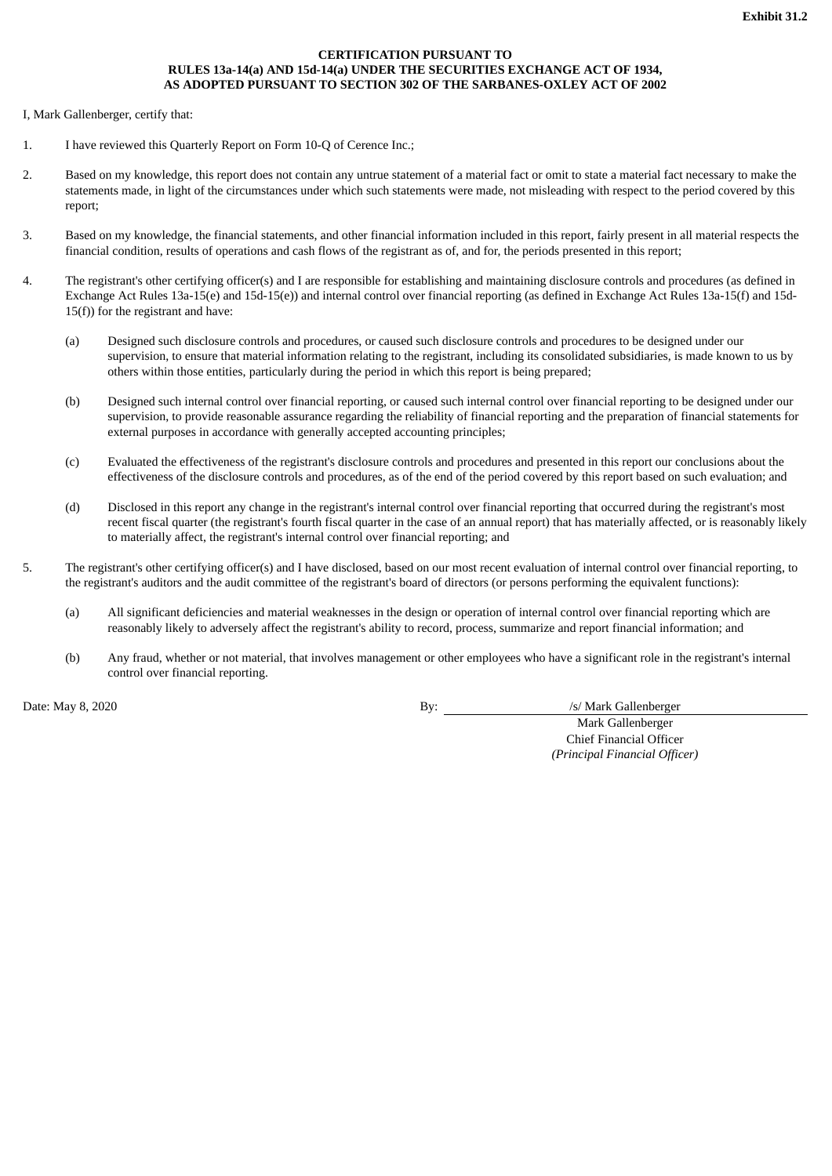## **CERTIFICATION PURSUANT TO RULES 13a-14(a) AND 15d-14(a) UNDER THE SECURITIES EXCHANGE ACT OF 1934, AS ADOPTED PURSUANT TO SECTION 302 OF THE SARBANES-OXLEY ACT OF 2002**

<span id="page-47-0"></span>I, Mark Gallenberger, certify that:

- 1. I have reviewed this Quarterly Report on Form 10-Q of Cerence Inc.;
- 2. Based on my knowledge, this report does not contain any untrue statement of a material fact or omit to state a material fact necessary to make the statements made, in light of the circumstances under which such statements were made, not misleading with respect to the period covered by this report;
- 3. Based on my knowledge, the financial statements, and other financial information included in this report, fairly present in all material respects the financial condition, results of operations and cash flows of the registrant as of, and for, the periods presented in this report;
- 4. The registrant's other certifying officer(s) and I are responsible for establishing and maintaining disclosure controls and procedures (as defined in Exchange Act Rules 13a-15(e) and 15d-15(e)) and internal control over financial reporting (as defined in Exchange Act Rules 13a-15(f) and 15d- $15(f)$ ) for the registrant and have:
	- (a) Designed such disclosure controls and procedures, or caused such disclosure controls and procedures to be designed under our supervision, to ensure that material information relating to the registrant, including its consolidated subsidiaries, is made known to us by others within those entities, particularly during the period in which this report is being prepared;
	- (b) Designed such internal control over financial reporting, or caused such internal control over financial reporting to be designed under our supervision, to provide reasonable assurance regarding the reliability of financial reporting and the preparation of financial statements for external purposes in accordance with generally accepted accounting principles;
	- (c) Evaluated the effectiveness of the registrant's disclosure controls and procedures and presented in this report our conclusions about the effectiveness of the disclosure controls and procedures, as of the end of the period covered by this report based on such evaluation; and
	- (d) Disclosed in this report any change in the registrant's internal control over financial reporting that occurred during the registrant's most recent fiscal quarter (the registrant's fourth fiscal quarter in the case of an annual report) that has materially affected, or is reasonably likely to materially affect, the registrant's internal control over financial reporting; and
- 5. The registrant's other certifying officer(s) and I have disclosed, based on our most recent evaluation of internal control over financial reporting, to the registrant's auditors and the audit committee of the registrant's board of directors (or persons performing the equivalent functions):
	- (a) All significant deficiencies and material weaknesses in the design or operation of internal control over financial reporting which are reasonably likely to adversely affect the registrant's ability to record, process, summarize and report financial information; and
	- (b) Any fraud, whether or not material, that involves management or other employees who have a significant role in the registrant's internal control over financial reporting.

Date: May 8, 2020 By: /s/ Mark Gallenberger

Mark Gallenberger Chief Financial Officer *(Principal Financial Officer)*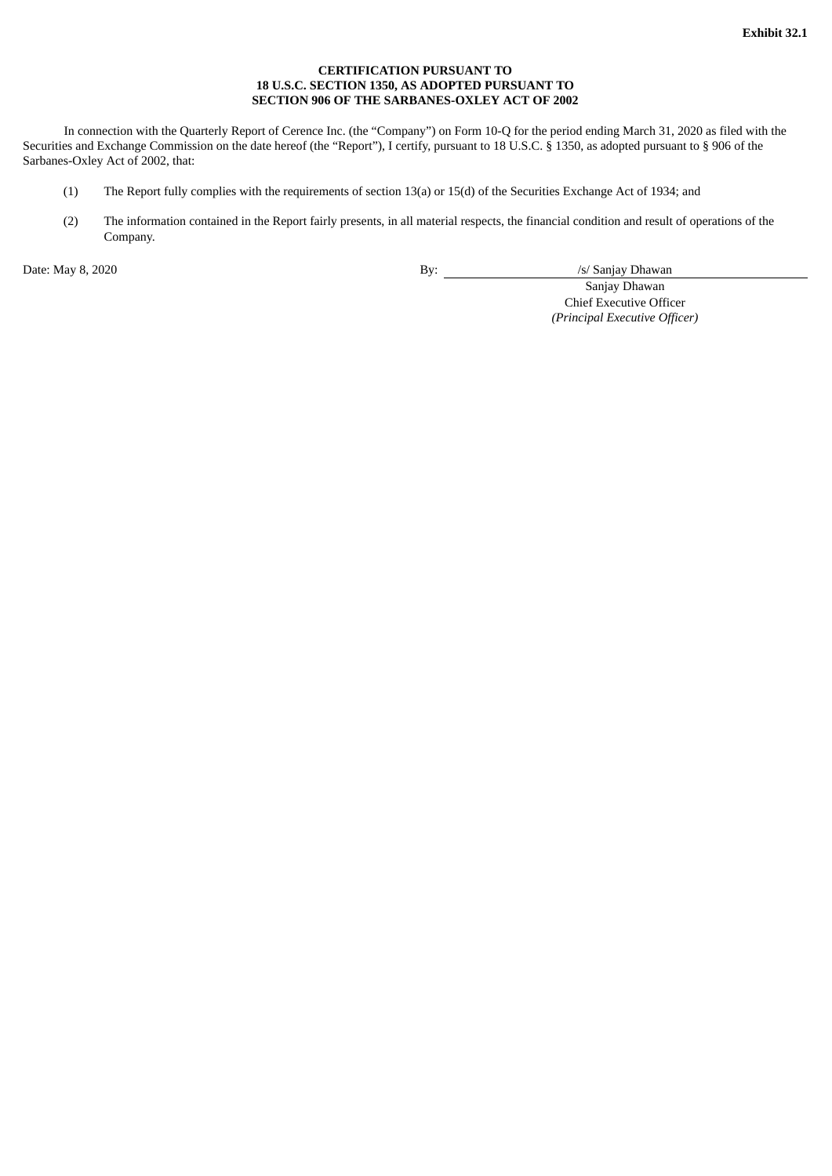## **CERTIFICATION PURSUANT TO 18 U.S.C. SECTION 1350, AS ADOPTED PURSUANT TO SECTION 906 OF THE SARBANES-OXLEY ACT OF 2002**

<span id="page-48-0"></span>In connection with the Quarterly Report of Cerence Inc. (the "Company") on Form 10-Q for the period ending March 31, 2020 as filed with the Securities and Exchange Commission on the date hereof (the "Report"), I certify, pursuant to 18 U.S.C. § 1350, as adopted pursuant to § 906 of the Sarbanes-Oxley Act of 2002, that:

- (1) The Report fully complies with the requirements of section 13(a) or 15(d) of the Securities Exchange Act of 1934; and
- (2) The information contained in the Report fairly presents, in all material respects, the financial condition and result of operations of the Company.

Date: May 8, 2020 By: /s/ Sanjay Dhawan

Sanjay Dhawan Chief Executive Officer *(Principal Executive Officer)*